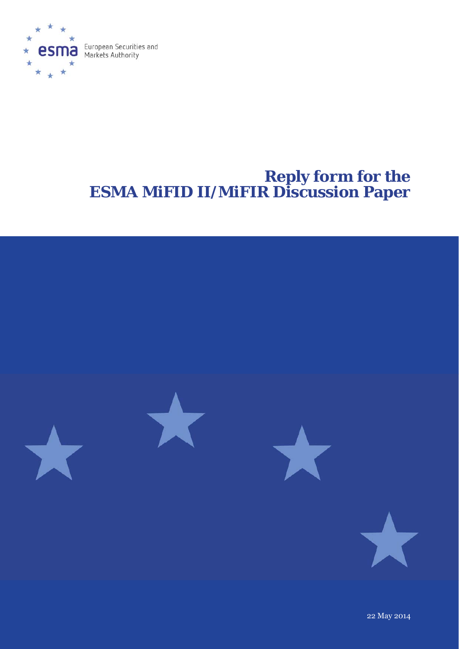

# **Reply form for the ESMA MiFID II/MiFIR Discussion Paper**



22 May 2014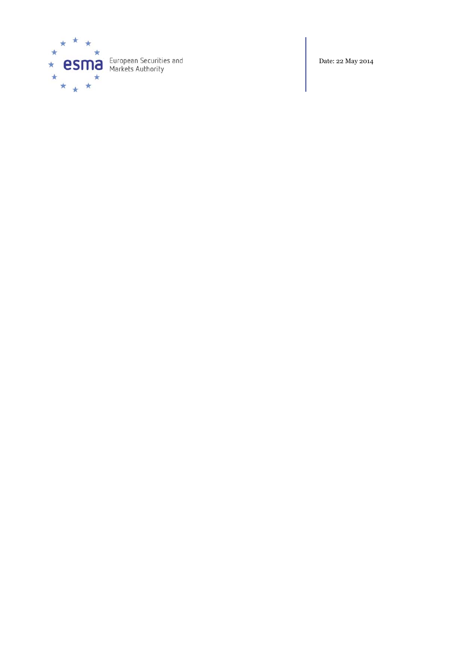

Date: 22 May 2014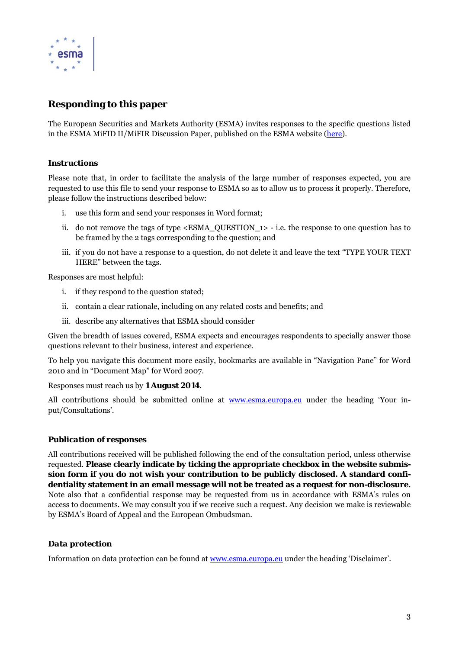

# **Responding to this paper**

The European Securities and Markets Authority (ESMA) invites responses to the specific questions listed in the ESMA MiFID II/MiFIR Discussion Paper, published on the ESMA website (here).

### *Instructions*

Please note that, in order to facilitate the analysis of the large number of responses expected, you are requested to use this file to send your response to ESMA so as to allow us to process it properly. Therefore, please follow the instructions described below:

- i. use this form and send your responses in Word format;
- ii. do not remove the tags of type  $\leq$  ESMA\_QUESTION  $\rightarrow$  i.e. the response to one question has to be framed by the 2 tags corresponding to the question; and
- iii. if you do not have a response to a question, do not delete it and leave the text "TYPE YOUR TEXT HERE" between the tags.

Responses are most helpful:

- i. if they respond to the question stated;
- ii. contain a clear rationale, including on any related costs and benefits; and
- iii. describe any alternatives that ESMA should consider

Given the breadth of issues covered, ESMA expects and encourages respondents to specially answer those questions relevant to their business, interest and experience.

To help you navigate this document more easily, bookmarks are available in "Navigation Pane" for Word 2010 and in "Document Map" for Word 2007.

Responses must reach us by **1 August 2014**.

All contributions should be submitted online at www.esma.europa.eu under the heading 'Your input/Consultations'.

# *Publication of responses*

All contributions received will be published following the end of the consultation period, unless otherwise requested. **Please clearly indicate by ticking the appropriate checkbox in the website submission form if you do not wish your contribution to be publicly disclosed. A standard confidentiality statement in an email message will not be treated as a request for non-disclosure.** Note also that a confidential response may be requested from us in accordance with ESMA's rules on access to documents. We may consult you if we receive such a request. Any decision we make is reviewable by ESMA's Board of Appeal and the European Ombudsman.

# *Data protection*

Information on data protection can be found at www.esma.europa.eu under the heading 'Disclaimer'.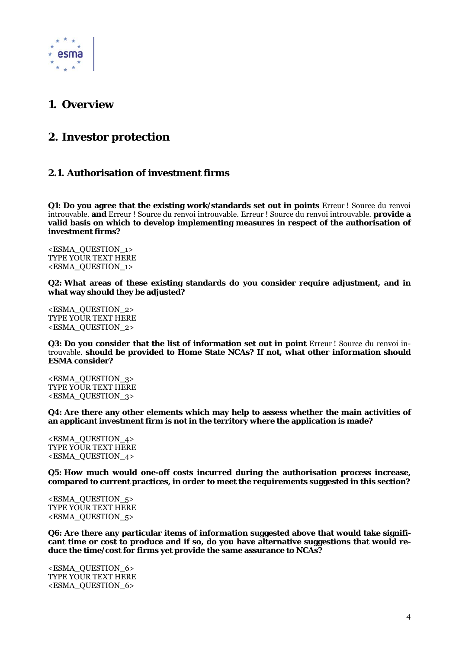

# **1. Overview**

# **2. Investor protection**

# **2.1. Authorisation of investment firms**

**Q1: Do you agree that the existing work/standards set out in points** Erreur ! Source du renvoi introuvable. **and** Erreur ! Source du renvoi introuvable. Erreur ! Source du renvoi introuvable. **provide a valid basis on which to develop implementing measures in respect of the authorisation of investment firms?** 

<ESMA\_QUESTION\_1> TYPE YOUR TEXT HERE <ESMA\_QUESTION\_1>

**Q2: What areas of these existing standards do you consider require adjustment, and in what way should they be adjusted?** 

<ESMA\_QUESTION\_2> TYPE YOUR TEXT HERE <ESMA\_QUESTION\_2>

**Q3: Do you consider that the list of information set out in point Erreur! Source du renvoi in**trouvable. **should be provided to Home State NCAs? If not, what other information should ESMA consider?** 

<ESMA\_QUESTION\_3> TYPE YOUR TEXT HERE <ESMA\_QUESTION\_3>

**Q4: Are there any other elements which may help to assess whether the main activities of an applicant investment firm is not in the territory where the application is made?** 

<ESMA\_QUESTION\_4> TYPE YOUR TEXT HERE <ESMA\_QUESTION\_4>

**Q5: How much would one-off costs incurred during the authorisation process increase, compared to current practices, in order to meet the requirements suggested in this section?** 

<ESMA\_QUESTION\_5> TYPE YOUR TEXT HERE <ESMA\_QUESTION\_5>

**Q6: Are there any particular items of information suggested above that would take significant time or cost to produce and if so, do you have alternative suggestions that would reduce the time/cost for firms yet provide the same assurance to NCAs?** 

<ESMA\_QUESTION\_6> TYPE YOUR TEXT HERE <ESMA\_QUESTION\_6>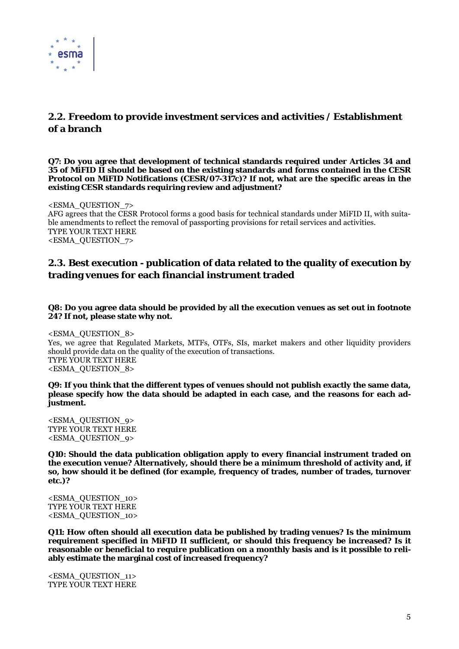

# **2.2. Freedom to provide investment services and activities / Establishment of a branch**

**Q7: Do you agree that development of technical standards required under Articles 34 and 35 of MiFID II should be based on the existing standards and forms contained in the CESR Protocol on MiFID Notifications (CESR/07-317c)? If not, what are the specific areas in the existing CESR standards requiring review and adjustment?** 

<ESMA\_QUESTION\_7> AFG agrees that the CESR Protocol forms a good basis for technical standards under MiFID II, with suitable amendments to reflect the removal of passporting provisions for retail services and activities. TYPE YOUR TEXT HERE <ESMA\_QUESTION\_7>

# **2.3. Best execution - publication of data related to the quality of execution by trading venues for each financial instrument traded**

#### **Q8: Do you agree data should be provided by all the execution venues as set out in footnote 24? If not, please state why not.**

<ESMA\_QUESTION\_8> Yes, we agree that Regulated Markets, MTFs, OTFs, SIs, market makers and other liquidity providers should provide data on the quality of the execution of transactions. TYPE YOUR TEXT HERE <ESMA\_QUESTION\_8>

**Q9: If you think that the different types of venues should not publish exactly the same data, please specify how the data should be adapted in each case, and the reasons for each adjustment.** 

<ESMA\_QUESTION\_9> TYPE YOUR TEXT HERE <ESMA\_QUESTION\_9>

**Q10: Should the data publication obligation apply to every financial instrument traded on the execution venue? Alternatively, should there be a minimum threshold of activity and, if so, how should it be defined (for example, frequency of trades, number of trades, turnover etc.)?** 

<ESMA\_QUESTION\_10> TYPE YOUR TEXT HERE <ESMA\_QUESTION\_10>

**Q11: How often should all execution data be published by trading venues? Is the minimum requirement specified in MiFID II sufficient, or should this frequency be increased? Is it reasonable or beneficial to require publication on a monthly basis and is it possible to reliably estimate the marginal cost of increased frequency?** 

<ESMA\_QUESTION\_11> TYPE YOUR TEXT HERE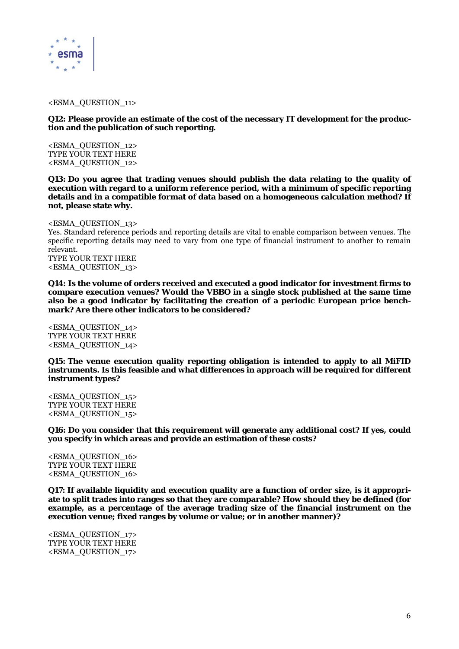

#### <ESMA\_QUESTION\_11>

**Q12: Please provide an estimate of the cost of the necessary IT development for the production and the publication of such reporting.** 

<ESMA\_QUESTION\_12> TYPE YOUR TEXT HERE <ESMA\_QUESTION\_12>

**Q13: Do you agree that trading venues should publish the data relating to the quality of execution with regard to a uniform reference period, with a minimum of specific reporting details and in a compatible format of data based on a homogeneous calculation method? If not, please state why.** 

<ESMA\_QUESTION\_13> Yes. Standard reference periods and reporting details are vital to enable comparison between venues. The specific reporting details may need to vary from one type of financial instrument to another to remain relevant. TYPE YOUR TEXT HERE <ESMA\_QUESTION\_13>

**Q14: Is the volume of orders received and executed a good indicator for investment firms to compare execution venues? Would the VBBO in a single stock published at the same time also be a good indicator by facilitating the creation of a periodic European price benchmark? Are there other indicators to be considered?** 

<ESMA\_QUESTION\_14> TYPE YOUR TEXT HERE <ESMA\_QUESTION\_14>

**Q15: The venue execution quality reporting obligation is intended to apply to all MiFID instruments. Is this feasible and what differences in approach will be required for different instrument types?** 

<ESMA\_QUESTION\_15> TYPE YOUR TEXT HERE <ESMA\_QUESTION\_15>

**Q16: Do you consider that this requirement will generate any additional cost? If yes, could you specify in which areas and provide an estimation of these costs?** 

<ESMA\_QUESTION\_16> TYPE YOUR TEXT HERE <ESMA\_QUESTION\_16>

**Q17: If available liquidity and execution quality are a function of order size, is it appropriate to split trades into ranges so that they are comparable? How should they be defined (for example, as a percentage of the average trading size of the financial instrument on the execution venue; fixed ranges by volume or value; or in another manner)?** 

<ESMA\_QUESTION\_17> TYPE YOUR TEXT HERE <ESMA\_QUESTION\_17>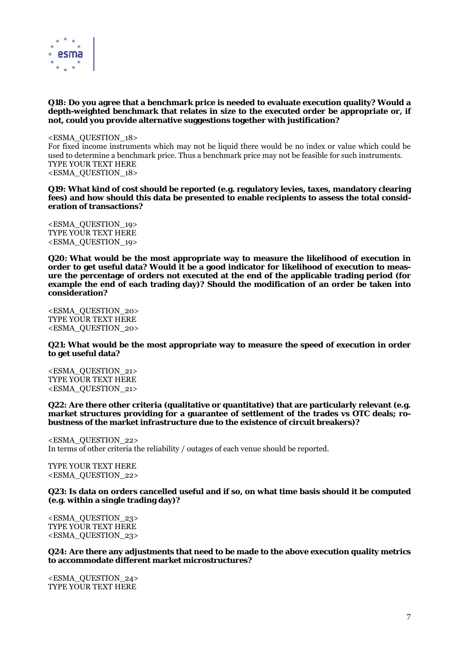

#### **Q18: Do you agree that a benchmark price is needed to evaluate execution quality? Would a depth-weighted benchmark that relates in size to the executed order be appropriate or, if not, could you provide alternative suggestions together with justification?**

<ESMA\_QUESTION\_18> For fixed income instruments which may not be liquid there would be no index or value which could be used to determine a benchmark price. Thus a benchmark price may not be feasible for such instruments. TYPE YOUR TEXT HERE <ESMA\_QUESTION\_18>

**Q19: What kind of cost should be reported (e.g. regulatory levies, taxes, mandatory clearing fees) and how should this data be presented to enable recipients to assess the total consideration of transactions?** 

<ESMA\_QUESTION\_19> TYPE YOUR TEXT HERE <ESMA\_QUESTION\_19>

**Q20: What would be the most appropriate way to measure the likelihood of execution in order to get useful data? Would it be a good indicator for likelihood of execution to measure the percentage of orders not executed at the end of the applicable trading period (for example the end of each trading day)? Should the modification of an order be taken into consideration?** 

<ESMA\_QUESTION\_20> TYPE YOUR TEXT HERE <ESMA\_QUESTION\_20>

**Q21: What would be the most appropriate way to measure the speed of execution in order to get useful data?** 

<ESMA\_QUESTION\_21> TYPE YOUR TEXT HERE <ESMA\_QUESTION\_21>

**Q22: Are there other criteria (qualitative or quantitative) that are particularly relevant (e.g. market structures providing for a guarantee of settlement of the trades vs OTC deals; robustness of the market infrastructure due to the existence of circuit breakers)?** 

<ESMA\_QUESTION\_22> In terms of other criteria the reliability / outages of each venue should be reported.

TYPE YOUR TEXT HERE <ESMA\_QUESTION\_22>

**Q23: Is data on orders cancelled useful and if so, on what time basis should it be computed (e.g. within a single trading day)?** 

<ESMA\_QUESTION\_23> TYPE YOUR TEXT HERE <ESMA\_QUESTION\_23>

**Q24: Are there any adjustments that need to be made to the above execution quality metrics to accommodate different market microstructures?** 

<ESMA\_QUESTION\_24> TYPE YOUR TEXT HERE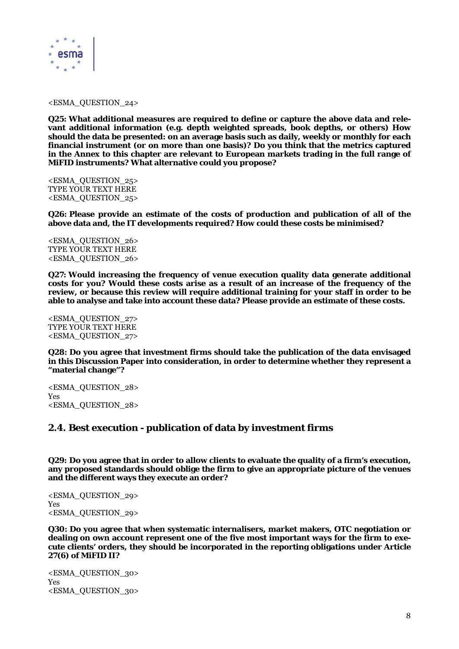

<ESMA\_QUESTION\_24>

**Q25: What additional measures are required to define or capture the above data and relevant additional information (e.g. depth weighted spreads, book depths, or others) How should the data be presented: on an average basis such as daily, weekly or monthly for each financial instrument (or on more than one basis)? Do you think that the metrics captured in the Annex to this chapter are relevant to European markets trading in the full range of MiFID instruments? What alternative could you propose?** 

<ESMA\_QUESTION\_25> TYPE YOUR TEXT HERE <ESMA\_QUESTION\_25>

**Q26: Please provide an estimate of the costs of production and publication of all of the above data and, the IT developments required? How could these costs be minimised?** 

<ESMA\_QUESTION\_26> TYPE YOUR TEXT HERE <ESMA\_QUESTION\_26>

**Q27: Would increasing the frequency of venue execution quality data generate additional costs for you? Would these costs arise as a result of an increase of the frequency of the review, or because this review will require additional training for your staff in order to be able to analyse and take into account these data? Please provide an estimate of these costs.** 

<ESMA\_QUESTION\_27> TYPE YOUR TEXT HERE <ESMA\_QUESTION\_27>

**Q28: Do you agree that investment firms should take the publication of the data envisaged in this Discussion Paper into consideration, in order to determine whether they represent a "material change"?** 

<ESMA\_QUESTION\_28> Yes <ESMA\_QUESTION\_28>

#### **2.4. Best execution - publication of data by investment firms**

**Q29: Do you agree that in order to allow clients to evaluate the quality of a firm's execution, any proposed standards should oblige the firm to give an appropriate picture of the venues and the different ways they execute an order?** 

<ESMA\_QUESTION\_29> Yes <ESMA\_QUESTION\_29>

**Q30: Do you agree that when systematic internalisers, market makers, OTC negotiation or dealing on own account represent one of the five most important ways for the firm to execute clients' orders, they should be incorporated in the reporting obligations under Article 27(6) of MiFID II?** 

<ESMA\_QUESTION\_30> Yes <ESMA\_QUESTION\_30>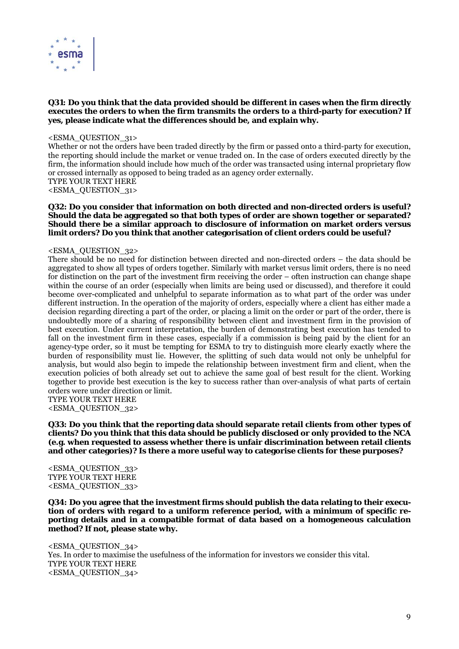

#### **Q31: Do you think that the data provided should be different in cases when the firm directly executes the orders to when the firm transmits the orders to a third-party for execution? If yes, please indicate what the differences should be, and explain why.**

#### <ESMA\_QUESTION\_31>

Whether or not the orders have been traded directly by the firm or passed onto a third-party for execution, the reporting should include the market or venue traded on. In the case of orders executed directly by the firm, the information should include how much of the order was transacted using internal proprietary flow or crossed internally as opposed to being traded as an agency order externally. TYPE YOUR TEXT HERE

<ESMA\_QUESTION\_31>

#### **Q32: Do you consider that information on both directed and non-directed orders is useful? Should the data be aggregated so that both types of order are shown together or separated? Should there be a similar approach to disclosure of information on market orders versus limit orders? Do you think that another categorisation of client orders could be useful?**

#### <ESMA\_QUESTION\_32>

There should be no need for distinction between directed and non-directed orders – the data should be aggregated to show all types of orders together. Similarly with market versus limit orders, there is no need for distinction on the part of the investment firm receiving the order – often instruction can change shape within the course of an order (especially when limits are being used or discussed), and therefore it could become over-complicated and unhelpful to separate information as to what part of the order was under different instruction. In the operation of the majority of orders, especially where a client has either made a decision regarding directing a part of the order, or placing a limit on the order or part of the order, there is undoubtedly more of a sharing of responsibility between client and investment firm in the provision of best execution. Under current interpretation, the burden of demonstrating best execution has tended to fall on the investment firm in these cases, especially if a commission is being paid by the client for an agency-type order, so it must be tempting for ESMA to try to distinguish more clearly exactly where the burden of responsibility must lie. However, the splitting of such data would not only be unhelpful for analysis, but would also begin to impede the relationship between investment firm and client, when the execution policies of both already set out to achieve the same goal of best result for the client. Working together to provide best execution is the key to success rather than over-analysis of what parts of certain orders were under direction or limit.

TYPE YOUR TEXT HERE <ESMA\_QUESTION\_32>

**Q33: Do you think that the reporting data should separate retail clients from other types of clients? Do you think that this data should be publicly disclosed or only provided to the NCA (e.g. when requested to assess whether there is unfair discrimination between retail clients and other categories)? Is there a more useful way to categorise clients for these purposes?** 

<ESMA\_QUESTION\_33> TYPE YOUR TEXT HERE <ESMA\_QUESTION\_33>

**Q34: Do you agree that the investment firms should publish the data relating to their execution of orders with regard to a uniform reference period, with a minimum of specific reporting details and in a compatible format of data based on a homogeneous calculation method? If not, please state why.** 

<ESMA\_QUESTION\_34> Yes. In order to maximise the usefulness of the information for investors we consider this vital. TYPE YOUR TEXT HERE <ESMA\_QUESTION\_34>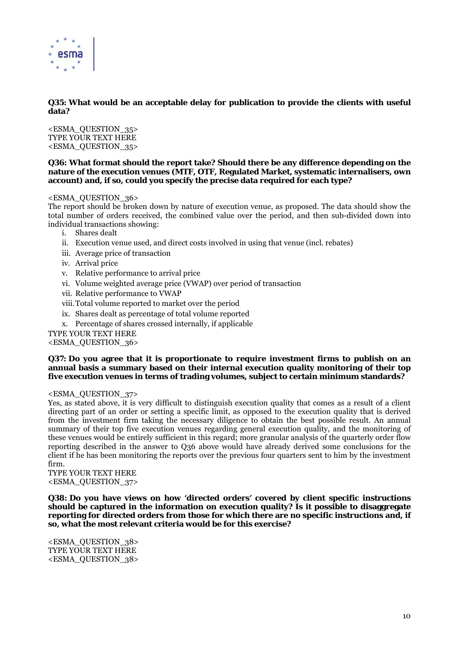

#### **Q35: What would be an acceptable delay for publication to provide the clients with useful data?**

<ESMA\_QUESTION\_35> TYPE YOUR TEXT HERE <ESMA\_QUESTION\_35>

#### **Q36: What format should the report take? Should there be any difference depending on the nature of the execution venues (MTF, OTF, Regulated Market, systematic internalisers, own account) and, if so, could you specify the precise data required for each type?**

#### <ESMA\_QUESTION\_36>

The report should be broken down by nature of execution venue, as proposed. The data should show the total number of orders received, the combined value over the period, and then sub-divided down into individual transactions showing:

- i. Shares dealt
- ii. Execution venue used, and direct costs involved in using that venue (incl. rebates)
- iii. Average price of transaction
- iv. Arrival price
- v. Relative performance to arrival price
- vi. Volume weighted average price (VWAP) over period of transaction
- vii. Relative performance to VWAP
- viii.Total volume reported to market over the period
- ix. Shares dealt as percentage of total volume reported
- x. Percentage of shares crossed internally, if applicable

#### TYPE YOUR TEXT HERE

<ESMA\_QUESTION\_36>

#### **Q37: Do you agree that it is proportionate to require investment firms to publish on an annual basis a summary based on their internal execution quality monitoring of their top five execution venues in terms of trading volumes, subject to certain minimum standards?**

#### <ESMA\_QUESTION\_37>

Yes, as stated above, it is very difficult to distinguish execution quality that comes as a result of a client directing part of an order or setting a specific limit, as opposed to the execution quality that is derived from the investment firm taking the necessary diligence to obtain the best possible result. An annual summary of their top five execution venues regarding general execution quality, and the monitoring of these venues would be entirely sufficient in this regard; more granular analysis of the quarterly order flow reporting described in the answer to Q36 above would have already derived some conclusions for the client if he has been monitoring the reports over the previous four quarters sent to him by the investment firm.

TYPE YOUR TEXT HERE <ESMA\_QUESTION\_37>

**Q38: Do you have views on how 'directed orders' covered by client specific instructions should be captured in the information on execution quality? Is it possible to disaggregate reporting for directed orders from those for which there are no specific instructions and, if so, what the most relevant criteria would be for this exercise?** 

<ESMA\_QUESTION\_38> TYPE YOUR TEXT HERE <ESMA\_QUESTION\_38>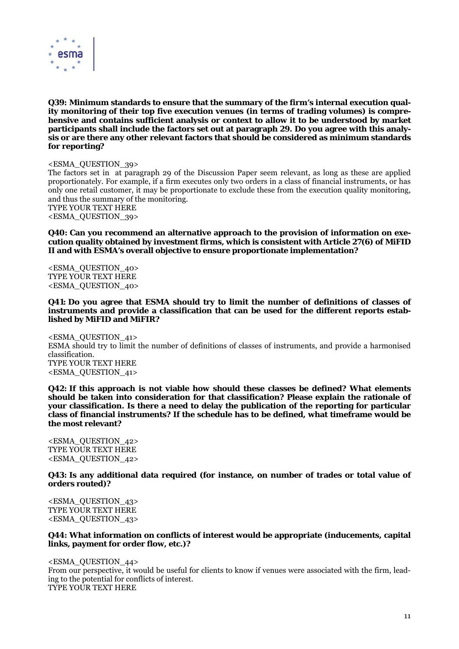

**Q39: Minimum standards to ensure that the summary of the firm's internal execution quality monitoring of their top five execution venues (in terms of trading volumes) is comprehensive and contains sufficient analysis or context to allow it to be understood by market participants shall include the factors set out at paragraph 29. Do you agree with this analysis or are there any other relevant factors that should be considered as minimum standards for reporting?** 

<ESMA\_QUESTION\_39>

The factors set in at paragraph 29 of the Discussion Paper seem relevant, as long as these are applied proportionately. For example, if a firm executes only two orders in a class of financial instruments, or has only one retail customer, it may be proportionate to exclude these from the execution quality monitoring, and thus the summary of the monitoring. TYPE YOUR TEXT HERE

<ESMA\_QUESTION\_39>

**Q40: Can you recommend an alternative approach to the provision of information on execution quality obtained by investment firms, which is consistent with Article 27(6) of MiFID II and with ESMA's overall objective to ensure proportionate implementation?** 

<ESMA\_QUESTION\_40> TYPE YOUR TEXT HERE <ESMA\_QUESTION\_40>

**Q41: Do you agree that ESMA should try to limit the number of definitions of classes of instruments and provide a classification that can be used for the different reports established by MiFID and MiFIR?** 

<ESMA\_QUESTION\_41> ESMA should try to limit the number of definitions of classes of instruments, and provide a harmonised classification. TYPE YOUR TEXT HERE <ESMA\_QUESTION\_41>

**Q42: If this approach is not viable how should these classes be defined? What elements should be taken into consideration for that classification? Please explain the rationale of your classification. Is there a need to delay the publication of the reporting for particular class of financial instruments? If the schedule has to be defined, what timeframe would be the most relevant?** 

<ESMA\_QUESTION\_42> TYPE YOUR TEXT HERE <ESMA\_QUESTION\_42>

**Q43: Is any additional data required (for instance, on number of trades or total value of orders routed)?** 

<ESMA\_QUESTION\_43> TYPE YOUR TEXT HERE <ESMA\_QUESTION\_43>

**Q44: What information on conflicts of interest would be appropriate (inducements, capital links, payment for order flow, etc.)?** 

<ESMA\_QUESTION\_44> From our perspective, it would be useful for clients to know if venues were associated with the firm, leading to the potential for conflicts of interest. TYPE YOUR TEXT HERE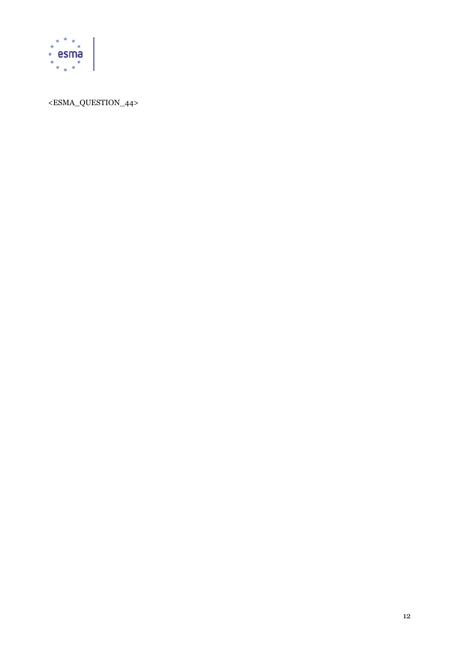

# <ESMA\_QUESTION\_44>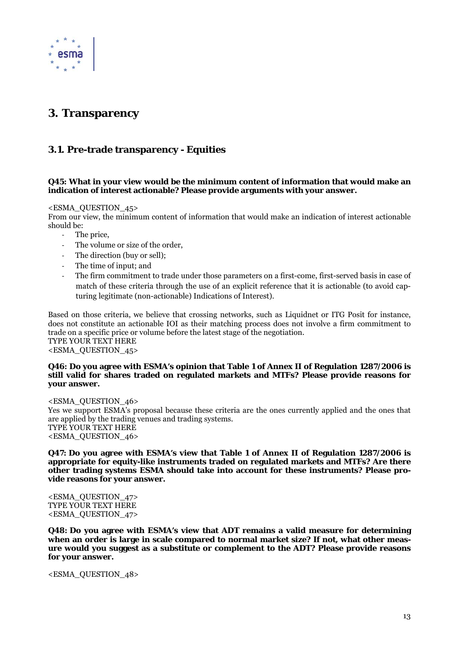

# **3. Transparency**

# **3.1. Pre-trade transparency - Equities**

#### **Q45: What in your view would be the minimum content of information that would make an indication of interest actionable? Please provide arguments with your answer.**

#### <ESMA\_QUESTION\_45>

From our view, the minimum content of information that would make an indication of interest actionable should be:

- ‐ The price,
- The volume or size of the order,
- The direction (buy or sell):
- ‐ The time of input; and
- The firm commitment to trade under those parameters on a first-come, first-served basis in case of match of these criteria through the use of an explicit reference that it is actionable (to avoid capturing legitimate (non-actionable) Indications of Interest).

Based on those criteria, we believe that crossing networks, such as Liquidnet or ITG Posit for instance, does not constitute an actionable IOI as their matching process does not involve a firm commitment to trade on a specific price or volume before the latest stage of the negotiation. TYPE YOUR TEXT HERE <ESMA\_QUESTION\_45>

#### **Q46: Do you agree with ESMA's opinion that Table 1 of Annex II of Regulation 1287/2006 is still valid for shares traded on regulated markets and MTFs? Please provide reasons for your answer.**

<ESMA\_QUESTION\_46> Yes we support ESMA's proposal because these criteria are the ones currently applied and the ones that are applied by the trading venues and trading systems. TYPE YOUR TEXT HERE <ESMA\_QUESTION\_46>

#### **Q47: Do you agree with ESMA's view that Table 1 of Annex II of Regulation 1287/2006 is appropriate for equity-like instruments traded on regulated markets and MTFs? Are there other trading systems ESMA should take into account for these instruments? Please provide reasons for your answer.**

<ESMA\_QUESTION\_47> TYPE YOUR TEXT HERE <ESMA\_QUESTION\_47>

**Q48: Do you agree with ESMA's view that ADT remains a valid measure for determining when an order is large in scale compared to normal market size? If not, what other measure would you suggest as a substitute or complement to the ADT? Please provide reasons for your answer.** 

<ESMA\_QUESTION\_48>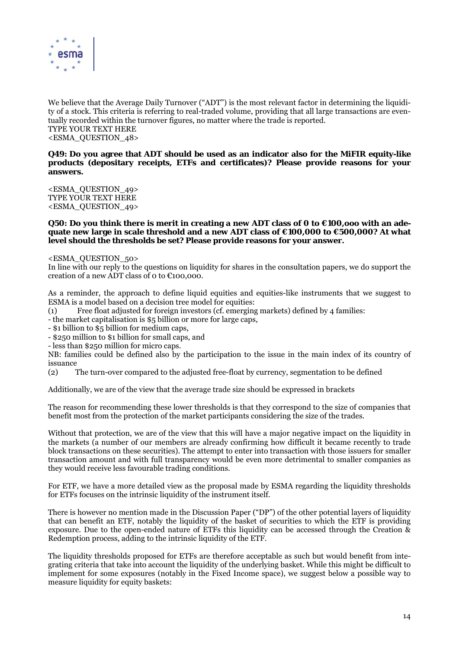

We believe that the Average Daily Turnover ("ADT") is the most relevant factor in determining the liquidity of a stock. This criteria is referring to real-traded volume, providing that all large transactions are eventually recorded within the turnover figures, no matter where the trade is reported. TYPE YOUR TEXT HERE <ESMA\_QUESTION\_48>

#### **Q49: Do you agree that ADT should be used as an indicator also for the MiFIR equity-like products (depositary receipts, ETFs and certificates)? Please provide reasons for your answers.**

<ESMA\_QUESTION\_49> TYPE YOUR TEXT HERE <ESMA\_QUESTION\_49>

#### **Q50: Do you think there is merit in creating a new ADT class of 0 to €100,ooo with an adequate new large in scale threshold and a new ADT class of €100,000 to €500,000? At what level should the thresholds be set? Please provide reasons for your answer.**

<ESMA\_QUESTION\_50>

In line with our reply to the questions on liquidity for shares in the consultation papers, we do support the creation of a new ADT class of 0 to €100,000.

As a reminder, the approach to define liquid equities and equities-like instruments that we suggest to ESMA is a model based on a decision tree model for equities:

(1) Free float adjusted for foreign investors (cf. emerging markets) defined by 4 families:

- the market capitalisation is \$5 billion or more for large caps,

- \$1 billion to \$5 billion for medium caps,

- \$250 million to \$1 billion for small caps, and

- less than \$250 million for micro caps.

NB: families could be defined also by the participation to the issue in the main index of its country of issuance

(2) The turn-over compared to the adjusted free-float by currency, segmentation to be defined

Additionally, we are of the view that the average trade size should be expressed in brackets

The reason for recommending these lower thresholds is that they correspond to the size of companies that benefit most from the protection of the market participants considering the size of the trades.

Without that protection, we are of the view that this will have a major negative impact on the liquidity in the markets (a number of our members are already confirming how difficult it became recently to trade block transactions on these securities). The attempt to enter into transaction with those issuers for smaller transaction amount and with full transparency would be even more detrimental to smaller companies as they would receive less favourable trading conditions.

For ETF, we have a more detailed view as the proposal made by ESMA regarding the liquidity thresholds for ETFs focuses on the intrinsic liquidity of the instrument itself.

There is however no mention made in the Discussion Paper ("DP") of the other potential layers of liquidity that can benefit an ETF, notably the liquidity of the basket of securities to which the ETF is providing exposure. Due to the open-ended nature of ETFs this liquidity can be accessed through the Creation & Redemption process, adding to the intrinsic liquidity of the ETF.

The liquidity thresholds proposed for ETFs are therefore acceptable as such but would benefit from integrating criteria that take into account the liquidity of the underlying basket. While this might be difficult to implement for some exposures (notably in the Fixed Income space), we suggest below a possible way to measure liquidity for equity baskets: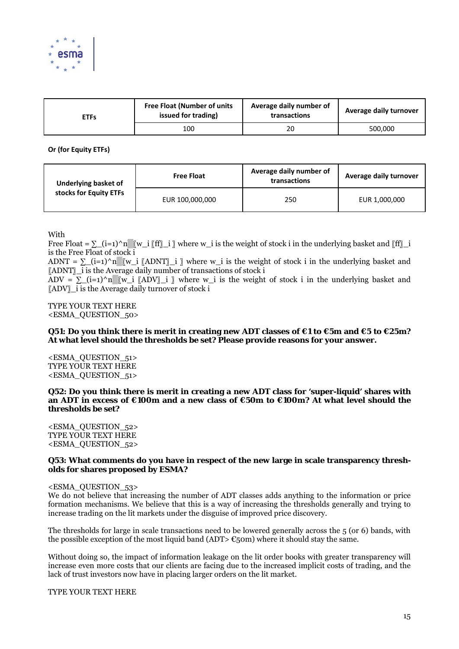

| <b>ETFs</b> | <b>Free Float (Number of units</b><br>issued for trading) | Average daily number of<br>transactions | Average daily turnover |
|-------------|-----------------------------------------------------------|-----------------------------------------|------------------------|
|             | 100                                                       | 20                                      | 500.000                |

**Or (for Equity ETFs)**

| Underlying basket of<br>stocks for Equity ETFs | <b>Free Float</b> | Average daily number of<br>transactions | Average daily turnover |
|------------------------------------------------|-------------------|-----------------------------------------|------------------------|
|                                                | EUR 100,000,000   | 250                                     | EUR 1,000,000          |

With

Free Float =  $\sum$  (i=1)^n▒[w\_i [ff]\_i ] where w\_i is the weight of stock i in the underlying basket and [ff] i is the Free Float of stock i

ADNT =  $\Sigma$ \_(i=1)^n▒[w\_i [ADNT]\_i ] where w\_i is the weight of stock i in the underlying basket and 〖ADNT〗\_i is the Average daily number of transactions of stock i

ADV =  $\Sigma$  (i=1)^n▒[w\_i [ADV] i ] where w\_i is the weight of stock i in the underlying basket and 〖ADV〗\_i is the Average daily turnover of stock i

TYPE YOUR TEXT HERE <ESMA\_QUESTION\_50>

#### **Q51: Do you think there is merit in creating new ADT classes of €1 to €5m and €5 to €25m? At what level should the thresholds be set? Please provide reasons for your answer.**

<ESMA\_QUESTION\_51> TYPE YOUR TEXT HERE <ESMA\_QUESTION\_51>

**Q52: Do you think there is merit in creating a new ADT class for 'super-liquid' shares with an ADT in excess of €100m and a new class of €50m to €100m? At what level should the thresholds be set?** 

<ESMA\_QUESTION\_52> TYPE YOUR TEXT HERE <ESMA\_QUESTION\_52>

#### **Q53: What comments do you have in respect of the new large in scale transparency thresholds for shares proposed by ESMA?**

#### <ESMA\_QUESTION\_53>

We do not believe that increasing the number of ADT classes adds anything to the information or price formation mechanisms. We believe that this is a way of increasing the thresholds generally and trying to increase trading on the lit markets under the disguise of improved price discovery.

The thresholds for large in scale transactions need to be lowered generally across the 5 (or 6) bands, with the possible exception of the most liquid band (ADT>  $\epsilon$ 50m) where it should stay the same.

Without doing so, the impact of information leakage on the lit order books with greater transparency will increase even more costs that our clients are facing due to the increased implicit costs of trading, and the lack of trust investors now have in placing larger orders on the lit market.

TYPE YOUR TEXT HERE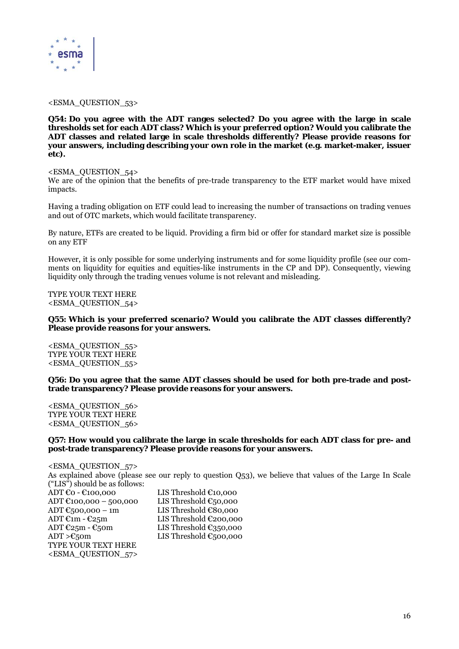

<ESMA\_QUESTION\_53>

**Q54: Do you agree with the ADT ranges selected? Do you agree with the large in scale thresholds set for each ADT class? Which is your preferred option? Would you calibrate the ADT classes and related large in scale thresholds differently? Please provide reasons for your answers, including describing your own role in the market (e.g. market-maker, issuer etc).** 

#### <ESMA\_QUESTION\_54>

We are of the opinion that the benefits of pre-trade transparency to the ETF market would have mixed impacts.

Having a trading obligation on ETF could lead to increasing the number of transactions on trading venues and out of OTC markets, which would facilitate transparency.

By nature, ETFs are created to be liquid. Providing a firm bid or offer for standard market size is possible on any ETF

However, it is only possible for some underlying instruments and for some liquidity profile (see our comments on liquidity for equities and equities-like instruments in the CP and DP). Consequently, viewing liquidity only through the trading venues volume is not relevant and misleading.

TYPE YOUR TEXT HERE <ESMA\_QUESTION\_54>

#### **Q55: Which is your preferred scenario? Would you calibrate the ADT classes differently? Please provide reasons for your answers.**

<ESMA\_QUESTION\_55> TYPE YOUR TEXT HERE <ESMA\_QUESTION\_55>

#### **Q56: Do you agree that the same ADT classes should be used for both pre-trade and posttrade transparency? Please provide reasons for your answers.**

<ESMA\_QUESTION\_56> TYPE YOUR TEXT HERE <ESMA\_QUESTION\_56>

#### **Q57: How would you calibrate the large in scale thresholds for each ADT class for pre- and post-trade transparency? Please provide reasons for your answers.**

<ESMA\_QUESTION\_57> As explained above (please see our reply to question Q53), we believe that values of the Large In Scale ("LIS") should be as follows: ADT €0 - €100,000 LIS Threshold €10,000 ADT  $\text{\textsterling}100,000 - 500,000$  LIS Threshold  $\text{\textsterling}50,000$ ADT  $\epsilon$ 500,000 – 1m LIS Threshold  $\epsilon$ 80,000 ADT  $\mathfrak{m}$  -  $\mathfrak{C}25m$  LIS Threshold  $\mathfrak{C}200,000$ ADT  $\epsilon$ 25m -  $\epsilon$ 50m LIS Threshold  $\epsilon$ 350,000  $ADT > E_5$ 0m LIS Threshold  $E_5$ 00,000 TYPE YOUR TEXT HERE <ESMA\_QUESTION\_57>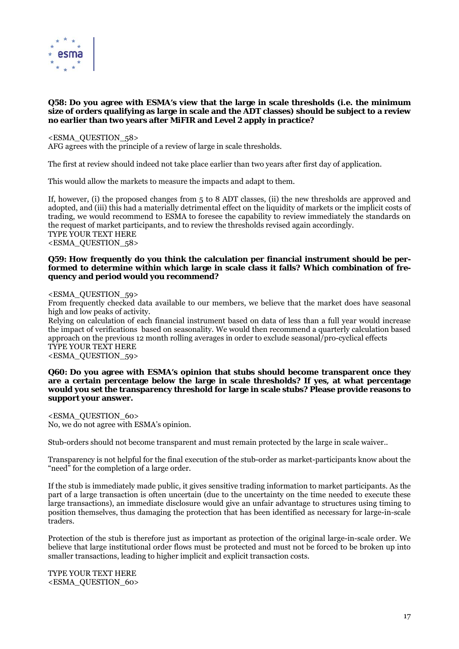

#### **Q58: Do you agree with ESMA's view that the large in scale thresholds (i.e. the minimum size of orders qualifying as large in scale and the ADT classes) should be subject to a review no earlier than two years after MiFIR and Level 2 apply in practice?**

#### <ESMA\_QUESTION\_58>

AFG agrees with the principle of a review of large in scale thresholds.

The first at review should indeed not take place earlier than two years after first day of application.

This would allow the markets to measure the impacts and adapt to them.

If, however, (i) the proposed changes from 5 to 8 ADT classes, (ii) the new thresholds are approved and adopted, and (iii) this had a materially detrimental effect on the liquidity of markets or the implicit costs of trading, we would recommend to ESMA to foresee the capability to review immediately the standards on the request of market participants, and to review the thresholds revised again accordingly. TYPE YOUR TEXT HERE <ESMA\_QUESTION\_58>

#### **Q59: How frequently do you think the calculation per financial instrument should be performed to determine within which large in scale class it falls? Which combination of frequency and period would you recommend?**

<ESMA\_QUESTION\_59>

From frequently checked data available to our members, we believe that the market does have seasonal high and low peaks of activity.

Relying on calculation of each financial instrument based on data of less than a full year would increase the impact of verifications based on seasonality. We would then recommend a quarterly calculation based approach on the previous 12 month rolling averages in order to exclude seasonal/pro-cyclical effects TYPE YOUR TEXT HERE

<ESMA\_QUESTION\_59>

#### **Q60: Do you agree with ESMA's opinion that stubs should become transparent once they are a certain percentage below the large in scale thresholds? If yes, at what percentage would you set the transparency threshold for large in scale stubs? Please provide reasons to support your answer.**

<ESMA\_QUESTION\_60> No, we do not agree with ESMA's opinion.

Stub-orders should not become transparent and must remain protected by the large in scale waiver..

Transparency is not helpful for the final execution of the stub-order as market-participants know about the "need" for the completion of a large order.

If the stub is immediately made public, it gives sensitive trading information to market participants. As the part of a large transaction is often uncertain (due to the uncertainty on the time needed to execute these large transactions), an immediate disclosure would give an unfair advantage to structures using timing to position themselves, thus damaging the protection that has been identified as necessary for large-in-scale traders.

Protection of the stub is therefore just as important as protection of the original large-in-scale order. We believe that large institutional order flows must be protected and must not be forced to be broken up into smaller transactions, leading to higher implicit and explicit transaction costs.

TYPE YOUR TEXT HERE <ESMA\_QUESTION\_60>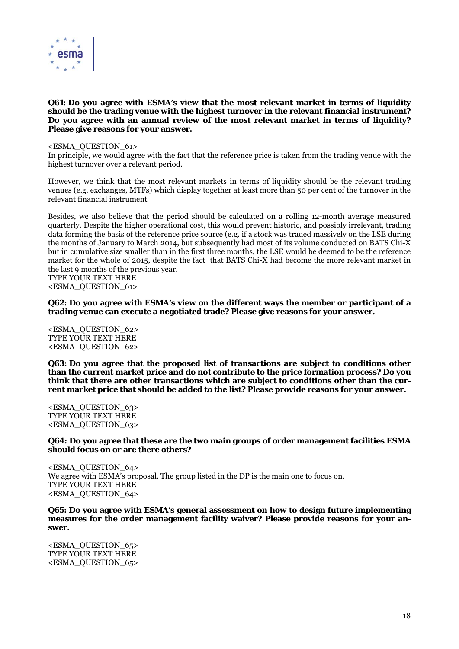

#### **Q61: Do you agree with ESMA's view that the most relevant market in terms of liquidity should be the trading venue with the highest turnover in the relevant financial instrument? Do you agree with an annual review of the most relevant market in terms of liquidity? Please give reasons for your answer.**

<ESMA\_QUESTION\_61>

In principle, we would agree with the fact that the reference price is taken from the trading venue with the highest turnover over a relevant period.

However, we think that the most relevant markets in terms of liquidity should be the relevant trading venues (e.g. exchanges, MTFs) which display together at least more than 50 per cent of the turnover in the relevant financial instrument

Besides, we also believe that the period should be calculated on a rolling 12-month average measured quarterly. Despite the higher operational cost, this would prevent historic, and possibly irrelevant, trading data forming the basis of the reference price source (e.g. if a stock was traded massively on the LSE during the months of January to March 2014, but subsequently had most of its volume conducted on BATS Chi- $\bar{X}$ but in cumulative size smaller than in the first three months, the LSE would be deemed to be the reference market for the whole of 2015, despite the fact that BATS Chi-X had become the more relevant market in the last 9 months of the previous year.

TYPE YOUR TEXT HERE <ESMA\_QUESTION\_61>

**Q62: Do you agree with ESMA's view on the different ways the member or participant of a trading venue can execute a negotiated trade? Please give reasons for your answer.** 

<ESMA\_QUESTION\_62> TYPE YOUR TEXT HERE <ESMA\_QUESTION\_62>

**Q63: Do you agree that the proposed list of transactions are subject to conditions other than the current market price and do not contribute to the price formation process? Do you think that there are other transactions which are subject to conditions other than the current market price that should be added to the list? Please provide reasons for your answer.** 

<ESMA\_QUESTION\_63> TYPE YOUR TEXT HERE <ESMA\_QUESTION\_63>

#### **Q64: Do you agree that these are the two main groups of order management facilities ESMA should focus on or are there others?**

<ESMA\_QUESTION\_64> We agree with ESMA's proposal. The group listed in the DP is the main one to focus on. TYPE YOUR TEXT HERE <ESMA\_QUESTION\_64>

**Q65: Do you agree with ESMA's general assessment on how to design future implementing measures for the order management facility waiver? Please provide reasons for your answer.** 

<ESMA\_QUESTION\_65> TYPE YOUR TEXT HERE <ESMA\_QUESTION\_65>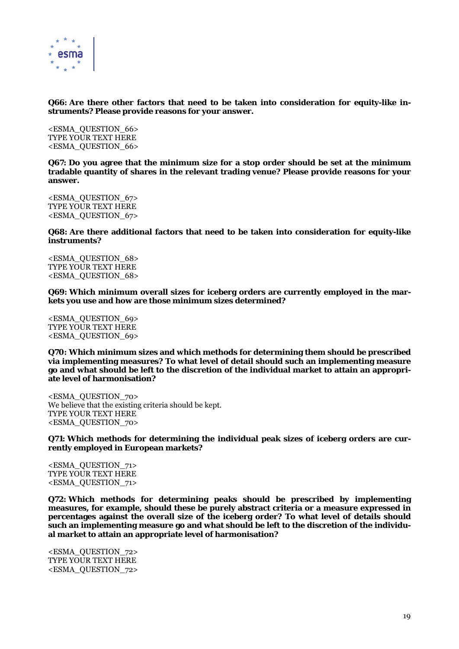

**Q66: Are there other factors that need to be taken into consideration for equity-like instruments? Please provide reasons for your answer.** 

<ESMA\_QUESTION\_66> TYPE YOUR TEXT HERE <ESMA\_QUESTION\_66>

**Q67: Do you agree that the minimum size for a stop order should be set at the minimum tradable quantity of shares in the relevant trading venue? Please provide reasons for your answer.** 

<ESMA\_QUESTION\_67> TYPE YOUR TEXT HERE <ESMA\_QUESTION\_67>

**Q68: Are there additional factors that need to be taken into consideration for equity-like instruments?** 

<ESMA\_QUESTION\_68> TYPE YOUR TEXT HERE <ESMA\_QUESTION\_68>

**Q69: Which minimum overall sizes for iceberg orders are currently employed in the markets you use and how are those minimum sizes determined?** 

<ESMA\_QUESTION\_69> TYPE YOUR TEXT HERE <ESMA\_QUESTION\_69>

**Q70: Which minimum sizes and which methods for determining them should be prescribed via implementing measures? To what level of detail should such an implementing measure go and what should be left to the discretion of the individual market to attain an appropriate level of harmonisation?** 

<ESMA\_QUESTION\_70> We believe that the existing criteria should be kept. TYPE YOUR TEXT HERE <ESMA\_QUESTION\_70>

**Q71: Which methods for determining the individual peak sizes of iceberg orders are currently employed in European markets?** 

<ESMA\_QUESTION\_71> TYPE YOUR TEXT HERE <ESMA\_QUESTION\_71>

**Q72: Which methods for determining peaks should be prescribed by implementing measures, for example, should these be purely abstract criteria or a measure expressed in percentages against the overall size of the iceberg order? To what level of details should such an implementing measure go and what should be left to the discretion of the individual market to attain an appropriate level of harmonisation?** 

<ESMA\_QUESTION\_72> TYPE YOUR TEXT HERE <ESMA\_QUESTION\_72>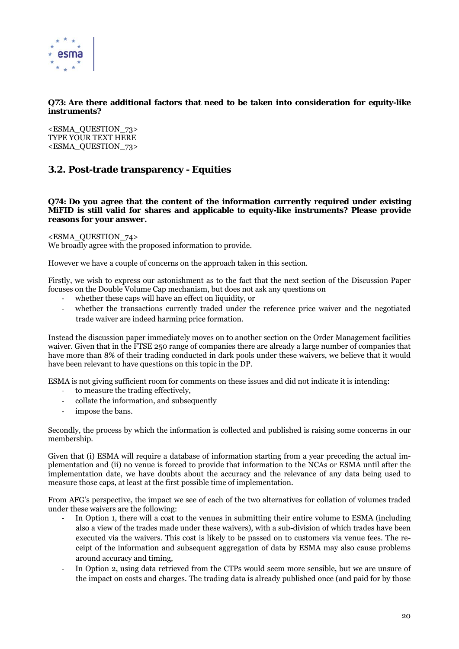

#### **Q73: Are there additional factors that need to be taken into consideration for equity-like instruments?**

<ESMA\_QUESTION\_73> TYPE YOUR TEXT HERE <ESMA\_QUESTION\_73>

# **3.2. Post-trade transparency - Equities**

**Q74: Do you agree that the content of the information currently required under existing MiFID is still valid for shares and applicable to equity-like instruments? Please provide reasons for your answer.** 

<ESMA\_QUESTION\_74>

We broadly agree with the proposed information to provide.

However we have a couple of concerns on the approach taken in this section.

Firstly, we wish to express our astonishment as to the fact that the next section of the Discussion Paper focuses on the Double Volume Cap mechanism, but does not ask any questions on

- whether these caps will have an effect on liquidity, or
- whether the transactions currently traded under the reference price waiver and the negotiated trade waiver are indeed harming price formation.

Instead the discussion paper immediately moves on to another section on the Order Management facilities waiver. Given that in the FTSE 250 range of companies there are already a large number of companies that have more than 8% of their trading conducted in dark pools under these waivers, we believe that it would have been relevant to have questions on this topic in the DP.

ESMA is not giving sufficient room for comments on these issues and did not indicate it is intending:

- ‐ to measure the trading effectively,
- ‐ collate the information, and subsequently
- impose the bans.

Secondly, the process by which the information is collected and published is raising some concerns in our membership.

Given that (i) ESMA will require a database of information starting from a year preceding the actual implementation and (ii) no venue is forced to provide that information to the NCAs or ESMA until after the implementation date, we have doubts about the accuracy and the relevance of any data being used to measure those caps, at least at the first possible time of implementation.

From AFG's perspective, the impact we see of each of the two alternatives for collation of volumes traded under these waivers are the following:

- In Option 1, there will a cost to the venues in submitting their entire volume to ESMA (including also a view of the trades made under these waivers), with a sub-division of which trades have been executed via the waivers. This cost is likely to be passed on to customers via venue fees. The receipt of the information and subsequent aggregation of data by ESMA may also cause problems around accuracy and timing,
- ‐ In Option 2, using data retrieved from the CTPs would seem more sensible, but we are unsure of the impact on costs and charges. The trading data is already published once (and paid for by those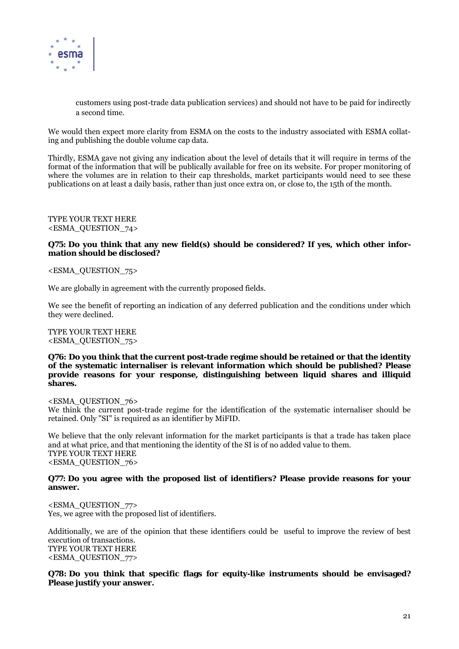

customers using post-trade data publication services) and should not have to be paid for indirectly a second time.

We would then expect more clarity from ESMA on the costs to the industry associated with ESMA collating and publishing the double volume cap data.

Thirdly, ESMA gave not giving any indication about the level of details that it will require in terms of the format of the information that will be publically available for free on its website. For proper monitoring of where the volumes are in relation to their cap thresholds, market participants would need to see these publications on at least a daily basis, rather than just once extra on, or close to, the 15th of the month.

TYPE YOUR TEXT HERE <ESMA\_QUESTION\_74>

#### **Q75: Do you think that any new field(s) should be considered? If yes, which other information should be disclosed?**

<ESMA\_QUESTION\_75>

We are globally in agreement with the currently proposed fields.

We see the benefit of reporting an indication of any deferred publication and the conditions under which they were declined.

TYPE YOUR TEXT HERE <ESMA\_QUESTION\_75>

**Q76: Do you think that the current post-trade regime should be retained or that the identity of the systematic internaliser is relevant information which should be published? Please provide reasons for your response, distinguishing between liquid shares and illiquid shares.** 

<ESMA\_QUESTION\_76> We think the current post-trade regime for the identification of the systematic internaliser should be retained. Only "SI" is required as an identifier by MiFID.

We believe that the only relevant information for the market participants is that a trade has taken place and at what price, and that mentioning the identity of the SI is of no added value to them. TYPE YOUR TEXT HERE <ESMA\_QUESTION\_76>

#### **Q77: Do you agree with the proposed list of identifiers? Please provide reasons for your answer.**

<ESMA\_QUESTION\_77> Yes, we agree with the proposed list of identifiers.

Additionally, we are of the opinion that these identifiers could be useful to improve the review of best execution of transactions. TYPE YOUR TEXT HERE <ESMA\_QUESTION\_77>

#### **Q78: Do you think that specific flags for equity-like instruments should be envisaged? Please justify your answer.**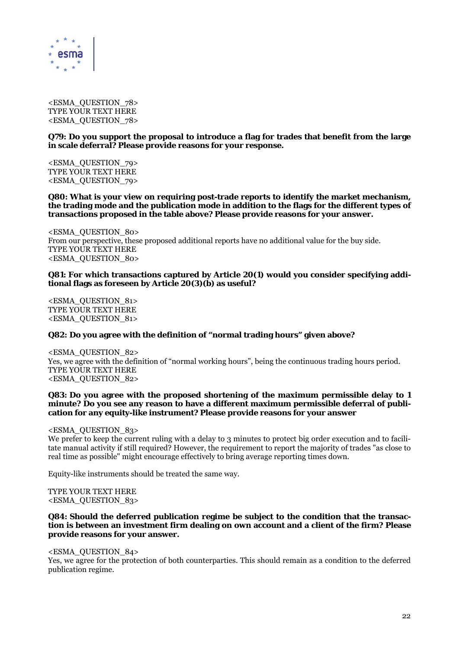

<ESMA\_QUESTION\_78> TYPE YOUR TEXT HERE <ESMA\_QUESTION\_78>

#### **Q79: Do you support the proposal to introduce a flag for trades that benefit from the large in scale deferral? Please provide reasons for your response.**

<ESMA\_QUESTION\_79> TYPE YOUR TEXT HERE <ESMA\_QUESTION\_79>

**Q80: What is your view on requiring post-trade reports to identify the market mechanism, the trading mode and the publication mode in addition to the flags for the different types of transactions proposed in the table above? Please provide reasons for your answer.** 

<ESMA\_QUESTION\_80> From our perspective, these proposed additional reports have no additional value for the buy side. TYPE YOUR TEXT HERE <ESMA\_QUESTION\_80>

#### **Q81: For which transactions captured by Article 20(1) would you consider specifying additional flags as foreseen by Article 20(3)(b) as useful?**

<ESMA\_QUESTION\_81> TYPE YOUR TEXT HERE <ESMA\_QUESTION\_81>

#### **Q82: Do you agree with the definition of "normal trading hours" given above?**

<ESMA\_QUESTION\_82> Yes, we agree with the definition of "normal working hours", being the continuous trading hours period. TYPE YOUR TEXT HERE <ESMA\_QUESTION\_82>

#### **Q83: Do you agree with the proposed shortening of the maximum permissible delay to 1 minute? Do you see any reason to have a different maximum permissible deferral of publication for any equity-like instrument? Please provide reasons for your answer**

<ESMA\_QUESTION\_83>

We prefer to keep the current ruling with a delay to 3 minutes to protect big order execution and to facilitate manual activity if still required? However, the requirement to report the majority of trades "as close to real time as possible" might encourage effectively to bring average reporting times down.

Equity-like instruments should be treated the same way.

#### TYPE YOUR TEXT HERE <ESMA\_QUESTION\_83>

#### **Q84: Should the deferred publication regime be subject to the condition that the transaction is between an investment firm dealing on own account and a client of the firm? Please provide reasons for your answer.**

#### <ESMA\_QUESTION\_84>

Yes, we agree for the protection of both counterparties. This should remain as a condition to the deferred publication regime.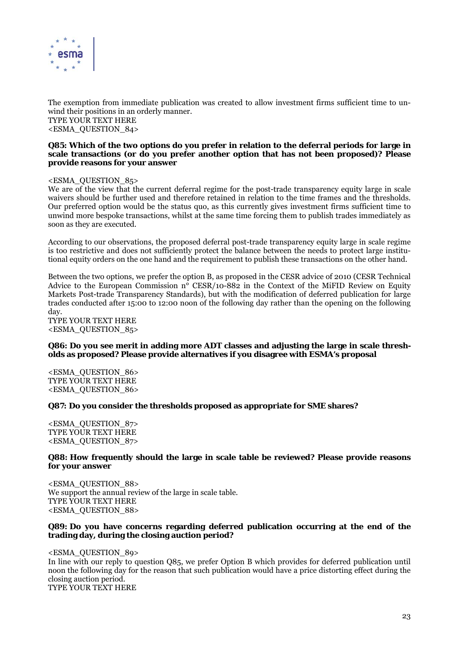

The exemption from immediate publication was created to allow investment firms sufficient time to unwind their positions in an orderly manner. TYPE YOUR TEXT HERE <ESMA\_QUESTION\_84>

#### **Q85: Which of the two options do you prefer in relation to the deferral periods for large in scale transactions (or do you prefer another option that has not been proposed)? Please provide reasons for your answer**

#### <ESMA\_QUESTION\_85>

We are of the view that the current deferral regime for the post-trade transparency equity large in scale waivers should be further used and therefore retained in relation to the time frames and the thresholds. Our preferred option would be the status quo, as this currently gives investment firms sufficient time to unwind more bespoke transactions, whilst at the same time forcing them to publish trades immediately as soon as they are executed.

According to our observations, the proposed deferral post-trade transparency equity large in scale regime is too restrictive and does not sufficiently protect the balance between the needs to protect large institutional equity orders on the one hand and the requirement to publish these transactions on the other hand.

Between the two options, we prefer the option B, as proposed in the CESR advice of 2010 (CESR Technical Advice to the European Commission nº CESR/10-882 in the Context of the MiFID Review on Equity Markets Post-trade Transparency Standards), but with the modification of deferred publication for large trades conducted after 15:00 to 12:00 noon of the following day rather than the opening on the following day.

TYPE YOUR TEXT HERE <ESMA\_QUESTION\_85>

#### **Q86: Do you see merit in adding more ADT classes and adjusting the large in scale thresholds as proposed? Please provide alternatives if you disagree with ESMA's proposal**

<ESMA\_QUESTION\_86> TYPE YOUR TEXT HERE <ESMA\_QUESTION\_86>

#### **Q87: Do you consider the thresholds proposed as appropriate for SME shares?**

<ESMA\_QUESTION\_87> TYPE YOUR TEXT HERE <ESMA\_QUESTION\_87>

#### **Q88: How frequently should the large in scale table be reviewed? Please provide reasons for your answer**

<ESMA\_QUESTION\_88> We support the annual review of the large in scale table. TYPE YOUR TEXT HERE <ESMA\_QUESTION\_88>

#### **Q89: Do you have concerns regarding deferred publication occurring at the end of the trading day, during the closing auction period?**

<ESMA\_QUESTION\_89> In line with our reply to question Q85, we prefer Option B which provides for deferred publication until noon the following day for the reason that such publication would have a price distorting effect during the closing auction period. TYPE YOUR TEXT HERE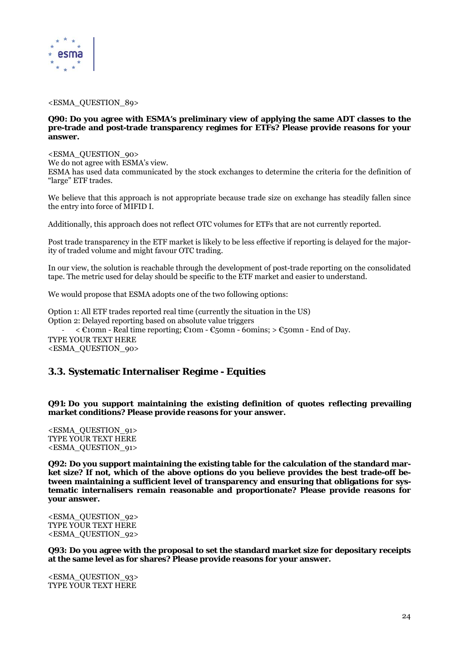

#### <ESMA\_QUESTION\_89>

#### **Q90: Do you agree with ESMA's preliminary view of applying the same ADT classes to the pre-trade and post-trade transparency regimes for ETFs? Please provide reasons for your answer.**

#### <ESMA\_QUESTION\_90>

We do not agree with ESMA's view.

ESMA has used data communicated by the stock exchanges to determine the criteria for the definition of "large" ETF trades.

We believe that this approach is not appropriate because trade size on exchange has steadily fallen since the entry into force of MIFID I.

Additionally, this approach does not reflect OTC volumes for ETFs that are not currently reported.

Post trade transparency in the ETF market is likely to be less effective if reporting is delayed for the majority of traded volume and might favour OTC trading.

In our view, the solution is reachable through the development of post-trade reporting on the consolidated tape. The metric used for delay should be specific to the ETF market and easier to understand.

We would propose that ESMA adopts one of the two following options:

Option 1: All ETF trades reported real time (currently the situation in the US) Option 2: Delayed reporting based on absolute value triggers ‐ < €10mn - Real time reporting; €10m - €50mn - 60mins; > €50mn - End of Day. TYPE YOUR TEXT HERE <ESMA\_QUESTION\_90>

# **3.3. Systematic Internaliser Regime - Equities**

**Q91: Do you support maintaining the existing definition of quotes reflecting prevailing market conditions? Please provide reasons for your answer.** 

<ESMA\_QUESTION\_91> TYPE YOUR TEXT HERE <ESMA\_QUESTION\_91>

**Q92: Do you support maintaining the existing table for the calculation of the standard market size? If not, which of the above options do you believe provides the best trade-off between maintaining a sufficient level of transparency and ensuring that obligations for systematic internalisers remain reasonable and proportionate? Please provide reasons for your answer.** 

<ESMA\_QUESTION\_92> TYPE YOUR TEXT HERE <ESMA\_QUESTION\_92>

**Q93: Do you agree with the proposal to set the standard market size for depositary receipts at the same level as for shares? Please provide reasons for your answer.** 

<ESMA\_QUESTION\_93> TYPE YOUR TEXT HERE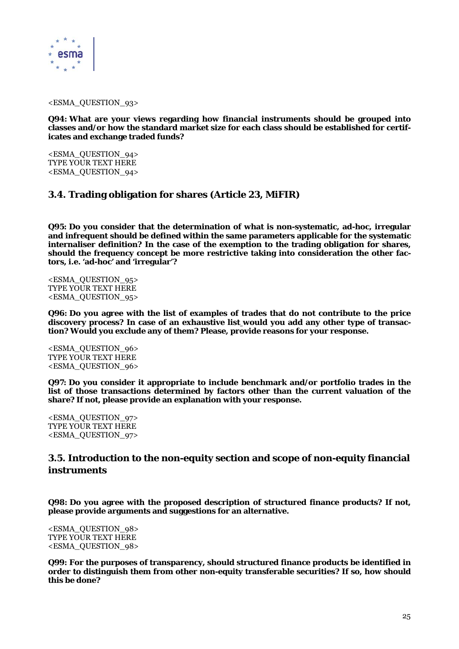

#### <ESMA\_QUESTION\_93>

**Q94: What are your views regarding how financial instruments should be grouped into classes and/or how the standard market size for each class should be established for certificates and exchange traded funds?** 

<ESMA\_QUESTION\_94> TYPE YOUR TEXT HERE <ESMA\_QUESTION\_94>

# **3.4. Trading obligation for shares (Article 23, MiFIR)**

**Q95: Do you consider that the determination of what is non-systematic, ad-hoc, irregular and infrequent should be defined within the same parameters applicable for the systematic internaliser definition? In the case of the exemption to the trading obligation for shares, should the frequency concept be more restrictive taking into consideration the other factors, i.e. 'ad-hoc' and 'irregular'?** 

<ESMA\_QUESTION\_95> TYPE YOUR TEXT HERE <ESMA\_QUESTION\_95>

**Q96: Do you agree with the list of examples of trades that do not contribute to the price discovery process? In case of an exhaustive list would you add any other type of transaction? Would you exclude any of them? Please, provide reasons for your response.** 

<ESMA\_QUESTION\_96> TYPE YOUR TEXT HERE <ESMA\_QUESTION\_96>

**Q97: Do you consider it appropriate to include benchmark and/or portfolio trades in the list of those transactions determined by factors other than the current valuation of the share? If not, please provide an explanation with your response.** 

<ESMA\_QUESTION\_97> TYPE YOUR TEXT HERE <ESMA\_QUESTION\_97>

# **3.5. Introduction to the non-equity section and scope of non-equity financial instruments**

**Q98: Do you agree with the proposed description of structured finance products? If not, please provide arguments and suggestions for an alternative.** 

<ESMA\_QUESTION\_98> TYPE YOUR TEXT HERE <ESMA\_QUESTION\_98>

**Q99: For the purposes of transparency, should structured finance products be identified in order to distinguish them from other non-equity transferable securities? If so, how should this be done?**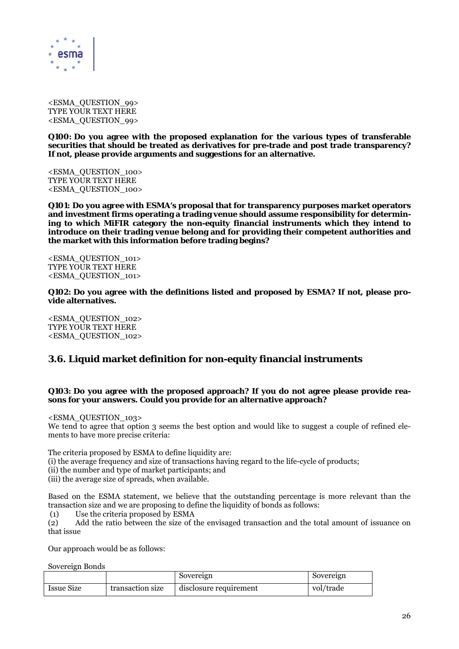

<ESMA\_QUESTION\_99> TYPE YOUR TEXT HERE <ESMA\_QUESTION\_99>

**Q100: Do you agree with the proposed explanation for the various types of transferable securities that should be treated as derivatives for pre-trade and post trade transparency? If not, please provide arguments and suggestions for an alternative.** 

<ESMA\_QUESTION\_100> TYPE YOUR TEXT HERE <ESMA\_QUESTION\_100>

**Q101: Do you agree with ESMA's proposal that for transparency purposes market operators and investment firms operating a trading venue should assume responsibility for determining to which MiFIR category the non-equity financial instruments which they intend to introduce on their trading venue belong and for providing their competent authorities and the market with this information before trading begins?** 

<ESMA\_QUESTION\_101> TYPE YOUR TEXT HERE <ESMA\_QUESTION\_101>

**Q102: Do you agree with the definitions listed and proposed by ESMA? If not, please provide alternatives.** 

<ESMA\_QUESTION\_102> TYPE YOUR TEXT HERE <ESMA\_QUESTION\_102>

# **3.6. Liquid market definition for non-equity financial instruments**

#### **Q103: Do you agree with the proposed approach? If you do not agree please provide reasons for your answers. Could you provide for an alternative approach?**

<ESMA\_QUESTION\_103>

We tend to agree that option 3 seems the best option and would like to suggest a couple of refined elements to have more precise criteria:

The criteria proposed by ESMA to define liquidity are:

(i) the average frequency and size of transactions having regard to the life-cycle of products;

(ii) the number and type of market participants; and

(iii) the average size of spreads, when available.

Based on the ESMA statement, we believe that the outstanding percentage is more relevant than the transaction size and we are proposing to define the liquidity of bonds as follows:

(1) Use the criteria proposed by ESMA

(2) Add the ratio between the size of the envisaged transaction and the total amount of issuance on that issue

Our approach would be as follows:

Sovereign Bonds

|                   |                  | Sovereign              | Sovereign |
|-------------------|------------------|------------------------|-----------|
| <b>Issue Size</b> | transaction size | disclosure requirement | vol/trade |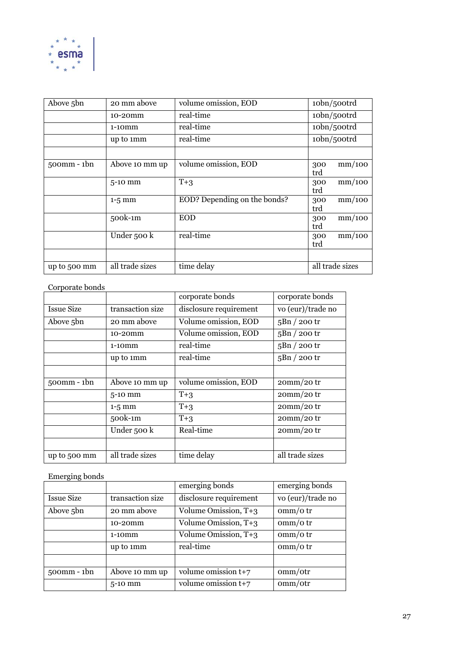

| Above 5bn        | 20 mm above     | volume omission, EOD         | 10bn/500trd          |
|------------------|-----------------|------------------------------|----------------------|
|                  | 10-20mm         | real-time                    | 10bn/500trd          |
|                  | $1-10$ $mm$     | real-time                    | 10bn/500trd          |
|                  | up to 1mm       | real-time                    | 10bn/500trd          |
|                  |                 |                              |                      |
| $500$ mm - $1bn$ | Above 10 mm up  | volume omission, EOD         | mm/100<br>300<br>trd |
|                  | $5-10$ mm       | $T+3$                        | mm/100<br>300<br>trd |
|                  | $1-5$ mm        | EOD? Depending on the bonds? | mm/100<br>300<br>trd |
|                  | 500k-1m         | <b>EOD</b>                   | mm/100<br>300<br>trd |
|                  | Under 500 k     | real-time                    | mm/100<br>300<br>trd |
|                  |                 |                              |                      |
| up to 500 mm     | all trade sizes | time delay                   | all trade sizes      |

### Corporate bonds

|                   |                  | corporate bonds        | corporate bonds   |
|-------------------|------------------|------------------------|-------------------|
| <b>Issue Size</b> | transaction size | disclosure requirement | vo (eur)/trade no |
| Above 5bn         | 20 mm above      | Volume omission, EOD   | $5Bn / 200$ tr    |
|                   | 10-20mm          | Volume omission, EOD   | $5Bn / 200$ tr    |
|                   | $1-10$ $mm$      | real-time              | $5Bn/200$ tr      |
|                   | up to 1mm        | real-time              | $5Bn / 200$ tr    |
|                   |                  |                        |                   |
| $500$ mm - $1bn$  | Above 10 mm up   | volume omission, EOD   | $20mm/20$ tr      |
|                   | $5-10$ mm        | $T+3$                  | $20mm/20$ tr      |
|                   | $1-5$ mm         | $T+3$                  | $20mm/20$ tr      |
|                   | 500k-1m          | $T+3$                  | $20mm/20$ tr      |
|                   | Under 500 k      | Real-time              | $20mm/20$ tr      |
|                   |                  |                        |                   |
| up to 500 mm      | all trade sizes  | time delay             | all trade sizes   |

### Emerging bonds

|                   |                  | emerging bonds         | emerging bonds    |
|-------------------|------------------|------------------------|-------------------|
| <b>Issue Size</b> | transaction size | disclosure requirement | vo (eur)/trade no |
| Above 5bn         | 20 mm above      | Volume Omission, T+3   | $\sigma$ mm/otr   |
|                   | 10-20mm          | Volume Omission, T+3   | $\sigma$ mm/otr   |
|                   | $1-10$ $mm$      | Volume Omission, T+3   | $\sigma$ mm/otr   |
|                   | up to 1mm        | real-time              | $\sigma$ mm/otr   |
|                   |                  |                        |                   |
| $500$ mm $-1$ bn  | Above 10 mm up   | volume omission $t+7$  | omm/otr           |
|                   | $5-10$ mm        | volume omission t+7    | omm/otr           |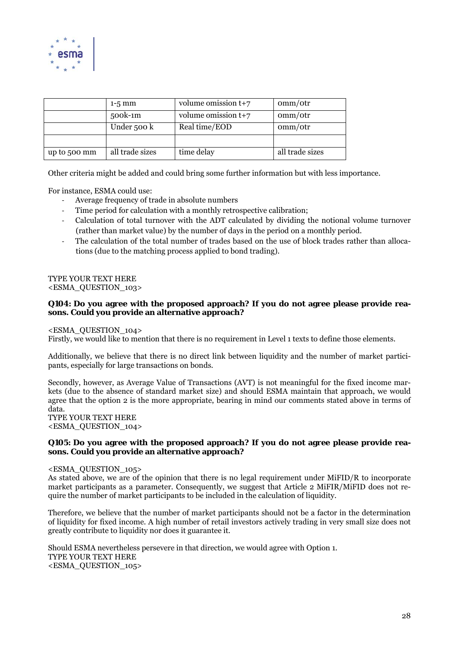

|              | $1-5$ mm        | volume omission $t+7$ | omm/otr         |
|--------------|-----------------|-----------------------|-----------------|
|              | 500k-1m         | volume omission $t+7$ | omm/otr         |
|              | Under 500 k     | Real time/EOD         | omm/otr         |
|              |                 |                       |                 |
| up to 500 mm | all trade sizes | time delay            | all trade sizes |

Other criteria might be added and could bring some further information but with less importance.

For instance, ESMA could use:

- ‐ Average frequency of trade in absolute numbers
- Time period for calculation with a monthly retrospective calibration;
- ‐ Calculation of total turnover with the ADT calculated by dividing the notional volume turnover (rather than market value) by the number of days in the period on a monthly period.
- The calculation of the total number of trades based on the use of block trades rather than allocations (due to the matching process applied to bond trading).

#### TYPE YOUR TEXT HERE <ESMA\_QUESTION\_103>

#### **Q104: Do you agree with the proposed approach? If you do not agree please provide reasons. Could you provide an alternative approach?**

#### <ESMA\_QUESTION\_104>

Firstly, we would like to mention that there is no requirement in Level 1 texts to define those elements.

Additionally, we believe that there is no direct link between liquidity and the number of market participants, especially for large transactions on bonds.

Secondly, however, as Average Value of Transactions (AVT) is not meaningful for the fixed income markets (due to the absence of standard market size) and should ESMA maintain that approach, we would agree that the option 2 is the more appropriate, bearing in mind our comments stated above in terms of data. TYPE YOUR TEXT HERE

<ESMA\_QUESTION\_104>

#### **Q105: Do you agree with the proposed approach? If you do not agree please provide reasons. Could you provide an alternative approach?**

#### <ESMA\_QUESTION\_105>

As stated above, we are of the opinion that there is no legal requirement under MiFID/R to incorporate market participants as a parameter. Consequently, we suggest that Article 2 MiFIR/MiFID does not require the number of market participants to be included in the calculation of liquidity.

Therefore, we believe that the number of market participants should not be a factor in the determination of liquidity for fixed income. A high number of retail investors actively trading in very small size does not greatly contribute to liquidity nor does it guarantee it.

Should ESMA nevertheless persevere in that direction, we would agree with Option 1. TYPE YOUR TEXT HERE <ESMA\_QUESTION\_105>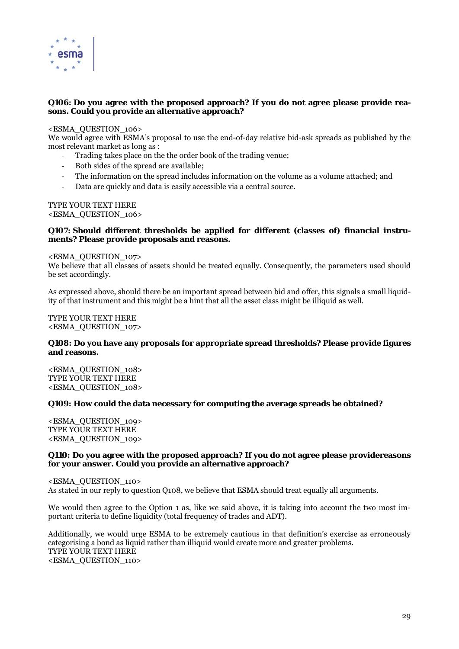

#### **Q106: Do you agree with the proposed approach? If you do not agree please provide reasons. Could you provide an alternative approach?**

#### <ESMA\_QUESTION\_106>

We would agree with ESMA's proposal to use the end-of-day relative bid-ask spreads as published by the most relevant market as long as :

- ‐ Trading takes place on the the order book of the trading venue;
- ‐ Both sides of the spread are available;
- ‐ The information on the spread includes information on the volume as a volume attached; and
- Data are quickly and data is easily accessible via a central source.

### TYPE YOUR TEXT HERE

<ESMA\_QUESTION\_106>

#### **Q107: Should different thresholds be applied for different (classes of) financial instruments? Please provide proposals and reasons.**

#### <ESMA\_QUESTION\_107>

We believe that all classes of assets should be treated equally. Consequently, the parameters used should be set accordingly.

As expressed above, should there be an important spread between bid and offer, this signals a small liquidity of that instrument and this might be a hint that all the asset class might be illiquid as well.

TYPE YOUR TEXT HERE <ESMA\_QUESTION\_107>

#### **Q108: Do you have any proposals for appropriate spread thresholds? Please provide figures and reasons.**

<ESMA\_QUESTION\_108> TYPE YOUR TEXT HERE <ESMA\_QUESTION\_108>

#### **Q109: How could the data necessary for computing the average spreads be obtained?**

<ESMA\_QUESTION\_109> TYPE YOUR TEXT HERE <ESMA\_QUESTION\_109>

#### **Q110: Do you agree with the proposed approach? If you do not agree please providereasons for your answer. Could you provide an alternative approach?**

<ESMA\_QUESTION\_110> As stated in our reply to question Q108, we believe that ESMA should treat equally all arguments.

We would then agree to the Option 1 as, like we said above, it is taking into account the two most important criteria to define liquidity (total frequency of trades and ADT).

Additionally, we would urge ESMA to be extremely cautious in that definition's exercise as erroneously categorising a bond as liquid rather than illiquid would create more and greater problems. TYPE YOUR TEXT HERE <ESMA\_QUESTION\_110>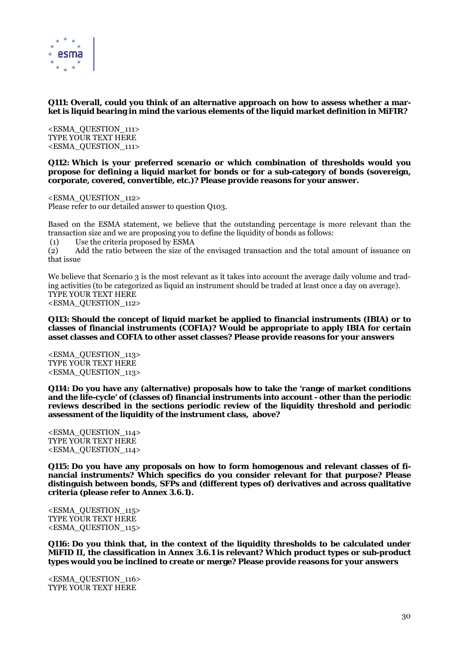

#### **Q111: Overall, could you think of an alternative approach on how to assess whether a market is liquid bearing in mind the various elements of the liquid market definition in MiFIR?**

<ESMA\_QUESTION\_111> TYPE YOUR TEXT HERE <ESMA\_QUESTION\_111>

**Q112: Which is your preferred scenario or which combination of thresholds would you propose for defining a liquid market for bonds or for a sub-category of bonds (sovereign, corporate, covered, convertible, etc.)? Please provide reasons for your answer.** 

<ESMA\_QUESTION\_112> Please refer to our detailed answer to question Q103.

Based on the ESMA statement, we believe that the outstanding percentage is more relevant than the transaction size and we are proposing you to define the liquidity of bonds as follows:

(1) Use the criteria proposed by ESMA

(2) Add the ratio between the size of the envisaged transaction and the total amount of issuance on that issue

We believe that Scenario 3 is the most relevant as it takes into account the average daily volume and trading activities (to be categorized as liquid an instrument should be traded at least once a day on average). TYPE YOUR TEXT HERE <ESMA\_QUESTION\_112>

#### **Q113: Should the concept of liquid market be applied to financial instruments (IBIA) or to classes of financial instruments (COFIA)? Would be appropriate to apply IBIA for certain asset classes and COFIA to other asset classes? Please provide reasons for your answers**

<ESMA\_QUESTION\_113> TYPE YOUR TEXT HERE <ESMA\_QUESTION\_113>

**Q114: Do you have any (alternative) proposals how to take the 'range of market conditions and the life-cycle' of (classes of) financial instruments into account - other than the periodic reviews described in the sections periodic review of the liquidity threshold and periodic assessment of the liquidity of the instrument class, above?** 

<ESMA\_QUESTION\_114> TYPE YOUR TEXT HERE <ESMA\_QUESTION\_114>

**Q115: Do you have any proposals on how to form homogenous and relevant classes of financial instruments? Which specifics do you consider relevant for that purpose? Please distinguish between bonds, SFPs and (different types of) derivatives and across qualitative criteria (please refer to Annex 3.6.1).** 

<ESMA\_QUESTION\_115> TYPE YOUR TEXT HERE <ESMA\_QUESTION\_115>

**Q116: Do you think that, in the context of the liquidity thresholds to be calculated under MiFID II, the classification in Annex 3.6.1 is relevant? Which product types or sub-product types would you be inclined to create or merge? Please provide reasons for your answers** 

<ESMA\_QUESTION\_116> TYPE YOUR TEXT HERE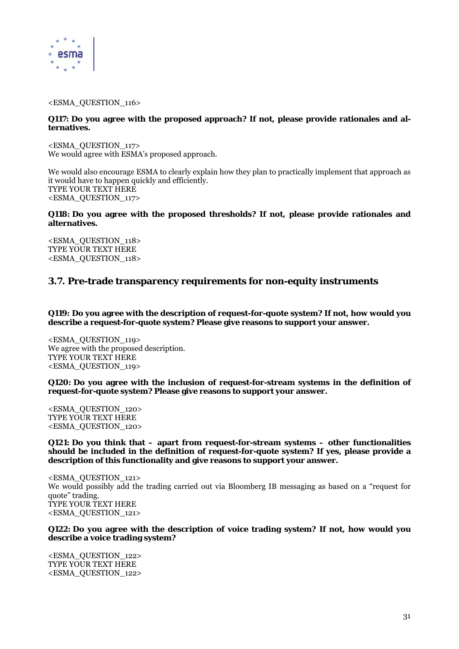

#### <ESMA\_QUESTION\_116>

#### **Q117: Do you agree with the proposed approach? If not, please provide rationales and alternatives.**

<ESMA\_QUESTION\_117> We would agree with ESMA's proposed approach.

We would also encourage ESMA to clearly explain how they plan to practically implement that approach as it would have to happen quickly and efficiently. TYPE YOUR TEXT HERE <ESMA\_QUESTION\_117>

#### **Q118: Do you agree with the proposed thresholds? If not, please provide rationales and alternatives.**

<ESMA\_QUESTION\_118> TYPE YOUR TEXT HERE <ESMA\_QUESTION\_118>

# **3.7. Pre-trade transparency requirements for non-equity instruments**

**Q119: Do you agree with the description of request-for-quote system? If not, how would you describe a request-for-quote system? Please give reasons to support your answer.** 

<ESMA\_QUESTION\_119> We agree with the proposed description. TYPE YOUR TEXT HERE <ESMA\_QUESTION\_119>

**Q120: Do you agree with the inclusion of request-for-stream systems in the definition of request-for-quote system? Please give reasons to support your answer.** 

<ESMA\_QUESTION\_120> TYPE YOUR TEXT HERE <ESMA\_QUESTION\_120>

**Q121: Do you think that – apart from request-for-stream systems – other functionalities should be included in the definition of request-for-quote system? If yes, please provide a description of this functionality and give reasons to support your answer.** 

<ESMA\_QUESTION\_121> We would possibly add the trading carried out via Bloomberg IB messaging as based on a "request for quote" trading. TYPE YOUR TEXT HERE <ESMA\_QUESTION\_121>

#### **Q122: Do you agree with the description of voice trading system? If not, how would you describe a voice trading system?**

<ESMA\_QUESTION\_122> TYPE YOUR TEXT HERE <ESMA\_QUESTION\_122>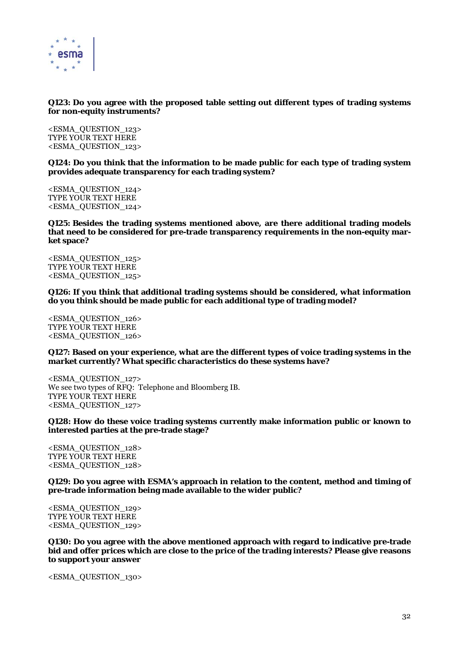

#### **Q123: Do you agree with the proposed table setting out different types of trading systems for non-equity instruments?**

<ESMA\_QUESTION\_123> TYPE YOUR TEXT HERE <ESMA\_QUESTION\_123>

**Q124: Do you think that the information to be made public for each type of trading system provides adequate transparency for each trading system?** 

<ESMA\_QUESTION\_124> TYPE YOUR TEXT HERE <ESMA\_QUESTION\_124>

**Q125: Besides the trading systems mentioned above, are there additional trading models that need to be considered for pre-trade transparency requirements in the non-equity market space?** 

<ESMA\_QUESTION\_125> TYPE YOUR TEXT HERE <ESMA\_QUESTION\_125>

**Q126: If you think that additional trading systems should be considered, what information do you think should be made public for each additional type of trading model?** 

<ESMA\_QUESTION\_126> TYPE YOUR TEXT HERE <ESMA\_QUESTION\_126>

**Q127: Based on your experience, what are the different types of voice trading systems in the market currently? What specific characteristics do these systems have?** 

<ESMA\_QUESTION\_127> We see two types of RFQ: Telephone and Bloomberg IB. TYPE YOUR TEXT HERE <ESMA\_QUESTION\_127>

**Q128: How do these voice trading systems currently make information public or known to interested parties at the pre-trade stage?** 

<ESMA\_QUESTION\_128> TYPE YOUR TEXT HERE <ESMA\_QUESTION\_128>

**Q129: Do you agree with ESMA's approach in relation to the content, method and timing of pre-trade information being made available to the wider public?** 

<ESMA\_QUESTION\_129> TYPE YOUR TEXT HERE <ESMA\_QUESTION\_129>

**Q130: Do you agree with the above mentioned approach with regard to indicative pre-trade bid and offer prices which are close to the price of the trading interests? Please give reasons to support your answer** 

<ESMA\_QUESTION\_130>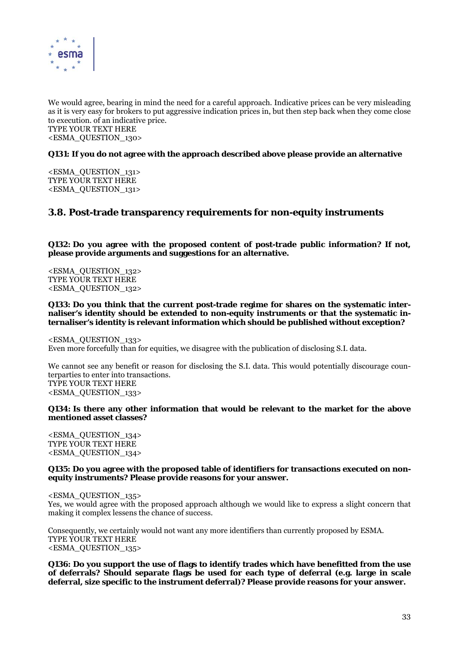

We would agree, bearing in mind the need for a careful approach. Indicative prices can be very misleading as it is very easy for brokers to put aggressive indication prices in, but then step back when they come close to execution. of an indicative price. TYPE YOUR TEXT HERE <ESMA\_QUESTION\_130>

#### **Q131: If you do not agree with the approach described above please provide an alternative**

<ESMA\_QUESTION\_131> TYPE YOUR TEXT HERE <ESMA\_QUESTION\_131>

# **3.8. Post-trade transparency requirements for non-equity instruments**

**Q132: Do you agree with the proposed content of post-trade public information? If not, please provide arguments and suggestions for an alternative.** 

<ESMA\_QUESTION\_132> TYPE YOUR TEXT HERE <ESMA\_QUESTION\_132>

**Q133: Do you think that the current post-trade regime for shares on the systematic internaliser's identity should be extended to non-equity instruments or that the systematic internaliser's identity is relevant information which should be published without exception?** 

<ESMA\_QUESTION\_133> Even more forcefully than for equities, we disagree with the publication of disclosing S.I. data.

We cannot see any benefit or reason for disclosing the S.I. data. This would potentially discourage counterparties to enter into transactions. TYPE YOUR TEXT HERE <ESMA\_QUESTION\_133>

#### **Q134: Is there any other information that would be relevant to the market for the above mentioned asset classes?**

<ESMA\_QUESTION\_134> TYPE YOUR TEXT HERE <ESMA\_QUESTION\_134>

#### **Q135: Do you agree with the proposed table of identifiers for transactions executed on nonequity instruments? Please provide reasons for your answer.**

<ESMA\_QUESTION\_135>

Yes, we would agree with the proposed approach although we would like to express a slight concern that making it complex lessens the chance of success.

Consequently, we certainly would not want any more identifiers than currently proposed by ESMA. TYPE YOUR TEXT HERE <ESMA\_QUESTION\_135>

**Q136: Do you support the use of flags to identify trades which have benefitted from the use of deferrals? Should separate flags be used for each type of deferral (e.g. large in scale deferral, size specific to the instrument deferral)? Please provide reasons for your answer.**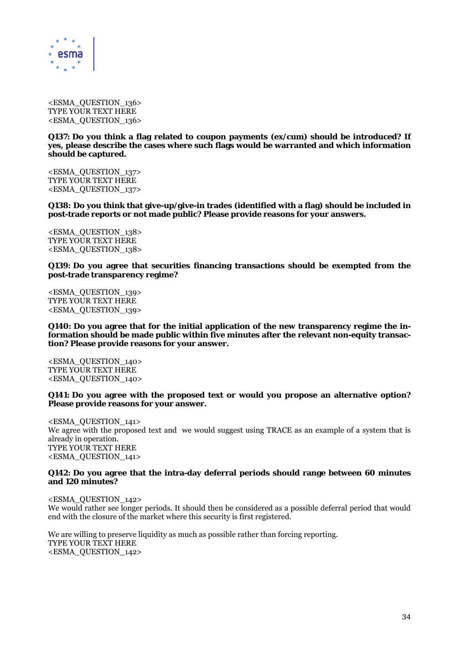

<ESMA\_QUESTION\_136> TYPE YOUR TEXT HERE <ESMA\_QUESTION\_136>

**Q137: Do you think a flag related to coupon payments (ex/cum) should be introduced? If yes, please describe the cases where such flags would be warranted and which information should be captured.** 

<ESMA\_QUESTION\_137> TYPE YOUR TEXT HERE <ESMA\_QUESTION\_137>

**Q138: Do you think that give-up/give-in trades (identified with a flag) should be included in post-trade reports or not made public? Please provide reasons for your answers.** 

<ESMA\_QUESTION\_138> TYPE YOUR TEXT HERE <ESMA\_QUESTION\_138>

**Q139: Do you agree that securities financing transactions should be exempted from the post-trade transparency regime?** 

<ESMA\_QUESTION\_139> TYPE YOUR TEXT HERE <ESMA\_QUESTION\_139>

**Q140: Do you agree that for the initial application of the new transparency regime the information should be made public within five minutes after the relevant non-equity transaction? Please provide reasons for your answer.** 

<ESMA\_QUESTION\_140> TYPE YOUR TEXT HERE <ESMA\_QUESTION\_140>

**Q141: Do you agree with the proposed text or would you propose an alternative option? Please provide reasons for your answer.** 

<ESMA\_QUESTION\_141> We agree with the proposed text and we would suggest using TRACE as an example of a system that is already in operation. TYPE YOUR TEXT HERE <ESMA\_QUESTION\_141>

#### **Q142: Do you agree that the intra-day deferral periods should range between 60 minutes and 120 minutes?**

<ESMA\_QUESTION\_142> We would rather see longer periods. It should then be considered as a possible deferral period that would end with the closure of the market where this security is first registered.

We are willing to preserve liquidity as much as possible rather than forcing reporting. TYPE YOUR TEXT HERE <ESMA\_QUESTION\_142>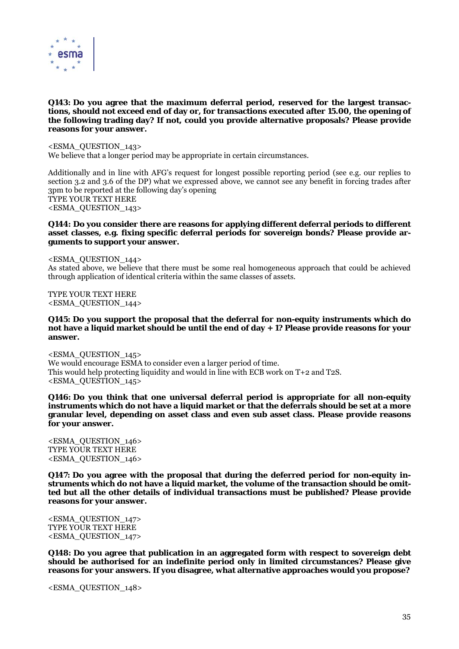

#### **Q143: Do you agree that the maximum deferral period, reserved for the largest transactions, should not exceed end of day or, for transactions executed after 15.00, the opening of the following trading day? If not, could you provide alternative proposals? Please provide reasons for your answer.**

<ESMA\_QUESTION\_143> We believe that a longer period may be appropriate in certain circumstances.

Additionally and in line with AFG's request for longest possible reporting period (see e.g. our replies to section 3.2 and 3.6 of the DP) what we expressed above, we cannot see any benefit in forcing trades after 3pm to be reported at the following day's opening TYPE YOUR TEXT HERE <ESMA\_QUESTION\_143>

#### **Q144: Do you consider there are reasons for applying different deferral periods to different asset classes, e.g. fixing specific deferral periods for sovereign bonds? Please provide arguments to support your answer.**

<ESMA\_QUESTION\_144> As stated above, we believe that there must be some real homogeneous approach that could be achieved through application of identical criteria within the same classes of assets.

TYPE YOUR TEXT HERE <ESMA\_QUESTION\_144>

#### **Q145: Do you support the proposal that the deferral for non-equity instruments which do not have a liquid market should be until the end of day + 1? Please provide reasons for your answer.**

<ESMA\_QUESTION\_145> We would encourage ESMA to consider even a larger period of time. This would help protecting liquidity and would in line with ECB work on T+2 and T2S. <ESMA\_QUESTION\_145>

**Q146: Do you think that one universal deferral period is appropriate for all non-equity instruments which do not have a liquid market or that the deferrals should be set at a more granular level, depending on asset class and even sub asset class. Please provide reasons for your answer.** 

<ESMA\_QUESTION\_146> TYPE YOUR TEXT HERE <ESMA\_QUESTION\_146>

**Q147: Do you agree with the proposal that during the deferred period for non-equity instruments which do not have a liquid market, the volume of the transaction should be omitted but all the other details of individual transactions must be published? Please provide reasons for your answer.** 

<ESMA\_QUESTION\_147> TYPE YOUR TEXT HERE <ESMA\_QUESTION\_147>

**Q148: Do you agree that publication in an aggregated form with respect to sovereign debt should be authorised for an indefinite period only in limited circumstances? Please give reasons for your answers. If you disagree, what alternative approaches would you propose?** 

<ESMA\_QUESTION\_148>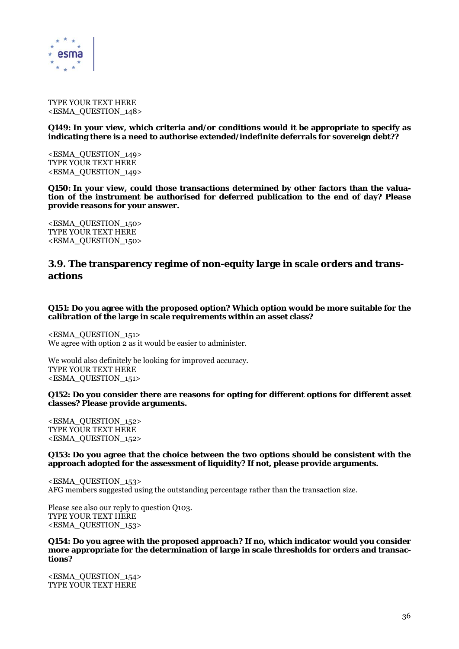

TYPE YOUR TEXT HERE <ESMA\_QUESTION\_148>

**Q149: In your view, which criteria and/or conditions would it be appropriate to specify as indicating there is a need to authorise extended/indefinite deferrals for sovereign debt??** 

<ESMA\_QUESTION\_149> TYPE YOUR TEXT HERE <ESMA\_QUESTION\_149>

**Q150: In your view, could those transactions determined by other factors than the valuation of the instrument be authorised for deferred publication to the end of day? Please provide reasons for your answer.** 

<ESMA\_QUESTION\_150> TYPE YOUR TEXT HERE <ESMA\_QUESTION\_150>

# **3.9. The transparency regime of non-equity large in scale orders and transactions**

**Q151: Do you agree with the proposed option? Which option would be more suitable for the calibration of the large in scale requirements within an asset class?** 

<ESMA\_QUESTION\_151> We agree with option 2 as it would be easier to administer.

We would also definitely be looking for improved accuracy. TYPE YOUR TEXT HERE <ESMA\_QUESTION\_151>

**Q152: Do you consider there are reasons for opting for different options for different asset classes? Please provide arguments.** 

<ESMA\_QUESTION\_152> TYPE YOUR TEXT HERE <ESMA\_QUESTION\_152>

#### **Q153: Do you agree that the choice between the two options should be consistent with the approach adopted for the assessment of liquidity? If not, please provide arguments.**

<ESMA\_QUESTION\_153> AFG members suggested using the outstanding percentage rather than the transaction size.

Please see also our reply to question Q103. TYPE YOUR TEXT HERE <ESMA\_QUESTION\_153>

**Q154: Do you agree with the proposed approach? If no, which indicator would you consider more appropriate for the determination of large in scale thresholds for orders and transactions?** 

<ESMA\_QUESTION\_154> TYPE YOUR TEXT HERE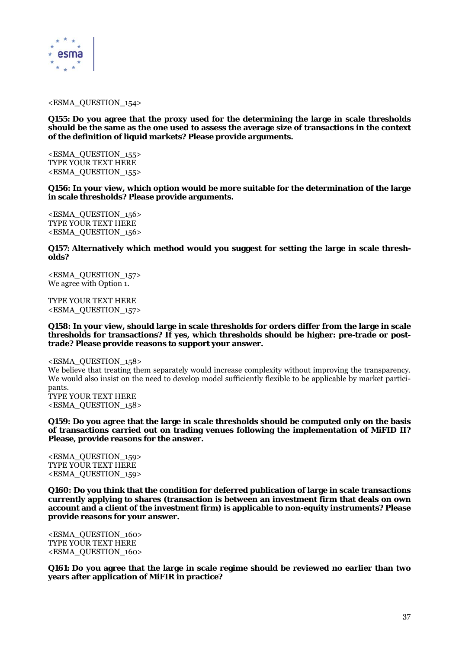

#### <ESMA\_QUESTION\_154>

**Q155: Do you agree that the proxy used for the determining the large in scale thresholds should be the same as the one used to assess the average size of transactions in the context of the definition of liquid markets? Please provide arguments.** 

<ESMA\_QUESTION\_155> TYPE YOUR TEXT HERE <ESMA\_QUESTION\_155>

**Q156: In your view, which option would be more suitable for the determination of the large in scale thresholds? Please provide arguments.** 

<ESMA\_QUESTION\_156> TYPE YOUR TEXT HERE <ESMA\_QUESTION\_156>

**Q157: Alternatively which method would you suggest for setting the large in scale thresholds?** 

<ESMA\_QUESTION\_157> We agree with Option 1.

TYPE YOUR TEXT HERE <ESMA\_QUESTION\_157>

**Q158: In your view, should large in scale thresholds for orders differ from the large in scale thresholds for transactions? If yes, which thresholds should be higher: pre-trade or posttrade? Please provide reasons to support your answer.** 

<ESMA\_QUESTION\_158> We believe that treating them separately would increase complexity without improving the transparency. We would also insist on the need to develop model sufficiently flexible to be applicable by market participants. TYPE YOUR TEXT HERE <ESMA\_QUESTION\_158>

**Q159: Do you agree that the large in scale thresholds should be computed only on the basis of transactions carried out on trading venues following the implementation of MiFID II? Please, provide reasons for the answer.** 

<ESMA\_QUESTION\_159> TYPE YOUR TEXT HERE <ESMA\_QUESTION\_159>

**Q160: Do you think that the condition for deferred publication of large in scale transactions currently applying to shares (transaction is between an investment firm that deals on own account and a client of the investment firm) is applicable to non-equity instruments? Please provide reasons for your answer.** 

<ESMA\_QUESTION\_160> TYPE YOUR TEXT HERE <ESMA\_QUESTION\_160>

**Q161: Do you agree that the large in scale regime should be reviewed no earlier than two years after application of MiFIR in practice?**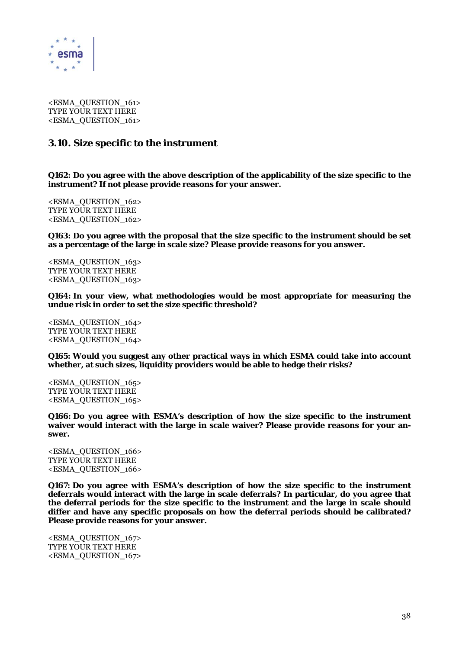

<ESMA\_QUESTION\_161> TYPE YOUR TEXT HERE <ESMA\_QUESTION\_161>

# **3.10. Size specific to the instrument**

**Q162: Do you agree with the above description of the applicability of the size specific to the instrument? If not please provide reasons for your answer.** 

<ESMA\_QUESTION\_162> TYPE YOUR TEXT HERE <ESMA\_QUESTION\_162>

**Q163: Do you agree with the proposal that the size specific to the instrument should be set as a percentage of the large in scale size? Please provide reasons for you answer.** 

<ESMA\_QUESTION\_163> TYPE YOUR TEXT HERE <ESMA\_QUESTION\_163>

**Q164: In your view, what methodologies would be most appropriate for measuring the undue risk in order to set the size specific threshold?** 

<ESMA\_QUESTION\_164> TYPE YOUR TEXT HERE <ESMA\_QUESTION\_164>

**Q165: Would you suggest any other practical ways in which ESMA could take into account whether, at such sizes, liquidity providers would be able to hedge their risks?** 

<ESMA\_QUESTION\_165> TYPE YOUR TEXT HERE <ESMA\_QUESTION\_165>

**Q166: Do you agree with ESMA's description of how the size specific to the instrument waiver would interact with the large in scale waiver? Please provide reasons for your answer.** 

<ESMA\_QUESTION\_166> TYPE YOUR TEXT HERE <ESMA\_QUESTION\_166>

**Q167: Do you agree with ESMA's description of how the size specific to the instrument deferrals would interact with the large in scale deferrals? In particular, do you agree that the deferral periods for the size specific to the instrument and the large in scale should differ and have any specific proposals on how the deferral periods should be calibrated? Please provide reasons for your answer.** 

<ESMA\_QUESTION\_167> TYPE YOUR TEXT HERE <ESMA\_QUESTION\_167>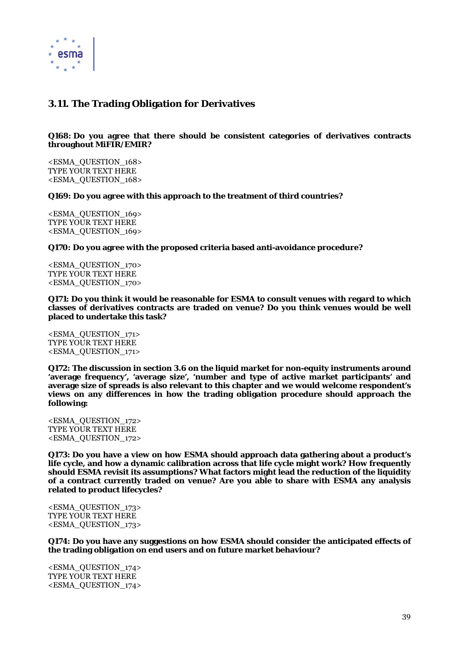

# **3.11. The Trading Obligation for Derivatives**

## **Q168: Do you agree that there should be consistent categories of derivatives contracts throughout MiFIR/EMIR?**

<ESMA\_QUESTION\_168> TYPE YOUR TEXT HERE <ESMA\_QUESTION\_168>

**Q169: Do you agree with this approach to the treatment of third countries?** 

<ESMA\_QUESTION\_169> TYPE YOUR TEXT HERE <ESMA\_QUESTION\_169>

**Q170: Do you agree with the proposed criteria based anti-avoidance procedure?** 

<ESMA\_QUESTION\_170> TYPE YOUR TEXT HERE <ESMA\_QUESTION\_170>

**Q171: Do you think it would be reasonable for ESMA to consult venues with regard to which classes of derivatives contracts are traded on venue? Do you think venues would be well placed to undertake this task?** 

<ESMA\_QUESTION\_171> TYPE YOUR TEXT HERE <ESMA\_QUESTION\_171>

**Q172: The discussion in section 3.6 on the liquid market for non-equity instruments around 'average frequency', 'average size', 'number and type of active market participants' and average size of spreads is also relevant to this chapter and we would welcome respondent's views on any differences in how the trading obligation procedure should approach the following:** 

<ESMA\_QUESTION\_172> TYPE YOUR TEXT HERE <ESMA\_QUESTION\_172>

**Q173: Do you have a view on how ESMA should approach data gathering about a product's life cycle, and how a dynamic calibration across that life cycle might work? How frequently should ESMA revisit its assumptions? What factors might lead the reduction of the liquidity of a contract currently traded on venue? Are you able to share with ESMA any analysis related to product lifecycles?** 

<ESMA\_QUESTION\_173> TYPE YOUR TEXT HERE <ESMA\_QUESTION\_173>

**Q174: Do you have any suggestions on how ESMA should consider the anticipated effects of the trading obligation on end users and on future market behaviour?** 

<ESMA\_QUESTION\_174> TYPE YOUR TEXT HERE <ESMA\_QUESTION\_174>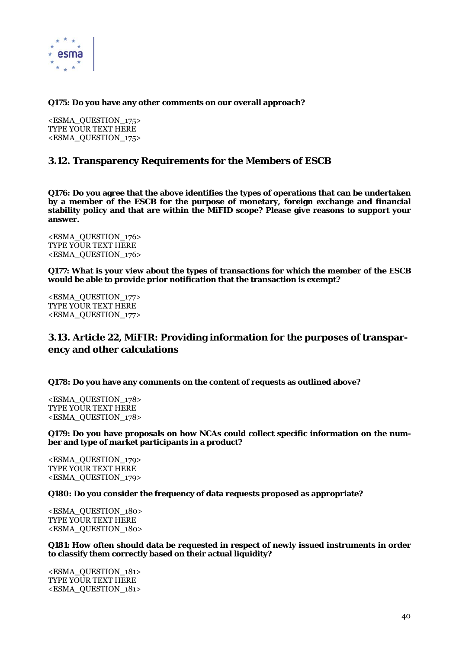

# **Q175: Do you have any other comments on our overall approach?**

<ESMA\_QUESTION\_175> TYPE YOUR TEXT HERE <ESMA\_QUESTION\_175>

# **3.12. Transparency Requirements for the Members of ESCB**

**Q176: Do you agree that the above identifies the types of operations that can be undertaken by a member of the ESCB for the purpose of monetary, foreign exchange and financial stability policy and that are within the MiFID scope? Please give reasons to support your answer.** 

<ESMA\_QUESTION\_176> TYPE YOUR TEXT HERE <ESMA\_QUESTION\_176>

**Q177: What is your view about the types of transactions for which the member of the ESCB would be able to provide prior notification that the transaction is exempt?** 

<ESMA\_QUESTION\_177> TYPE YOUR TEXT HERE <ESMA\_QUESTION\_177>

# **3.13. Article 22, MiFIR: Providing information for the purposes of transparency and other calculations**

**Q178: Do you have any comments on the content of requests as outlined above?** 

<ESMA\_QUESTION\_178> TYPE YOUR TEXT HERE <ESMA\_QUESTION\_178>

**Q179: Do you have proposals on how NCAs could collect specific information on the number and type of market participants in a product?** 

<ESMA\_QUESTION\_179> TYPE YOUR TEXT HERE <ESMA\_QUESTION\_179>

**Q180: Do you consider the frequency of data requests proposed as appropriate?** 

<ESMA\_QUESTION\_180> TYPE YOUR TEXT HERE <ESMA\_QUESTION\_180>

**Q181: How often should data be requested in respect of newly issued instruments in order to classify them correctly based on their actual liquidity?** 

<ESMA\_QUESTION\_181> TYPE YOUR TEXT HERE <ESMA\_QUESTION\_181>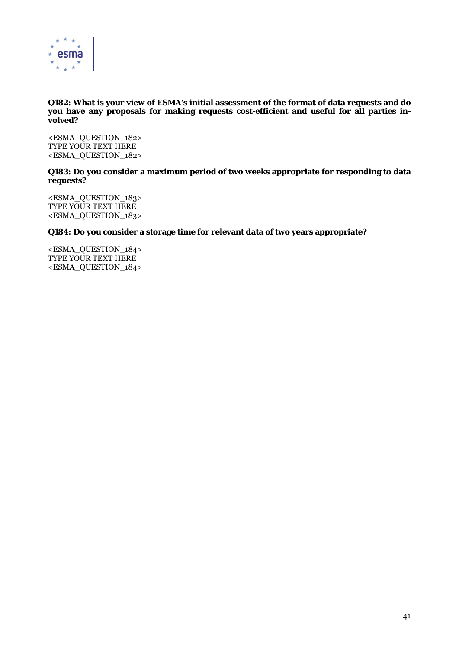

# **Q182: What is your view of ESMA's initial assessment of the format of data requests and do you have any proposals for making requests cost-efficient and useful for all parties involved?**

<ESMA\_QUESTION\_182> TYPE YOUR TEXT HERE <ESMA\_QUESTION\_182>

# **Q183: Do you consider a maximum period of two weeks appropriate for responding to data requests?**

<ESMA\_QUESTION\_183> TYPE YOUR TEXT HERE <ESMA\_QUESTION\_183>

# **Q184: Do you consider a storage time for relevant data of two years appropriate?**

<ESMA\_QUESTION\_184> TYPE YOUR TEXT HERE <ESMA\_QUESTION\_184>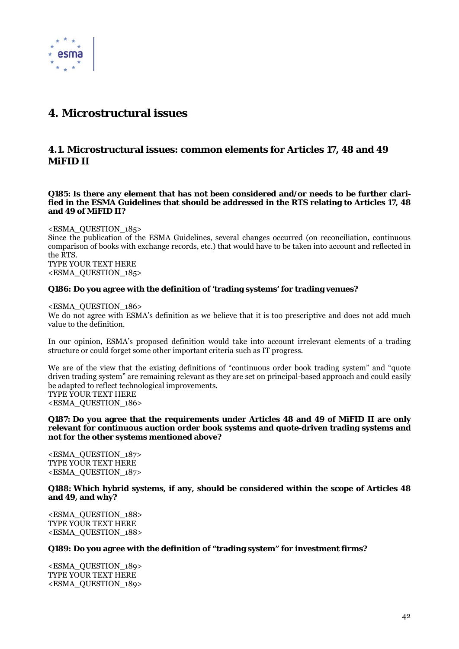

# **4. Microstructural issues**

# **4.1. Microstructural issues: common elements for Articles 17, 48 and 49 MiFID II**

**Q185: Is there any element that has not been considered and/or needs to be further clarified in the ESMA Guidelines that should be addressed in the RTS relating to Articles 17, 48 and 49 of MiFID II?** 

<ESMA\_QUESTION\_185>

Since the publication of the ESMA Guidelines, several changes occurred (on reconciliation, continuous comparison of books with exchange records, etc.) that would have to be taken into account and reflected in the RTS.

TYPE YOUR TEXT HERE <ESMA\_QUESTION\_185>

# **Q186: Do you agree with the definition of 'trading systems' for trading venues?**

<ESMA\_QUESTION\_186>

We do not agree with ESMA's definition as we believe that it is too prescriptive and does not add much value to the definition.

In our opinion, ESMA's proposed definition would take into account irrelevant elements of a trading structure or could forget some other important criteria such as IT progress.

We are of the view that the existing definitions of "continuous order book trading system" and "quote" driven trading system" are remaining relevant as they are set on principal-based approach and could easily be adapted to reflect technological improvements. TYPE YOUR TEXT HERE <ESMA\_QUESTION\_186>

**Q187: Do you agree that the requirements under Articles 48 and 49 of MiFID II are only relevant for continuous auction order book systems and quote-driven trading systems and not for the other systems mentioned above?** 

<ESMA\_QUESTION\_187> TYPE YOUR TEXT HERE <ESMA\_QUESTION\_187>

**Q188: Which hybrid systems, if any, should be considered within the scope of Articles 48 and 49, and why?** 

<ESMA\_QUESTION\_188> TYPE YOUR TEXT HERE <ESMA\_QUESTION\_188>

## **Q189: Do you agree with the definition of "trading system" for investment firms?**

<ESMA\_QUESTION\_189> TYPE YOUR TEXT HERE <ESMA\_QUESTION\_189>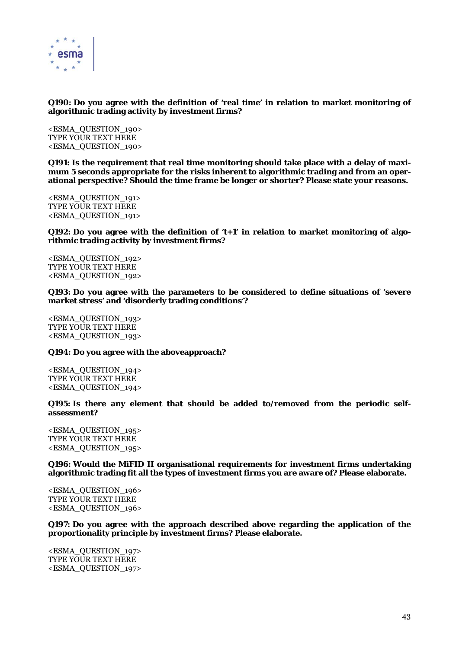

# **Q190: Do you agree with the definition of 'real time' in relation to market monitoring of algorithmic trading activity by investment firms?**

<ESMA\_QUESTION\_190> TYPE YOUR TEXT HERE <ESMA\_QUESTION\_190>

**Q191: Is the requirement that real time monitoring should take place with a delay of maximum 5 seconds appropriate for the risks inherent to algorithmic trading and from an operational perspective? Should the time frame be longer or shorter? Please state your reasons.** 

<ESMA\_QUESTION\_191> TYPE YOUR TEXT HERE <ESMA\_QUESTION\_191>

**Q192: Do you agree with the definition of 't+1' in relation to market monitoring of algorithmic trading activity by investment firms?** 

<ESMA\_QUESTION\_192> TYPE YOUR TEXT HERE <ESMA\_QUESTION\_192>

**Q193: Do you agree with the parameters to be considered to define situations of 'severe market stress' and 'disorderly trading conditions'?** 

<ESMA\_QUESTION\_193> TYPE YOUR TEXT HERE <ESMA\_QUESTION\_193>

# **Q194: Do you agree with the aboveapproach?**

<ESMA\_QUESTION\_194> TYPE YOUR TEXT HERE <ESMA\_QUESTION\_194>

**Q195: Is there any element that should be added to/removed from the periodic selfassessment?** 

<ESMA\_QUESTION\_195> TYPE YOUR TEXT HERE <ESMA\_QUESTION\_195>

**Q196: Would the MiFID II organisational requirements for investment firms undertaking algorithmic trading fit all the types of investment firms you are aware of? Please elaborate.** 

<ESMA\_QUESTION\_196> TYPE YOUR TEXT HERE <ESMA\_QUESTION\_196>

**Q197: Do you agree with the approach described above regarding the application of the proportionality principle by investment firms? Please elaborate.** 

<ESMA\_QUESTION\_197> TYPE YOUR TEXT HERE <ESMA\_QUESTION\_197>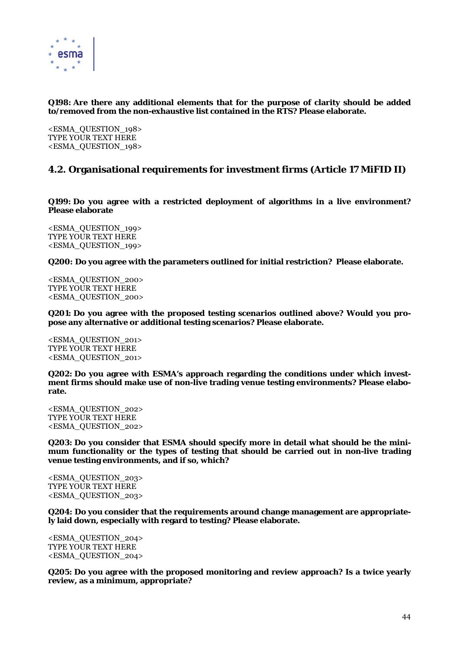

# **Q198: Are there any additional elements that for the purpose of clarity should be added to/removed from the non-exhaustive list contained in the RTS? Please elaborate.**

<ESMA\_QUESTION\_198> TYPE YOUR TEXT HERE <ESMA\_QUESTION\_198>

# **4.2. Organisational requirements for investment firms (Article 17 MiFID II)**

**Q199: Do you agree with a restricted deployment of algorithms in a live environment? Please elaborate** 

<ESMA\_QUESTION\_199> TYPE YOUR TEXT HERE <ESMA\_QUESTION\_199>

**Q200: Do you agree with the parameters outlined for initial restriction? Please elaborate.** 

<ESMA\_QUESTION\_200> TYPE YOUR TEXT HERE <ESMA\_QUESTION\_200>

**Q201: Do you agree with the proposed testing scenarios outlined above? Would you propose any alternative or additional testing scenarios? Please elaborate.** 

<ESMA\_QUESTION\_201> TYPE YOUR TEXT HERE <ESMA\_QUESTION\_201>

**Q202: Do you agree with ESMA's approach regarding the conditions under which investment firms should make use of non-live trading venue testing environments? Please elaborate.** 

<ESMA\_QUESTION\_202> TYPE YOUR TEXT HERE <ESMA\_QUESTION\_202>

**Q203: Do you consider that ESMA should specify more in detail what should be the minimum functionality or the types of testing that should be carried out in non-live trading venue testing environments, and if so, which?** 

<ESMA\_QUESTION\_203> TYPE YOUR TEXT HERE <ESMA\_QUESTION\_203>

**Q204: Do you consider that the requirements around change management are appropriately laid down, especially with regard to testing? Please elaborate.** 

<ESMA\_QUESTION\_204> TYPE YOUR TEXT HERE <ESMA\_QUESTION\_204>

**Q205: Do you agree with the proposed monitoring and review approach? Is a twice yearly review, as a minimum, appropriate?**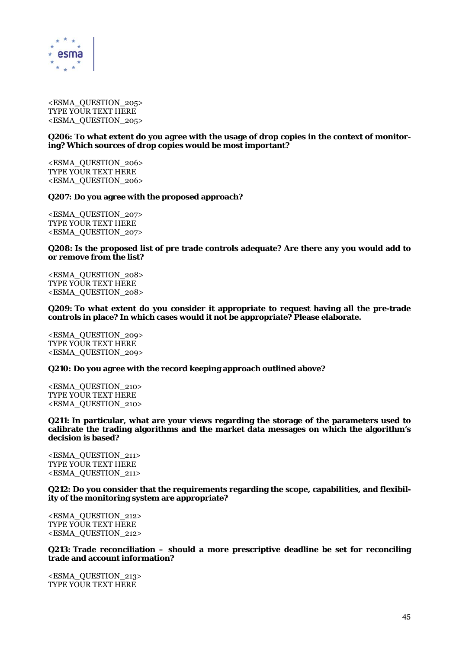

<ESMA\_QUESTION\_205> TYPE YOUR TEXT HERE <ESMA\_QUESTION\_205>

## **Q206: To what extent do you agree with the usage of drop copies in the context of monitoring? Which sources of drop copies would be most important?**

<ESMA\_QUESTION\_206> TYPE YOUR TEXT HERE <ESMA\_QUESTION\_206>

## **Q207: Do you agree with the proposed approach?**

<ESMA\_QUESTION\_207> TYPE YOUR TEXT HERE <ESMA\_QUESTION\_207>

## **Q208: Is the proposed list of pre trade controls adequate? Are there any you would add to or remove from the list?**

<ESMA\_QUESTION\_208> TYPE YOUR TEXT HERE <ESMA\_QUESTION\_208>

**Q209: To what extent do you consider it appropriate to request having all the pre-trade controls in place? In which cases would it not be appropriate? Please elaborate.** 

<ESMA\_QUESTION\_209> TYPE YOUR TEXT HERE <ESMA\_QUESTION\_209>

## **Q210: Do you agree with the record keeping approach outlined above?**

<ESMA\_QUESTION\_210> TYPE YOUR TEXT HERE <ESMA\_QUESTION\_210>

**Q211: In particular, what are your views regarding the storage of the parameters used to calibrate the trading algorithms and the market data messages on which the algorithm's decision is based?** 

<ESMA\_QUESTION\_211> TYPE YOUR TEXT HERE <ESMA\_QUESTION\_211>

**Q212: Do you consider that the requirements regarding the scope, capabilities, and flexibility of the monitoring system are appropriate?** 

<ESMA\_QUESTION\_212> TYPE YOUR TEXT HERE <ESMA\_QUESTION\_212>

**Q213: Trade reconciliation – should a more prescriptive deadline be set for reconciling trade and account information?** 

<ESMA\_QUESTION\_213> TYPE YOUR TEXT HERE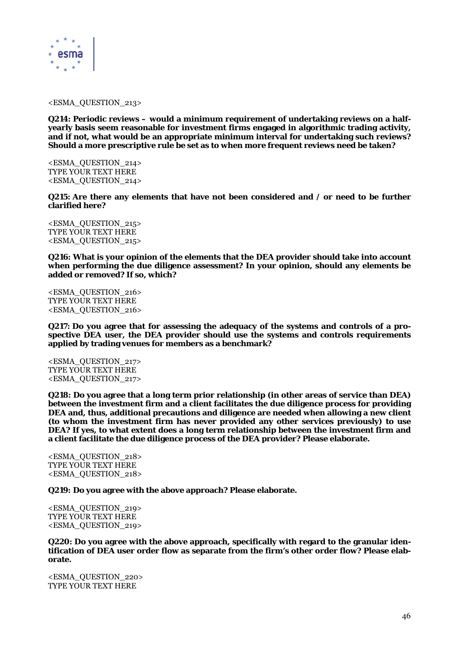

<ESMA\_QUESTION\_213>

**Q214: Periodic reviews – would a minimum requirement of undertaking reviews on a halfyearly basis seem reasonable for investment firms engaged in algorithmic trading activity, and if not, what would be an appropriate minimum interval for undertaking such reviews? Should a more prescriptive rule be set as to when more frequent reviews need be taken?** 

<ESMA\_QUESTION\_214> TYPE YOUR TEXT HERE <ESMA\_QUESTION\_214>

**Q215: Are there any elements that have not been considered and / or need to be further clarified here?** 

<ESMA\_QUESTION\_215> TYPE YOUR TEXT HERE <ESMA\_QUESTION\_215>

**Q216: What is your opinion of the elements that the DEA provider should take into account when performing the due diligence assessment? In your opinion, should any elements be added or removed? If so, which?** 

<ESMA\_QUESTION\_216> TYPE YOUR TEXT HERE <ESMA\_QUESTION\_216>

**Q217: Do you agree that for assessing the adequacy of the systems and controls of a prospective DEA user, the DEA provider should use the systems and controls requirements applied by trading venues for members as a benchmark?** 

<ESMA\_QUESTION\_217> TYPE YOUR TEXT HERE <ESMA\_QUESTION\_217>

**Q218: Do you agree that a long term prior relationship (in other areas of service than DEA) between the investment firm and a client facilitates the due diligence process for providing DEA and, thus, additional precautions and diligence are needed when allowing a new client (to whom the investment firm has never provided any other services previously) to use DEA? If yes, to what extent does a long term relationship between the investment firm and a client facilitate the due diligence process of the DEA provider? Please elaborate.** 

<ESMA\_QUESTION\_218> TYPE YOUR TEXT HERE <ESMA\_QUESTION\_218>

**Q219: Do you agree with the above approach? Please elaborate.** 

<ESMA\_QUESTION\_219> TYPE YOUR TEXT HERE <ESMA\_QUESTION\_219>

**Q220: Do you agree with the above approach, specifically with regard to the granular identification of DEA user order flow as separate from the firm's other order flow? Please elaborate.** 

<ESMA\_QUESTION\_220> TYPE YOUR TEXT HERE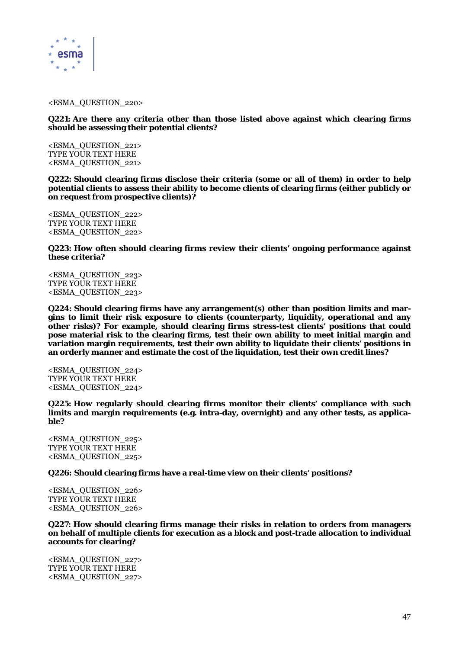

<ESMA\_QUESTION\_220>

**Q221: Are there any criteria other than those listed above against which clearing firms should be assessing their potential clients?** 

<ESMA\_QUESTION\_221> TYPE YOUR TEXT HERE <ESMA\_QUESTION\_221>

**Q222: Should clearing firms disclose their criteria (some or all of them) in order to help potential clients to assess their ability to become clients of clearing firms (either publicly or on request from prospective clients)?** 

<ESMA\_QUESTION\_222> TYPE YOUR TEXT HERE <ESMA\_QUESTION\_222>

**Q223: How often should clearing firms review their clients' ongoing performance against these criteria?** 

<ESMA\_QUESTION\_223> TYPE YOUR TEXT HERE <ESMA\_QUESTION\_223>

**Q224: Should clearing firms have any arrangement(s) other than position limits and margins to limit their risk exposure to clients (counterparty, liquidity, operational and any other risks)? For example, should clearing firms stress-test clients' positions that could pose material risk to the clearing firms, test their own ability to meet initial margin and variation margin requirements, test their own ability to liquidate their clients' positions in an orderly manner and estimate the cost of the liquidation, test their own credit lines?** 

<ESMA\_QUESTION\_224> TYPE YOUR TEXT HERE <ESMA\_QUESTION\_224>

**Q225: How regularly should clearing firms monitor their clients' compliance with such limits and margin requirements (e.g. intra-day, overnight) and any other tests, as applicable?** 

<ESMA\_QUESTION\_225> TYPE YOUR TEXT HERE <ESMA\_QUESTION\_225>

**Q226: Should clearing firms have a real-time view on their clients' positions?** 

<ESMA\_QUESTION\_226> TYPE YOUR TEXT HERE <ESMA\_QUESTION\_226>

**Q227: How should clearing firms manage their risks in relation to orders from managers on behalf of multiple clients for execution as a block and post-trade allocation to individual accounts for clearing?** 

<ESMA\_QUESTION\_227> TYPE YOUR TEXT HERE <ESMA\_QUESTION\_227>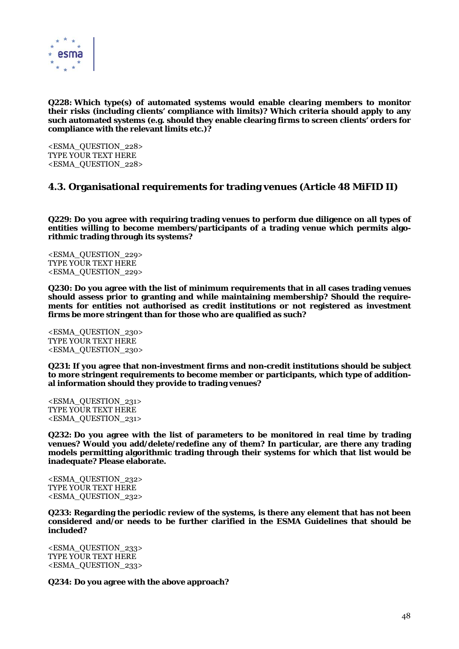

**Q228: Which type(s) of automated systems would enable clearing members to monitor their risks (including clients' compliance with limits)? Which criteria should apply to any such automated systems (e.g. should they enable clearing firms to screen clients' orders for compliance with the relevant limits etc.)?** 

<ESMA\_QUESTION\_228> TYPE YOUR TEXT HERE <ESMA\_QUESTION\_228>

# **4.3. Organisational requirements for trading venues (Article 48 MiFID II)**

**Q229: Do you agree with requiring trading venues to perform due diligence on all types of entities willing to become members/participants of a trading venue which permits algorithmic trading through its systems?** 

<ESMA\_QUESTION\_229> TYPE YOUR TEXT HERE <ESMA\_QUESTION\_229>

**Q230: Do you agree with the list of minimum requirements that in all cases trading venues should assess prior to granting and while maintaining membership? Should the requirements for entities not authorised as credit institutions or not registered as investment firms be more stringent than for those who are qualified as such?** 

<ESMA\_QUESTION\_230> TYPE YOUR TEXT HERE <ESMA\_QUESTION\_230>

**Q231: If you agree that non-investment firms and non-credit institutions should be subject to more stringent requirements to become member or participants, which type of additional information should they provide to trading venues?** 

<ESMA\_QUESTION\_231> TYPE YOUR TEXT HERE <ESMA\_QUESTION\_231>

**Q232: Do you agree with the list of parameters to be monitored in real time by trading venues? Would you add/delete/redefine any of them? In particular, are there any trading models permitting algorithmic trading through their systems for which that list would be inadequate? Please elaborate.** 

<ESMA\_QUESTION\_232> TYPE YOUR TEXT HERE <ESMA\_QUESTION\_232>

**Q233: Regarding the periodic review of the systems, is there any element that has not been considered and/or needs to be further clarified in the ESMA Guidelines that should be included?** 

<ESMA\_QUESTION\_233> TYPE YOUR TEXT HERE <ESMA\_QUESTION\_233>

**Q234: Do you agree with the above approach?**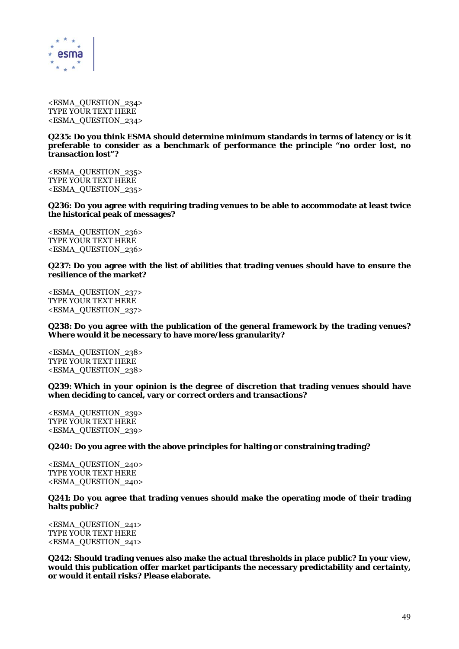

<ESMA\_QUESTION\_234> TYPE YOUR TEXT HERE <ESMA\_QUESTION\_234>

**Q235: Do you think ESMA should determine minimum standards in terms of latency or is it preferable to consider as a benchmark of performance the principle "no order lost, no transaction lost"?** 

<ESMA\_QUESTION\_235> TYPE YOUR TEXT HERE <ESMA\_QUESTION\_235>

**Q236: Do you agree with requiring trading venues to be able to accommodate at least twice the historical peak of messages?** 

<ESMA\_QUESTION\_236> TYPE YOUR TEXT HERE <ESMA\_QUESTION\_236>

**Q237: Do you agree with the list of abilities that trading venues should have to ensure the resilience of the market?** 

<ESMA\_QUESTION\_237> TYPE YOUR TEXT HERE <ESMA\_QUESTION\_237>

**Q238: Do you agree with the publication of the general framework by the trading venues? Where would it be necessary to have more/less granularity?** 

<ESMA\_QUESTION\_238> TYPE YOUR TEXT HERE <ESMA\_QUESTION\_238>

**Q239: Which in your opinion is the degree of discretion that trading venues should have when deciding to cancel, vary or correct orders and transactions?** 

<ESMA\_QUESTION\_239> TYPE YOUR TEXT HERE <ESMA\_QUESTION\_239>

**Q240: Do you agree with the above principles for halting or constraining trading?** 

<ESMA\_QUESTION\_240> TYPE YOUR TEXT HERE <ESMA\_QUESTION\_240>

**Q241: Do you agree that trading venues should make the operating mode of their trading halts public?** 

<ESMA\_QUESTION\_241> TYPE YOUR TEXT HERE <ESMA\_QUESTION\_241>

**Q242: Should trading venues also make the actual thresholds in place public? In your view, would this publication offer market participants the necessary predictability and certainty, or would it entail risks? Please elaborate.**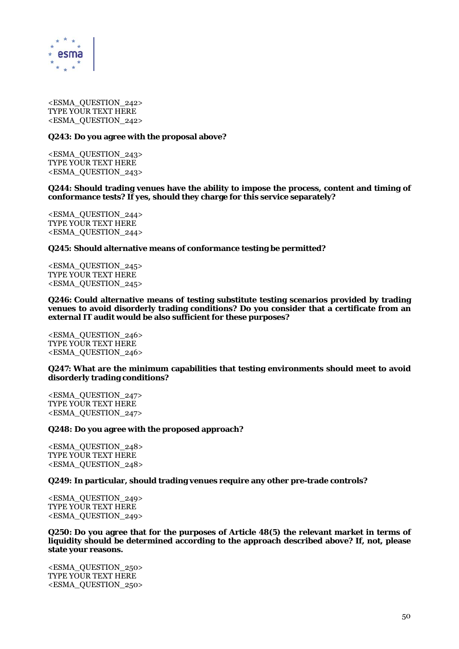

<ESMA\_QUESTION\_242> TYPE YOUR TEXT HERE <ESMA\_QUESTION\_242>

#### **Q243: Do you agree with the proposal above?**

<ESMA\_QUESTION\_243> TYPE YOUR TEXT HERE <ESMA\_QUESTION\_243>

#### **Q244: Should trading venues have the ability to impose the process, content and timing of conformance tests? If yes, should they charge for this service separately?**

<ESMA\_QUESTION\_244> TYPE YOUR TEXT HERE <ESMA\_QUESTION\_244>

## **Q245: Should alternative means of conformance testing be permitted?**

<ESMA\_QUESTION\_245> TYPE YOUR TEXT HERE <ESMA\_QUESTION\_245>

**Q246: Could alternative means of testing substitute testing scenarios provided by trading venues to avoid disorderly trading conditions? Do you consider that a certificate from an external IT audit would be also sufficient for these purposes?** 

<ESMA\_QUESTION\_246> TYPE YOUR TEXT HERE <ESMA\_QUESTION\_246>

**Q247: What are the minimum capabilities that testing environments should meet to avoid disorderly trading conditions?** 

<ESMA\_QUESTION\_247> TYPE YOUR TEXT HERE <ESMA\_QUESTION\_247>

## **Q248: Do you agree with the proposed approach?**

<ESMA\_QUESTION\_248> TYPE YOUR TEXT HERE <ESMA\_QUESTION\_248>

## **Q249: In particular, should trading venues require any other pre-trade controls?**

<ESMA\_QUESTION\_249> TYPE YOUR TEXT HERE <ESMA\_QUESTION\_249>

**Q250: Do you agree that for the purposes of Article 48(5) the relevant market in terms of liquidity should be determined according to the approach described above? If, not, please state your reasons.** 

<ESMA\_QUESTION\_250> TYPE YOUR TEXT HERE <ESMA\_QUESTION\_250>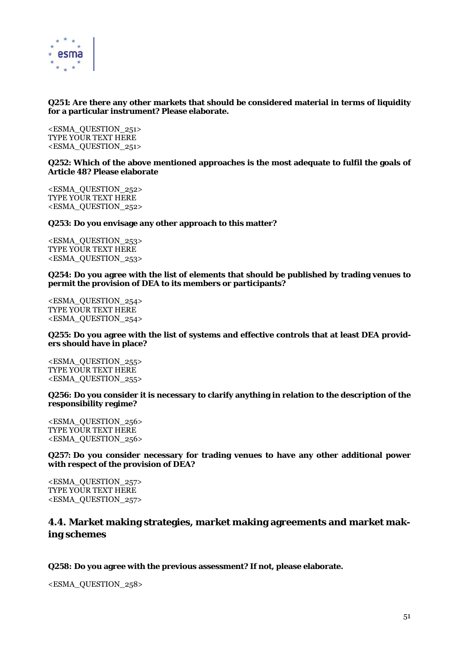

# **Q251: Are there any other markets that should be considered material in terms of liquidity for a particular instrument? Please elaborate.**

<ESMA\_QUESTION\_251> TYPE YOUR TEXT HERE <ESMA\_QUESTION\_251>

## **Q252: Which of the above mentioned approaches is the most adequate to fulfil the goals of Article 48? Please elaborate**

<ESMA\_QUESTION\_252> TYPE YOUR TEXT HERE <ESMA\_QUESTION\_252>

## **Q253: Do you envisage any other approach to this matter?**

<ESMA\_QUESTION\_253> TYPE YOUR TEXT HERE <ESMA\_QUESTION\_253>

## **Q254: Do you agree with the list of elements that should be published by trading venues to permit the provision of DEA to its members or participants?**

<ESMA\_QUESTION\_254> TYPE YOUR TEXT HERE <ESMA\_QUESTION\_254>

## **Q255: Do you agree with the list of systems and effective controls that at least DEA providers should have in place?**

<ESMA\_QUESTION\_255> TYPE YOUR TEXT HERE <ESMA\_QUESTION\_255>

## **Q256: Do you consider it is necessary to clarify anything in relation to the description of the responsibility regime?**

<ESMA\_QUESTION\_256> TYPE YOUR TEXT HERE <ESMA\_QUESTION\_256>

## **Q257: Do you consider necessary for trading venues to have any other additional power with respect of the provision of DEA?**

<ESMA\_QUESTION\_257> TYPE YOUR TEXT HERE <ESMA\_QUESTION\_257>

# **4.4. Market making strategies, market making agreements and market making schemes**

# **Q258: Do you agree with the previous assessment? If not, please elaborate.**

<ESMA\_QUESTION\_258>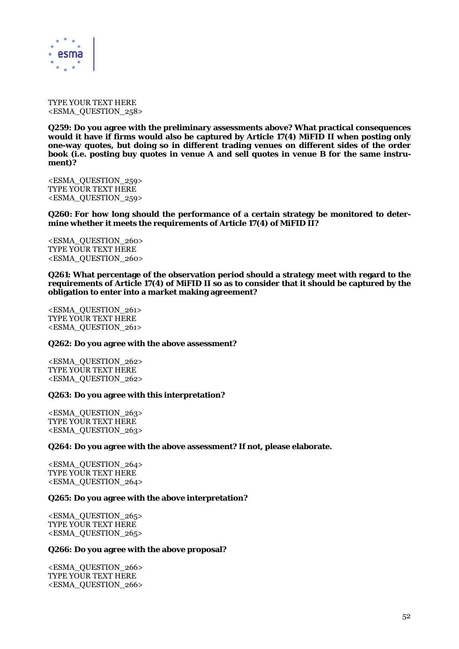

TYPE YOUR TEXT HERE <ESMA\_QUESTION\_258>

**Q259: Do you agree with the preliminary assessments above? What practical consequences would it have if firms would also be captured by Article 17(4) MiFID II when posting only one-way quotes, but doing so in different trading venues on different sides of the order book (i.e. posting buy quotes in venue A and sell quotes in venue B for the same instrument)?** 

<ESMA\_QUESTION\_259> TYPE YOUR TEXT HERE <ESMA\_QUESTION\_259>

**Q260: For how long should the performance of a certain strategy be monitored to determine whether it meets the requirements of Article 17(4) of MiFID II?** 

<ESMA\_QUESTION\_260> TYPE YOUR TEXT HERE <ESMA\_QUESTION\_260>

**Q261: What percentage of the observation period should a strategy meet with regard to the requirements of Article 17(4) of MiFID II so as to consider that it should be captured by the obligation to enter into a market making agreement?** 

<ESMA\_QUESTION\_261> TYPE YOUR TEXT HERE <ESMA\_QUESTION\_261>

#### **Q262: Do you agree with the above assessment?**

<ESMA\_QUESTION\_262> TYPE YOUR TEXT HERE <ESMA\_QUESTION\_262>

#### **Q263: Do you agree with this interpretation?**

<ESMA\_QUESTION\_263> TYPE YOUR TEXT HERE <ESMA\_QUESTION\_263>

#### **Q264: Do you agree with the above assessment? If not, please elaborate.**

<ESMA\_QUESTION\_264> TYPE YOUR TEXT HERE <ESMA\_QUESTION\_264>

#### **Q265: Do you agree with the above interpretation?**

<ESMA\_QUESTION\_265> TYPE YOUR TEXT HERE <ESMA\_QUESTION\_265>

#### **Q266: Do you agree with the above proposal?**

<ESMA\_QUESTION\_266> TYPE YOUR TEXT HERE <ESMA\_QUESTION\_266>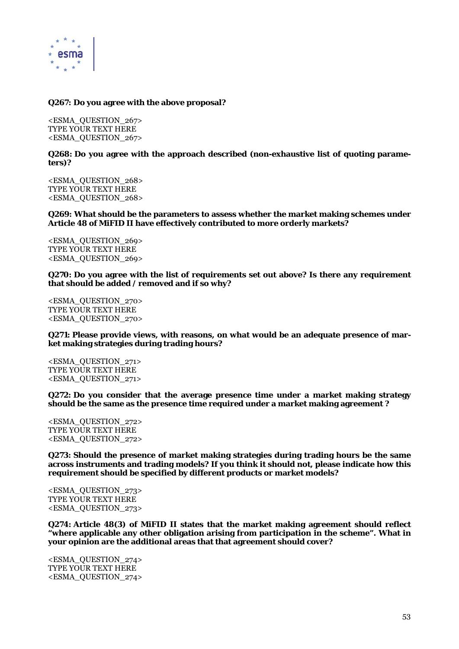

# **Q267: Do you agree with the above proposal?**

<ESMA\_QUESTION\_267> TYPE YOUR TEXT HERE <ESMA\_QUESTION\_267>

## **Q268: Do you agree with the approach described (non-exhaustive list of quoting parameters)?**

<ESMA\_QUESTION\_268> TYPE YOUR TEXT HERE <ESMA\_QUESTION\_268>

**Q269: What should be the parameters to assess whether the market making schemes under Article 48 of MiFID II have effectively contributed to more orderly markets?** 

<ESMA\_QUESTION\_269> TYPE YOUR TEXT HERE <ESMA\_QUESTION\_269>

**Q270: Do you agree with the list of requirements set out above? Is there any requirement that should be added / removed and if so why?** 

<ESMA\_QUESTION\_270> TYPE YOUR TEXT HERE <ESMA\_QUESTION\_270>

**Q271: Please provide views, with reasons, on what would be an adequate presence of market making strategies during trading hours?** 

<ESMA\_QUESTION\_271> TYPE YOUR TEXT HERE <ESMA\_QUESTION\_271>

**Q272: Do you consider that the average presence time under a market making strategy should be the same as the presence time required under a market making agreement ?** 

<ESMA\_QUESTION\_272> TYPE YOUR TEXT HERE <ESMA\_QUESTION\_272>

**Q273: Should the presence of market making strategies during trading hours be the same across instruments and trading models? If you think it should not, please indicate how this requirement should be specified by different products or market models?** 

<ESMA\_QUESTION\_273> TYPE YOUR TEXT HERE <ESMA\_QUESTION\_273>

**Q274: Article 48(3) of MiFID II states that the market making agreement should reflect "where applicable any other obligation arising from participation in the scheme". What in your opinion are the additional areas that that agreement should cover?** 

<ESMA\_QUESTION\_274> TYPE YOUR TEXT HERE <ESMA\_QUESTION\_274>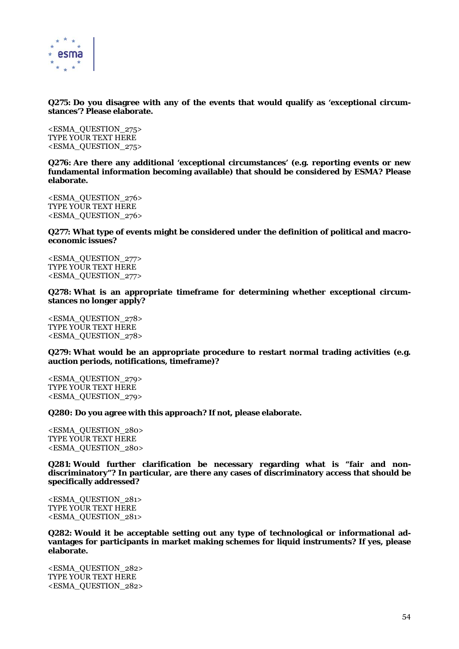

# **Q275: Do you disagree with any of the events that would qualify as 'exceptional circumstances'? Please elaborate.**

<ESMA\_QUESTION\_275> TYPE YOUR TEXT HERE <ESMA\_QUESTION\_275>

**Q276: Are there any additional 'exceptional circumstances' (e.g. reporting events or new fundamental information becoming available) that should be considered by ESMA? Please elaborate.** 

<ESMA\_QUESTION\_276> TYPE YOUR TEXT HERE <ESMA\_QUESTION\_276>

#### **Q277: What type of events might be considered under the definition of political and macroeconomic issues?**

<ESMA\_QUESTION\_277> TYPE YOUR TEXT HERE <ESMA\_QUESTION\_277>

**Q278: What is an appropriate timeframe for determining whether exceptional circumstances no longer apply?** 

<ESMA\_QUESTION\_278> TYPE YOUR TEXT HERE <ESMA\_QUESTION\_278>

**Q279: What would be an appropriate procedure to restart normal trading activities (e.g. auction periods, notifications, timeframe)?** 

<ESMA\_QUESTION\_279> TYPE YOUR TEXT HERE <ESMA\_QUESTION\_279>

## **Q280: Do you agree with this approach? If not, please elaborate.**

<ESMA\_QUESTION\_280> TYPE YOUR TEXT HERE <ESMA\_QUESTION\_280>

**Q281: Would further clarification be necessary regarding what is "fair and nondiscriminatory"? In particular, are there any cases of discriminatory access that should be specifically addressed?** 

<ESMA\_QUESTION\_281> TYPE YOUR TEXT HERE <ESMA\_QUESTION\_281>

**Q282: Would it be acceptable setting out any type of technological or informational advantages for participants in market making schemes for liquid instruments? If yes, please elaborate.** 

<ESMA\_QUESTION\_282> TYPE YOUR TEXT HERE <ESMA\_QUESTION\_282>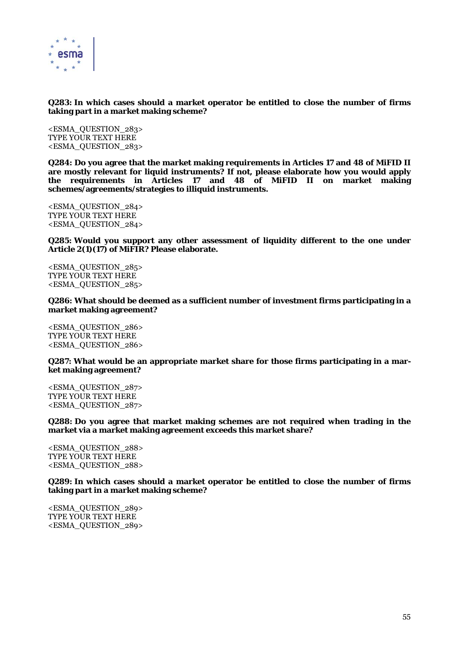

# **Q283: In which cases should a market operator be entitled to close the number of firms taking part in a market making scheme?**

<ESMA\_QUESTION\_283> TYPE YOUR TEXT HERE <ESMA\_QUESTION\_283>

**Q284: Do you agree that the market making requirements in Articles 17 and 48 of MiFID II are mostly relevant for liquid instruments? If not, please elaborate how you would apply the requirements in Articles 17 and 48 of MiFID II on market making schemes/agreements/strategies to illiquid instruments.** 

<ESMA\_QUESTION\_284> TYPE YOUR TEXT HERE <ESMA\_QUESTION\_284>

**Q285: Would you support any other assessment of liquidity different to the one under Article 2(1)(17) of MiFIR? Please elaborate.** 

<ESMA\_QUESTION\_285> TYPE YOUR TEXT HERE <ESMA\_QUESTION\_285>

**Q286: What should be deemed as a sufficient number of investment firms participating in a market making agreement?** 

<ESMA\_QUESTION\_286> TYPE YOUR TEXT HERE <ESMA\_QUESTION\_286>

**Q287: What would be an appropriate market share for those firms participating in a market making agreement?** 

<ESMA\_QUESTION\_287> TYPE YOUR TEXT HERE <ESMA\_QUESTION\_287>

**Q288: Do you agree that market making schemes are not required when trading in the market via a market making agreement exceeds this market share?** 

<ESMA\_QUESTION\_288> TYPE YOUR TEXT HERE <ESMA\_QUESTION\_288>

**Q289: In which cases should a market operator be entitled to close the number of firms taking part in a market making scheme?** 

<ESMA\_QUESTION\_289> TYPE YOUR TEXT HERE <ESMA\_QUESTION\_289>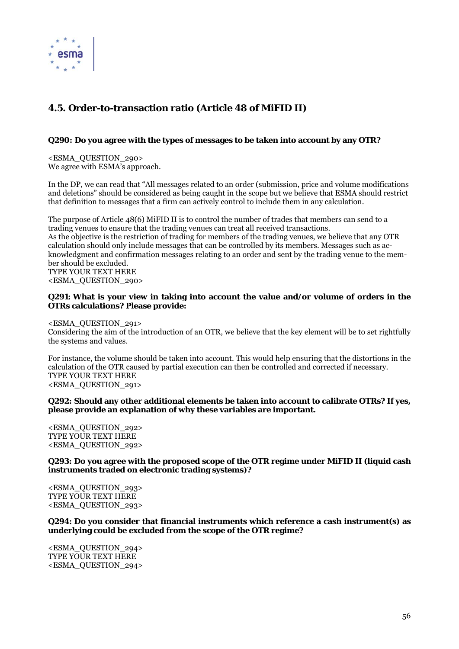

# **4.5. Order-to-transaction ratio (Article 48 of MiFID II)**

# **Q290: Do you agree with the types of messages to be taken into account by any OTR?**

<ESMA\_QUESTION\_290> We agree with ESMA's approach.

In the DP, we can read that "All messages related to an order (submission, price and volume modifications and deletions" should be considered as being caught in the scope but we believe that ESMA should restrict that definition to messages that a firm can actively control to include them in any calculation.

The purpose of Article 48(6) MiFID II is to control the number of trades that members can send to a trading venues to ensure that the trading venues can treat all received transactions. As the objective is the restriction of trading for members of the trading venues, we believe that any OTR calculation should only include messages that can be controlled by its members. Messages such as acknowledgment and confirmation messages relating to an order and sent by the trading venue to the member should be excluded. TYPE YOUR TEXT HERE

<ESMA\_QUESTION\_290>

# **Q291: What is your view in taking into account the value and/or volume of orders in the OTRs calculations? Please provide:**

<ESMA\_QUESTION\_291>

Considering the aim of the introduction of an OTR, we believe that the key element will be to set rightfully the systems and values.

For instance, the volume should be taken into account. This would help ensuring that the distortions in the calculation of the OTR caused by partial execution can then be controlled and corrected if necessary. TYPE YOUR TEXT HERE <ESMA\_QUESTION\_291>

**Q292: Should any other additional elements be taken into account to calibrate OTRs? If yes, please provide an explanation of why these variables are important.** 

<ESMA\_QUESTION\_292> TYPE YOUR TEXT HERE <ESMA\_QUESTION\_292>

**Q293: Do you agree with the proposed scope of the OTR regime under MiFID II (liquid cash instruments traded on electronic trading systems)?** 

<ESMA\_QUESTION\_293> TYPE YOUR TEXT HERE <ESMA\_QUESTION\_293>

**Q294: Do you consider that financial instruments which reference a cash instrument(s) as underlying could be excluded from the scope of the OTR regime?** 

<ESMA\_QUESTION\_294> TYPE YOUR TEXT HERE <ESMA\_QUESTION\_294>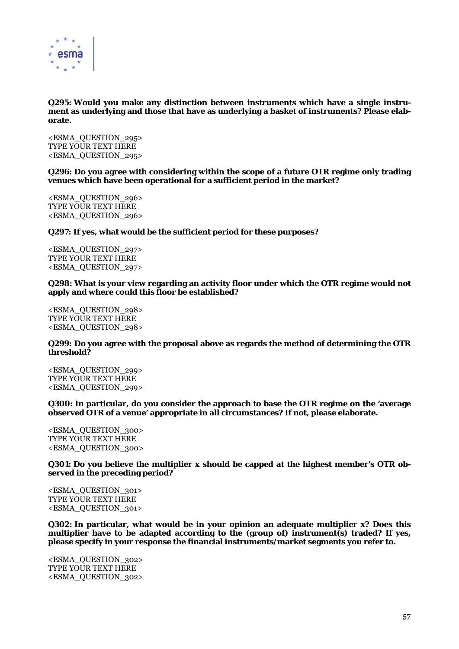

**Q295: Would you make any distinction between instruments which have a single instrument as underlying and those that have as underlying a basket of instruments? Please elaborate.** 

<ESMA\_QUESTION\_295> TYPE YOUR TEXT HERE <ESMA\_QUESTION\_295>

**Q296: Do you agree with considering within the scope of a future OTR regime only trading venues which have been operational for a sufficient period in the market?** 

<ESMA\_QUESTION\_296> TYPE YOUR TEXT HERE <ESMA\_QUESTION\_296>

**Q297: If yes, what would be the sufficient period for these purposes?** 

<ESMA\_QUESTION\_297> TYPE YOUR TEXT HERE <ESMA\_QUESTION\_297>

#### **Q298: What is your view regarding an activity floor under which the OTR regime would not apply and where could this floor be established?**

<ESMA\_QUESTION\_298> TYPE YOUR TEXT HERE <ESMA\_QUESTION\_298>

## **Q299: Do you agree with the proposal above as regards the method of determining the OTR threshold?**

<ESMA\_QUESTION\_299> TYPE YOUR TEXT HERE <ESMA\_QUESTION\_299>

**Q300: In particular, do you consider the approach to base the OTR regime on the 'average observed OTR of a venue' appropriate in all circumstances? If not, please elaborate.** 

<ESMA\_QUESTION\_300> TYPE YOUR TEXT HERE <ESMA\_QUESTION\_300>

**Q301: Do you believe the multiplier x should be capped at the highest member's OTR observed in the preceding period?** 

<ESMA\_QUESTION\_301> TYPE YOUR TEXT HERE <ESMA\_QUESTION\_301>

**Q302: In particular, what would be in your opinion an adequate multiplier x? Does this multiplier have to be adapted according to the (group of) instrument(s) traded? If yes, please specify in your response the financial instruments/market segments you refer to.** 

<ESMA\_QUESTION\_302> TYPE YOUR TEXT HERE <ESMA\_QUESTION\_302>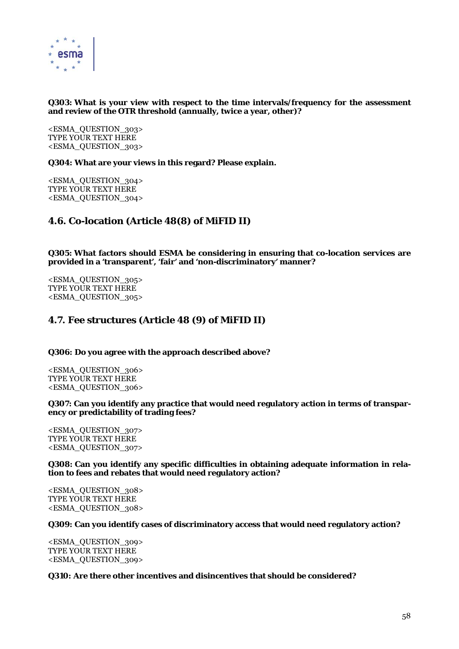

# **Q303: What is your view with respect to the time intervals/frequency for the assessment and review of the OTR threshold (annually, twice a year, other)?**

<ESMA\_QUESTION\_303> TYPE YOUR TEXT HERE <ESMA\_QUESTION\_303>

**Q304: What are your views in this regard? Please explain.** 

<ESMA\_QUESTION\_304> TYPE YOUR TEXT HERE <ESMA\_QUESTION\_304>

# **4.6. Co-location (Article 48(8) of MiFID II)**

**Q305: What factors should ESMA be considering in ensuring that co-location services are provided in a 'transparent', 'fair' and 'non-discriminatory' manner?** 

<ESMA\_QUESTION\_305> TYPE YOUR TEXT HERE <ESMA\_QUESTION\_305>

# **4.7. Fee structures (Article 48 (9) of MiFID II)**

**Q306: Do you agree with the approach described above?** 

<ESMA\_QUESTION\_306> TYPE YOUR TEXT HERE <ESMA\_QUESTION\_306>

**Q307: Can you identify any practice that would need regulatory action in terms of transparency or predictability of trading fees?** 

<ESMA\_QUESTION\_307> TYPE YOUR TEXT HERE <ESMA\_QUESTION\_307>

**Q308: Can you identify any specific difficulties in obtaining adequate information in relation to fees and rebates that would need regulatory action?** 

<ESMA\_QUESTION\_308> TYPE YOUR TEXT HERE <ESMA\_QUESTION\_308>

## **Q309: Can you identify cases of discriminatory access that would need regulatory action?**

<ESMA\_QUESTION\_309> TYPE YOUR TEXT HERE <ESMA\_QUESTION\_309>

## **Q310: Are there other incentives and disincentives that should be considered?**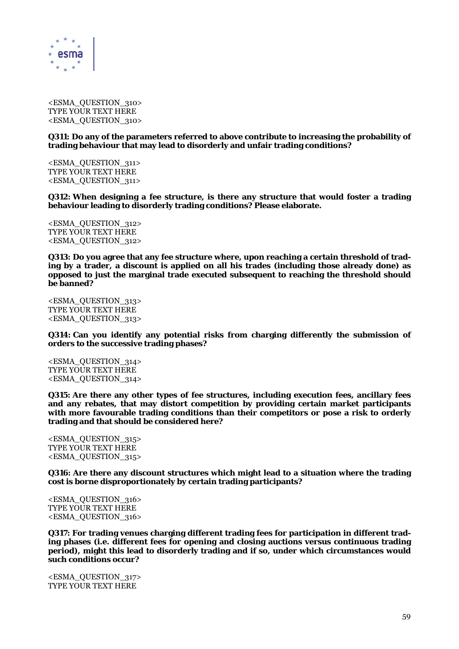

<ESMA\_QUESTION\_310> TYPE YOUR TEXT HERE <ESMA\_QUESTION\_310>

**Q311: Do any of the parameters referred to above contribute to increasing the probability of trading behaviour that may lead to disorderly and unfair trading conditions?** 

<ESMA\_QUESTION\_311> TYPE YOUR TEXT HERE <ESMA\_QUESTION\_311>

**Q312: When designing a fee structure, is there any structure that would foster a trading behaviour leading to disorderly trading conditions? Please elaborate.** 

<ESMA\_QUESTION\_312> TYPE YOUR TEXT HERE <ESMA\_QUESTION\_312>

**Q313: Do you agree that any fee structure where, upon reaching a certain threshold of trading by a trader, a discount is applied on all his trades (including those already done) as opposed to just the marginal trade executed subsequent to reaching the threshold should be banned?** 

<ESMA\_QUESTION\_313> TYPE YOUR TEXT HERE <ESMA\_QUESTION\_313>

**Q314: Can you identify any potential risks from charging differently the submission of orders to the successive trading phases?** 

<ESMA\_QUESTION\_314> TYPE YOUR TEXT HERE <ESMA\_QUESTION\_314>

**Q315: Are there any other types of fee structures, including execution fees, ancillary fees and any rebates, that may distort competition by providing certain market participants with more favourable trading conditions than their competitors or pose a risk to orderly trading and that should be considered here?** 

<ESMA\_QUESTION\_315> TYPE YOUR TEXT HERE <ESMA\_QUESTION\_315>

**Q316: Are there any discount structures which might lead to a situation where the trading cost is borne disproportionately by certain trading participants?** 

<ESMA\_QUESTION\_316> TYPE YOUR TEXT HERE <ESMA\_QUESTION\_316>

**Q317: For trading venues charging different trading fees for participation in different trading phases (i.e. different fees for opening and closing auctions versus continuous trading period), might this lead to disorderly trading and if so, under which circumstances would such conditions occur?** 

<ESMA\_QUESTION\_317> TYPE YOUR TEXT HERE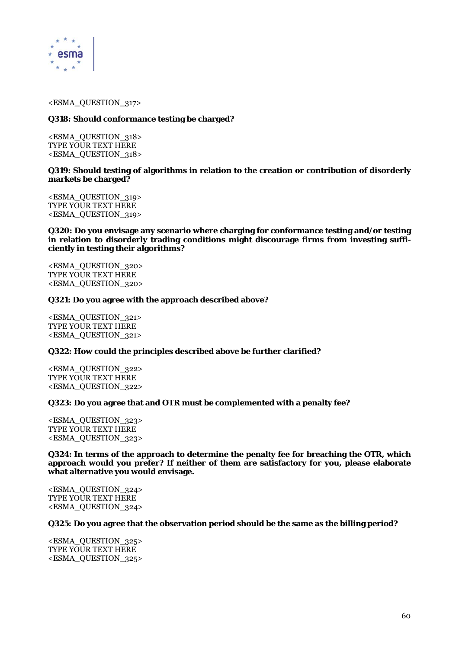

<ESMA\_QUESTION\_317>

# **Q318: Should conformance testing be charged?**

<ESMA\_QUESTION\_318> TYPE YOUR TEXT HERE <ESMA\_QUESTION\_318>

# **Q319: Should testing of algorithms in relation to the creation or contribution of disorderly markets be charged?**

<ESMA\_QUESTION\_319> TYPE YOUR TEXT HERE <ESMA\_QUESTION\_319>

**Q320: Do you envisage any scenario where charging for conformance testing and/or testing in relation to disorderly trading conditions might discourage firms from investing sufficiently in testing their algorithms?** 

<ESMA\_QUESTION\_320> TYPE YOUR TEXT HERE <ESMA\_QUESTION\_320>

## **Q321: Do you agree with the approach described above?**

<ESMA\_QUESTION\_321> TYPE YOUR TEXT HERE <ESMA\_QUESTION\_321>

## **Q322: How could the principles described above be further clarified?**

<ESMA\_QUESTION\_322> TYPE YOUR TEXT HERE <ESMA\_QUESTION\_322>

# **Q323: Do you agree that and OTR must be complemented with a penalty fee?**

<ESMA\_QUESTION\_323> TYPE YOUR TEXT HERE <ESMA\_QUESTION\_323>

**Q324: In terms of the approach to determine the penalty fee for breaching the OTR, which approach would you prefer? If neither of them are satisfactory for you, please elaborate what alternative you would envisage.** 

<ESMA\_QUESTION\_324> TYPE YOUR TEXT HERE <ESMA\_QUESTION\_324>

## **Q325: Do you agree that the observation period should be the same as the billing period?**

<ESMA\_QUESTION\_325> TYPE YOUR TEXT HERE <ESMA\_QUESTION\_325>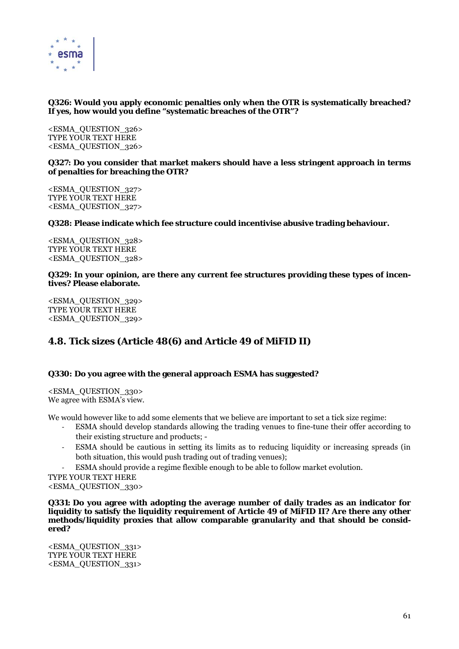

# **Q326: Would you apply economic penalties only when the OTR is systematically breached? If yes, how would you define "systematic breaches of the OTR"?**

<ESMA\_QUESTION\_326> TYPE YOUR TEXT HERE <ESMA\_QUESTION\_326>

# **Q327: Do you consider that market makers should have a less stringent approach in terms of penalties for breaching the OTR?**

<ESMA\_QUESTION\_327> TYPE YOUR TEXT HERE <ESMA\_QUESTION\_327>

# **Q328: Please indicate which fee structure could incentivise abusive trading behaviour.**

<ESMA\_QUESTION\_328> TYPE YOUR TEXT HERE <ESMA\_QUESTION\_328>

# **Q329: In your opinion, are there any current fee structures providing these types of incentives? Please elaborate.**

<ESMA\_QUESTION\_329> TYPE YOUR TEXT HERE <ESMA\_QUESTION\_329>

# **4.8. Tick sizes (Article 48(6) and Article 49 of MiFID II)**

# **Q330: Do you agree with the general approach ESMA has suggested?**

<ESMA\_QUESTION\_330> We agree with ESMA's view.

We would however like to add some elements that we believe are important to set a tick size regime:

- ‐ ESMA should develop standards allowing the trading venues to fine-tune their offer according to their existing structure and products; -
- ESMA should be cautious in setting its limits as to reducing liquidity or increasing spreads (in both situation, this would push trading out of trading venues);
- ‐ ESMA should provide a regime flexible enough to be able to follow market evolution.

TYPE YOUR TEXT HERE <ESMA\_QUESTION\_330>

**Q331: Do you agree with adopting the average number of daily trades as an indicator for liquidity to satisfy the liquidity requirement of Article 49 of MiFID II? Are there any other methods/liquidity proxies that allow comparable granularity and that should be considered?** 

<ESMA\_QUESTION\_331> TYPE YOUR TEXT HERE <ESMA\_QUESTION\_331>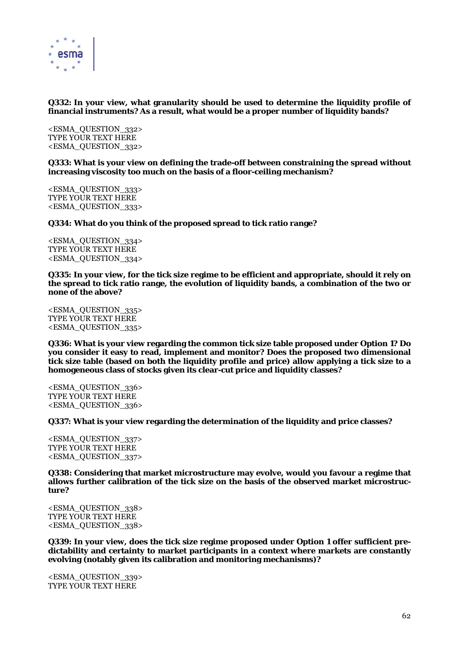

# **Q332: In your view, what granularity should be used to determine the liquidity profile of financial instruments? As a result, what would be a proper number of liquidity bands?**

<ESMA\_QUESTION\_332> TYPE YOUR TEXT HERE <ESMA\_QUESTION\_332>

**Q333: What is your view on defining the trade-off between constraining the spread without increasing viscosity too much on the basis of a floor-ceiling mechanism?** 

<ESMA\_QUESTION\_333> TYPE YOUR TEXT HERE <ESMA\_QUESTION\_333>

**Q334: What do you think of the proposed spread to tick ratio range?** 

<ESMA\_QUESTION\_334> TYPE YOUR TEXT HERE <ESMA\_QUESTION\_334>

**Q335: In your view, for the tick size regime to be efficient and appropriate, should it rely on the spread to tick ratio range, the evolution of liquidity bands, a combination of the two or none of the above?** 

<ESMA\_QUESTION\_335> TYPE YOUR TEXT HERE <ESMA\_QUESTION\_335>

**Q336: What is your view regarding the common tick size table proposed under Option 1? Do you consider it easy to read, implement and monitor? Does the proposed two dimensional tick size table (based on both the liquidity profile and price) allow applying a tick size to a homogeneous class of stocks given its clear-cut price and liquidity classes?** 

<ESMA\_QUESTION\_336> TYPE YOUR TEXT HERE <ESMA\_QUESTION\_336>

**Q337: What is your view regarding the determination of the liquidity and price classes?** 

<ESMA\_QUESTION\_337> TYPE YOUR TEXT HERE <ESMA\_QUESTION\_337>

**Q338: Considering that market microstructure may evolve, would you favour a regime that allows further calibration of the tick size on the basis of the observed market microstructure?** 

<ESMA\_QUESTION\_338> TYPE YOUR TEXT HERE <ESMA\_QUESTION\_338>

**Q339: In your view, does the tick size regime proposed under Option 1 offer sufficient predictability and certainty to market participants in a context where markets are constantly evolving (notably given its calibration and monitoring mechanisms)?** 

<ESMA\_QUESTION\_339> TYPE YOUR TEXT HERE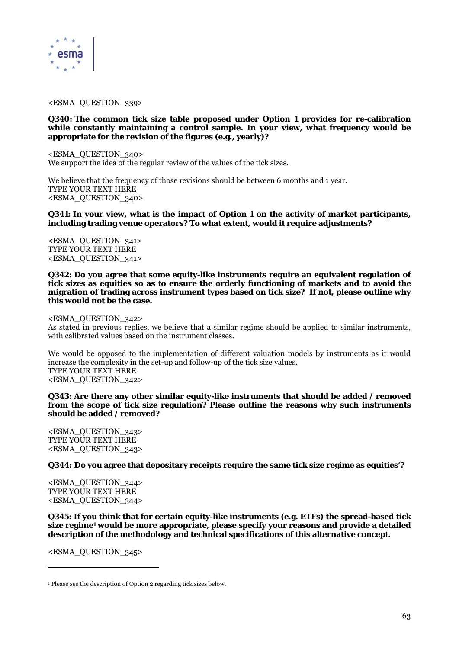

<ESMA\_QUESTION\_339>

### **Q340: The common tick size table proposed under Option 1 provides for re-calibration while constantly maintaining a control sample. In your view, what frequency would be appropriate for the revision of the figures (e.g., yearly)?**

<ESMA\_QUESTION\_340> We support the idea of the regular review of the values of the tick sizes.

We believe that the frequency of those revisions should be between 6 months and 1 year. TYPE YOUR TEXT HERE <ESMA\_QUESTION\_340>

**Q341: In your view, what is the impact of Option 1 on the activity of market participants, including trading venue operators? To what extent, would it require adjustments?** 

<ESMA\_QUESTION\_341> TYPE YOUR TEXT HERE <ESMA\_QUESTION\_341>

**Q342: Do you agree that some equity-like instruments require an equivalent regulation of tick sizes as equities so as to ensure the orderly functioning of markets and to avoid the migration of trading across instrument types based on tick size? If not, please outline why this would not be the case.** 

#### <ESMA\_QUESTION\_342>

As stated in previous replies, we believe that a similar regime should be applied to similar instruments, with calibrated values based on the instrument classes.

We would be opposed to the implementation of different valuation models by instruments as it would increase the complexity in the set-up and follow-up of the tick size values. TYPE YOUR TEXT HERE <ESMA\_QUESTION\_342>

**Q343: Are there any other similar equity-like instruments that should be added / removed from the scope of tick size regulation? Please outline the reasons why such instruments should be added / removed?** 

<ESMA\_QUESTION\_343> TYPE YOUR TEXT HERE <ESMA\_QUESTION\_343>

**Q344: Do you agree that depositary receipts require the same tick size regime as equities'?** 

<ESMA\_QUESTION\_344> TYPE YOUR TEXT HERE <ESMA\_QUESTION\_344>

**Q345: If you think that for certain equity-like instruments (e.g. ETFs) the spread-based tick size regime1 would be more appropriate, please specify your reasons and provide a detailed description of the methodology and technical specifications of this alternative concept.** 

<ESMA\_QUESTION\_345>

 $\overline{a}$ 

<sup>1</sup> Please see the description of Option 2 regarding tick sizes below.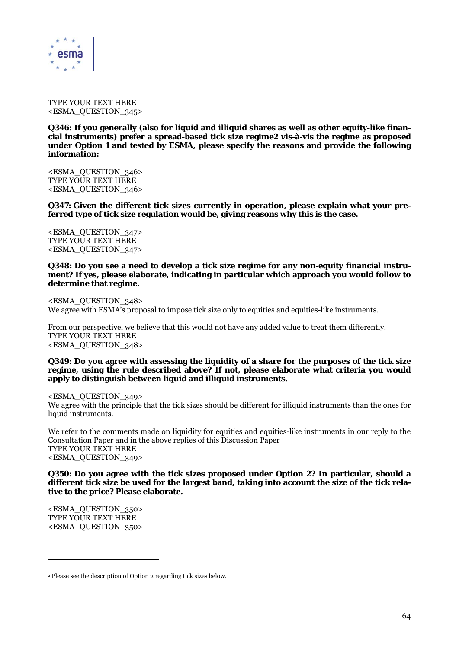

TYPE YOUR TEXT HERE <ESMA\_QUESTION\_345>

**Q346: If you generally (also for liquid and illiquid shares as well as other equity-like financial instruments) prefer a spread-based tick size regime2 vis-à-vis the regime as proposed under Option 1 and tested by ESMA, please specify the reasons and provide the following information:** 

<ESMA\_QUESTION\_346> TYPE YOUR TEXT HERE <ESMA\_QUESTION\_346>

**Q347: Given the different tick sizes currently in operation, please explain what your preferred type of tick size regulation would be, giving reasons why this is the case.** 

<ESMA\_QUESTION\_347> TYPE YOUR TEXT HERE <ESMA\_QUESTION\_347>

#### **Q348: Do you see a need to develop a tick size regime for any non-equity financial instrument? If yes, please elaborate, indicating in particular which approach you would follow to determine that regime.**

<ESMA\_QUESTION\_348> We agree with ESMA's proposal to impose tick size only to equities and equities-like instruments.

From our perspective, we believe that this would not have any added value to treat them differently. TYPE YOUR TEXT HERE <ESMA\_QUESTION\_348>

#### **Q349: Do you agree with assessing the liquidity of a share for the purposes of the tick size regime, using the rule described above? If not, please elaborate what criteria you would apply to distinguish between liquid and illiquid instruments.**

<ESMA\_QUESTION\_349> We agree with the principle that the tick sizes should be different for illiquid instruments than the ones for liquid instruments.

We refer to the comments made on liquidity for equities and equities-like instruments in our reply to the Consultation Paper and in the above replies of this Discussion Paper TYPE YOUR TEXT HERE <ESMA\_QUESTION\_349>

**Q350: Do you agree with the tick sizes proposed under Option 2? In particular, should a different tick size be used for the largest band, taking into account the size of the tick relative to the price? Please elaborate.** 

<ESMA\_QUESTION\_350> TYPE YOUR TEXT HERE <ESMA\_QUESTION\_350>

 $\overline{a}$ 

<sup>2</sup> Please see the description of Option 2 regarding tick sizes below.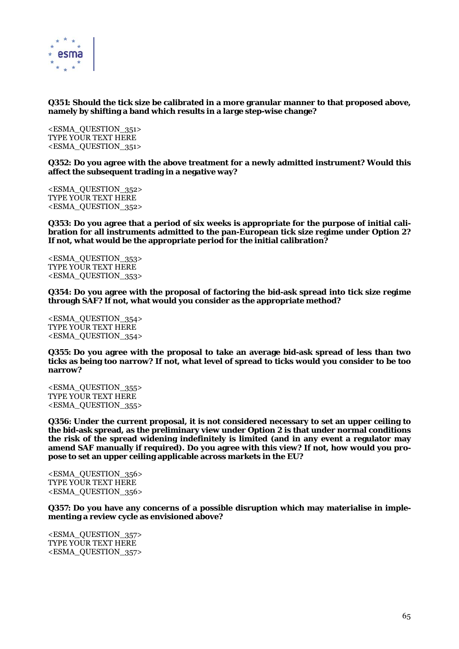

# **Q351: Should the tick size be calibrated in a more granular manner to that proposed above, namely by shifting a band which results in a large step-wise change?**

<ESMA\_QUESTION\_351> TYPE YOUR TEXT HERE <ESMA\_QUESTION\_351>

**Q352: Do you agree with the above treatment for a newly admitted instrument? Would this affect the subsequent trading in a negative way?** 

<ESMA\_QUESTION\_352> TYPE YOUR TEXT HERE <ESMA\_QUESTION\_352>

**Q353: Do you agree that a period of six weeks is appropriate for the purpose of initial calibration for all instruments admitted to the pan-European tick size regime under Option 2? If not, what would be the appropriate period for the initial calibration?** 

<ESMA\_QUESTION\_353> TYPE YOUR TEXT HERE <ESMA\_QUESTION\_353>

**Q354: Do you agree with the proposal of factoring the bid-ask spread into tick size regime through SAF? If not, what would you consider as the appropriate method?** 

<ESMA\_QUESTION\_354> TYPE YOUR TEXT HERE <ESMA\_QUESTION\_354>

**Q355: Do you agree with the proposal to take an average bid-ask spread of less than two ticks as being too narrow? If not, what level of spread to ticks would you consider to be too narrow?** 

<ESMA\_QUESTION\_355> TYPE YOUR TEXT HERE <ESMA\_QUESTION\_355>

**Q356: Under the current proposal, it is not considered necessary to set an upper ceiling to the bid-ask spread, as the preliminary view under Option 2 is that under normal conditions the risk of the spread widening indefinitely is limited (and in any event a regulator may amend SAF manually if required). Do you agree with this view? If not, how would you propose to set an upper ceiling applicable across markets in the EU?** 

<ESMA\_QUESTION\_356> TYPE YOUR TEXT HERE <ESMA\_QUESTION\_356>

**Q357: Do you have any concerns of a possible disruption which may materialise in implementing a review cycle as envisioned above?** 

<ESMA\_QUESTION\_357> TYPE YOUR TEXT HERE <ESMA\_QUESTION\_357>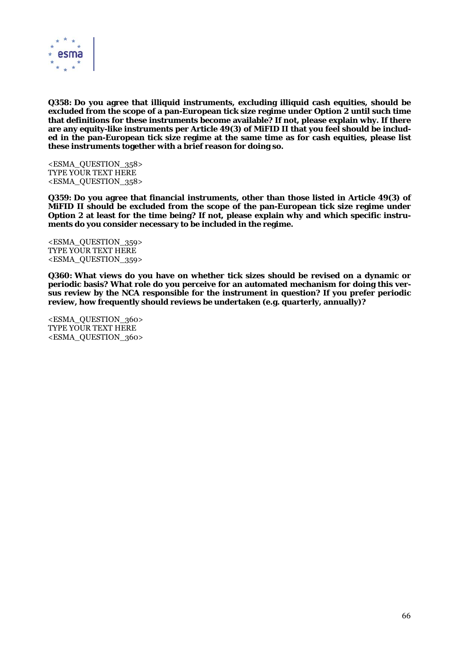

**Q358: Do you agree that illiquid instruments, excluding illiquid cash equities, should be excluded from the scope of a pan-European tick size regime under Option 2 until such time that definitions for these instruments become available? If not, please explain why. If there are any equity-like instruments per Article 49(3) of MiFID II that you feel should be included in the pan-European tick size regime at the same time as for cash equities, please list these instruments together with a brief reason for doing so.** 

<ESMA\_QUESTION\_358> TYPE YOUR TEXT HERE <ESMA\_QUESTION\_358>

**Q359: Do you agree that financial instruments, other than those listed in Article 49(3) of MiFID II should be excluded from the scope of the pan-European tick size regime under Option 2 at least for the time being? If not, please explain why and which specific instruments do you consider necessary to be included in the regime.** 

<ESMA\_QUESTION\_359> TYPE YOUR TEXT HERE <ESMA\_QUESTION\_359>

**Q360: What views do you have on whether tick sizes should be revised on a dynamic or periodic basis? What role do you perceive for an automated mechanism for doing this versus review by the NCA responsible for the instrument in question? If you prefer periodic review, how frequently should reviews be undertaken (e.g. quarterly, annually)?** 

<ESMA\_QUESTION\_360> TYPE YOUR TEXT HERE <ESMA\_QUESTION\_360>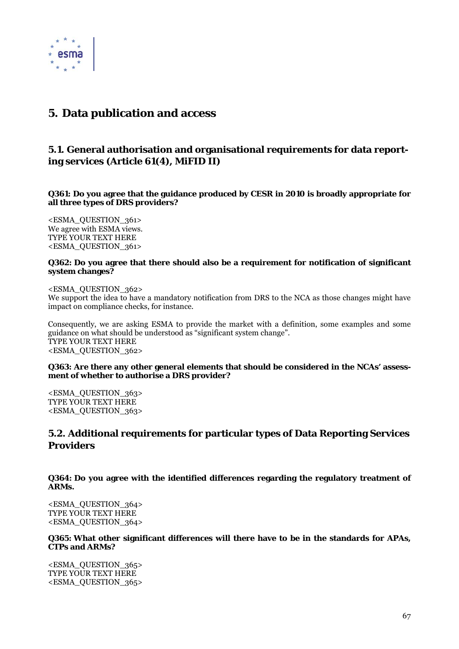

# **5. Data publication and access**

# **5.1. General authorisation and organisational requirements for data reporting services (Article 61(4), MiFID II)**

**Q361: Do you agree that the guidance produced by CESR in 2010 is broadly appropriate for all three types of DRS providers?** 

<ESMA\_QUESTION\_361> We agree with ESMA views. TYPE YOUR TEXT HERE <ESMA\_QUESTION\_361>

# **Q362: Do you agree that there should also be a requirement for notification of significant system changes?**

<ESMA\_QUESTION\_362>

We support the idea to have a mandatory notification from DRS to the NCA as those changes might have impact on compliance checks, for instance.

Consequently, we are asking ESMA to provide the market with a definition, some examples and some guidance on what should be understood as "significant system change". TYPE YOUR TEXT HERE <ESMA\_QUESTION\_362>

## **Q363: Are there any other general elements that should be considered in the NCAs' assessment of whether to authorise a DRS provider?**

<ESMA\_QUESTION\_363> TYPE YOUR TEXT HERE <ESMA\_QUESTION\_363>

# **5.2. Additional requirements for particular types of Data Reporting Services Providers**

**Q364: Do you agree with the identified differences regarding the regulatory treatment of ARMs.** 

<ESMA\_QUESTION\_364> TYPE YOUR TEXT HERE <ESMA\_QUESTION\_364>

**Q365: What other significant differences will there have to be in the standards for APAs, CTPs and ARMs?** 

<ESMA\_QUESTION\_365> TYPE YOUR TEXT HERE <ESMA\_QUESTION\_365>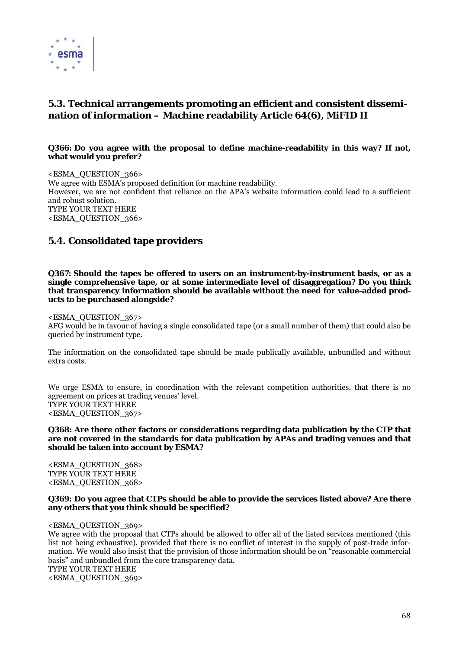

# **5.3. Technical arrangements promoting an efficient and consistent dissemination of information – Machine readability Article 64(6), MiFID II**

# **Q366: Do you agree with the proposal to define machine-readability in this way? If not, what would you prefer?**

<ESMA\_QUESTION\_366> We agree with ESMA's proposed definition for machine readability. However, we are not confident that reliance on the APA's website information could lead to a sufficient and robust solution. TYPE YOUR TEXT HERE <ESMA\_QUESTION\_366>

# **5.4. Consolidated tape providers**

**Q367: Should the tapes be offered to users on an instrument-by-instrument basis, or as a single comprehensive tape, or at some intermediate level of disaggregation? Do you think that transparency information should be available without the need for value-added products to be purchased alongside?** 

## <ESMA\_QUESTION\_367>

AFG would be in favour of having a single consolidated tape (or a small number of them) that could also be queried by instrument type.

The information on the consolidated tape should be made publically available, unbundled and without extra costs.

We urge ESMA to ensure, in coordination with the relevant competition authorities, that there is no agreement on prices at trading venues' level. TYPE YOUR TEXT HERE <ESMA\_QUESTION\_367>

#### **Q368: Are there other factors or considerations regarding data publication by the CTP that are not covered in the standards for data publication by APAs and trading venues and that should be taken into account by ESMA?**

<ESMA\_QUESTION\_368> TYPE YOUR TEXT HERE <ESMA\_QUESTION\_368>

## **Q369: Do you agree that CTPs should be able to provide the services listed above? Are there any others that you think should be specified?**

<ESMA\_QUESTION\_369>

We agree with the proposal that CTPs should be allowed to offer all of the listed services mentioned (this list not being exhaustive), provided that there is no conflict of interest in the supply of post-trade information. We would also insist that the provision of those information should be on "reasonable commercial basis" and unbundled from the core transparency data. TYPE YOUR TEXT HERE <ESMA\_QUESTION\_369>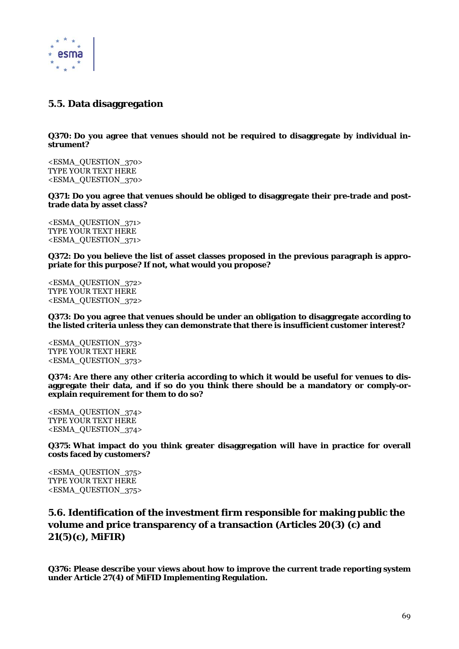

# **5.5. Data disaggregation**

**Q370: Do you agree that venues should not be required to disaggregate by individual instrument?** 

<ESMA\_QUESTION\_370> TYPE YOUR TEXT HERE <ESMA\_QUESTION\_370>

**Q371: Do you agree that venues should be obliged to disaggregate their pre-trade and posttrade data by asset class?** 

<ESMA\_QUESTION\_371> TYPE YOUR TEXT HERE <ESMA\_QUESTION\_371>

**Q372: Do you believe the list of asset classes proposed in the previous paragraph is appropriate for this purpose? If not, what would you propose?** 

<ESMA\_QUESTION\_372> TYPE YOUR TEXT HERE <ESMA\_QUESTION\_372>

**Q373: Do you agree that venues should be under an obligation to disaggregate according to the listed criteria unless they can demonstrate that there is insufficient customer interest?** 

<ESMA\_QUESTION\_373> TYPE YOUR TEXT HERE <ESMA\_QUESTION\_373>

**Q374: Are there any other criteria according to which it would be useful for venues to disaggregate their data, and if so do you think there should be a mandatory or comply-orexplain requirement for them to do so?** 

<ESMA\_QUESTION\_374> TYPE YOUR TEXT HERE <ESMA\_QUESTION\_374>

**Q375: What impact do you think greater disaggregation will have in practice for overall costs faced by customers?** 

<ESMA\_QUESTION\_375> TYPE YOUR TEXT HERE <ESMA\_QUESTION\_375>

**5.6. Identification of the investment firm responsible for making public the volume and price transparency of a transaction (Articles 20(3) (c) and 21(5)(c), MiFIR)** 

**Q376: Please describe your views about how to improve the current trade reporting system under Article 27(4) of MiFID Implementing Regulation.**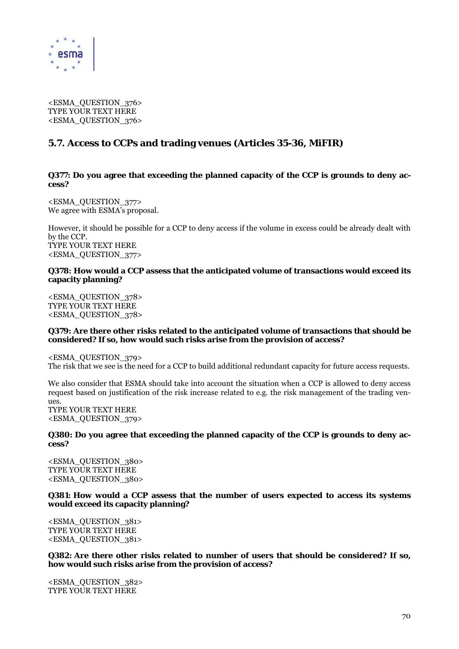

<ESMA\_QUESTION\_376> TYPE YOUR TEXT HERE <ESMA\_QUESTION\_376>

# **5.7. Access to CCPs and trading venues (Articles 35-36, MiFIR)**

**Q377: Do you agree that exceeding the planned capacity of the CCP is grounds to deny access?** 

<ESMA\_QUESTION\_377> We agree with ESMA's proposal.

However, it should be possible for a CCP to deny access if the volume in excess could be already dealt with by the CCP. TYPE YOUR TEXT HERE <ESMA\_QUESTION\_377>

## **Q378: How would a CCP assess that the anticipated volume of transactions would exceed its capacity planning?**

<ESMA\_QUESTION\_378> TYPE YOUR TEXT HERE <ESMA\_QUESTION\_378>

## **Q379: Are there other risks related to the anticipated volume of transactions that should be considered? If so, how would such risks arise from the provision of access?**

<ESMA\_QUESTION\_379>

The risk that we see is the need for a CCP to build additional redundant capacity for future access requests.

We also consider that ESMA should take into account the situation when a CCP is allowed to deny access request based on justification of the risk increase related to e.g. the risk management of the trading venues. TYPE YOUR TEXT HERE

<ESMA\_QUESTION\_379>

**Q380: Do you agree that exceeding the planned capacity of the CCP is grounds to deny access?** 

<ESMA\_QUESTION\_380> TYPE YOUR TEXT HERE <ESMA\_QUESTION\_380>

**Q381: How would a CCP assess that the number of users expected to access its systems would exceed its capacity planning?** 

<ESMA\_QUESTION\_381> TYPE YOUR TEXT HERE <ESMA\_QUESTION\_381>

**Q382: Are there other risks related to number of users that should be considered? If so, how would such risks arise from the provision of access?** 

<ESMA\_QUESTION\_382> TYPE YOUR TEXT HERE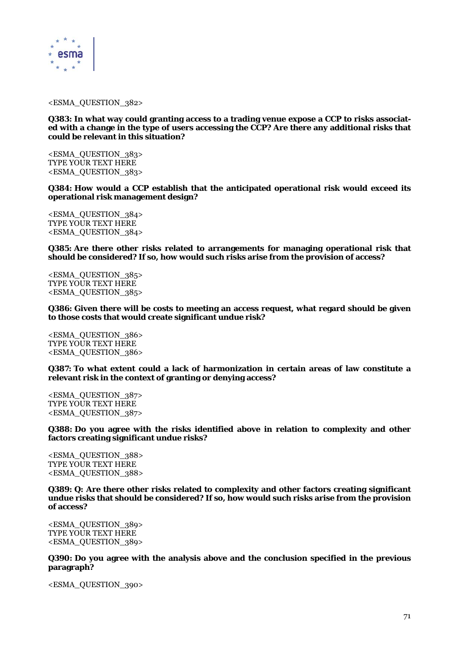

#### <ESMA\_QUESTION\_382>

**Q383: In what way could granting access to a trading venue expose a CCP to risks associated with a change in the type of users accessing the CCP? Are there any additional risks that could be relevant in this situation?** 

<ESMA\_QUESTION\_383> TYPE YOUR TEXT HERE <ESMA\_QUESTION\_383>

**Q384: How would a CCP establish that the anticipated operational risk would exceed its operational risk management design?** 

<ESMA\_QUESTION\_384> TYPE YOUR TEXT HERE <ESMA\_QUESTION\_384>

**Q385: Are there other risks related to arrangements for managing operational risk that should be considered? If so, how would such risks arise from the provision of access?** 

<ESMA\_QUESTION\_385> TYPE YOUR TEXT HERE <ESMA\_QUESTION\_385>

**Q386: Given there will be costs to meeting an access request, what regard should be given to those costs that would create significant undue risk?** 

<ESMA\_QUESTION\_386> TYPE YOUR TEXT HERE <ESMA\_QUESTION\_386>

**Q387: To what extent could a lack of harmonization in certain areas of law constitute a relevant risk in the context of granting or denying access?** 

<ESMA\_QUESTION\_387> TYPE YOUR TEXT HERE <ESMA\_QUESTION\_387>

**Q388: Do you agree with the risks identified above in relation to complexity and other factors creating significant undue risks?** 

<ESMA\_QUESTION\_388> TYPE YOUR TEXT HERE <ESMA\_QUESTION\_388>

**Q389: Q: Are there other risks related to complexity and other factors creating significant undue risks that should be considered? If so, how would such risks arise from the provision of access?** 

<ESMA\_QUESTION\_389> TYPE YOUR TEXT HERE <ESMA\_QUESTION\_389>

**Q390: Do you agree with the analysis above and the conclusion specified in the previous paragraph?** 

<ESMA\_QUESTION\_390>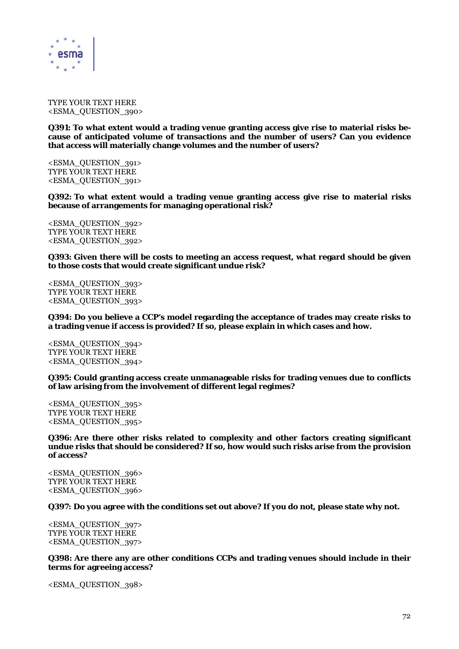

TYPE YOUR TEXT HERE <ESMA\_QUESTION\_390>

**Q391: To what extent would a trading venue granting access give rise to material risks because of anticipated volume of transactions and the number of users? Can you evidence that access will materially change volumes and the number of users?** 

<ESMA\_QUESTION\_391> TYPE YOUR TEXT HERE <ESMA\_QUESTION\_391>

**Q392: To what extent would a trading venue granting access give rise to material risks because of arrangements for managing operational risk?** 

<ESMA\_QUESTION\_392> TYPE YOUR TEXT HERE <ESMA\_QUESTION\_392>

**Q393: Given there will be costs to meeting an access request, what regard should be given to those costs that would create significant undue risk?** 

<ESMA\_QUESTION\_393> TYPE YOUR TEXT HERE <ESMA\_QUESTION\_393>

**Q394: Do you believe a CCP's model regarding the acceptance of trades may create risks to a trading venue if access is provided? If so, please explain in which cases and how.** 

<ESMA\_QUESTION\_394> TYPE YOUR TEXT HERE <ESMA\_QUESTION\_394>

**Q395: Could granting access create unmanageable risks for trading venues due to conflicts of law arising from the involvement of different legal regimes?** 

<ESMA\_QUESTION\_395> TYPE YOUR TEXT HERE <ESMA\_QUESTION\_395>

**Q396: Are there other risks related to complexity and other factors creating significant undue risks that should be considered? If so, how would such risks arise from the provision of access?** 

<ESMA\_QUESTION\_396> TYPE YOUR TEXT HERE <ESMA\_QUESTION\_396>

**Q397: Do you agree with the conditions set out above? If you do not, please state why not.** 

<ESMA\_QUESTION\_397> TYPE YOUR TEXT HERE <ESMA\_QUESTION\_397>

**Q398: Are there any are other conditions CCPs and trading venues should include in their terms for agreeing access?** 

<ESMA\_QUESTION\_398>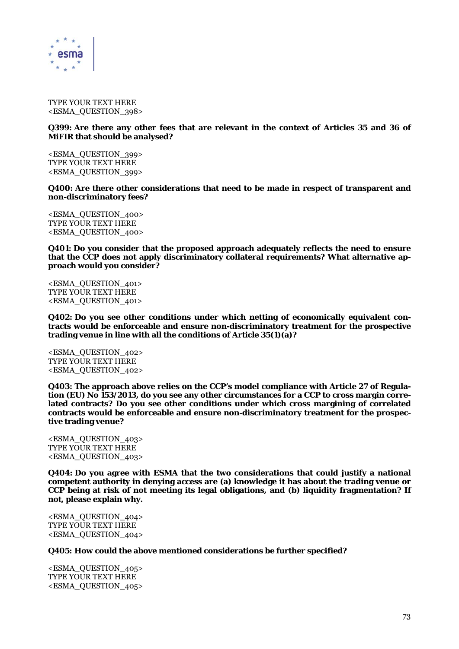

TYPE YOUR TEXT HERE <ESMA\_QUESTION\_398>

#### **Q399: Are there any other fees that are relevant in the context of Articles 35 and 36 of MiFIR that should be analysed?**

<ESMA\_QUESTION\_399> TYPE YOUR TEXT HERE <ESMA\_QUESTION\_399>

**Q400: Are there other considerations that need to be made in respect of transparent and non-discriminatory fees?** 

<ESMA\_QUESTION\_400> TYPE YOUR TEXT HERE <ESMA\_QUESTION\_400>

**Q401: Do you consider that the proposed approach adequately reflects the need to ensure that the CCP does not apply discriminatory collateral requirements? What alternative approach would you consider?** 

<ESMA\_QUESTION\_401> TYPE YOUR TEXT HERE <ESMA\_QUESTION\_401>

**Q402: Do you see other conditions under which netting of economically equivalent contracts would be enforceable and ensure non-discriminatory treatment for the prospective trading venue in line with all the conditions of Article 35(1)(a)?** 

<ESMA\_QUESTION\_402> TYPE YOUR TEXT HERE <ESMA\_QUESTION\_402>

**Q403: The approach above relies on the CCP's model compliance with Article 27 of Regulation (EU) No 153/2013, do you see any other circumstances for a CCP to cross margin correlated contracts? Do you see other conditions under which cross margining of correlated contracts would be enforceable and ensure non-discriminatory treatment for the prospective trading venue?** 

<ESMA\_QUESTION\_403> TYPE YOUR TEXT HERE <ESMA\_QUESTION\_403>

**Q404: Do you agree with ESMA that the two considerations that could justify a national competent authority in denying access are (a) knowledge it has about the trading venue or CCP being at risk of not meeting its legal obligations, and (b) liquidity fragmentation? If not, please explain why.** 

<ESMA\_QUESTION\_404> TYPE YOUR TEXT HERE <ESMA\_QUESTION\_404>

**Q405: How could the above mentioned considerations be further specified?** 

<ESMA\_QUESTION\_405> TYPE YOUR TEXT HERE <ESMA\_QUESTION\_405>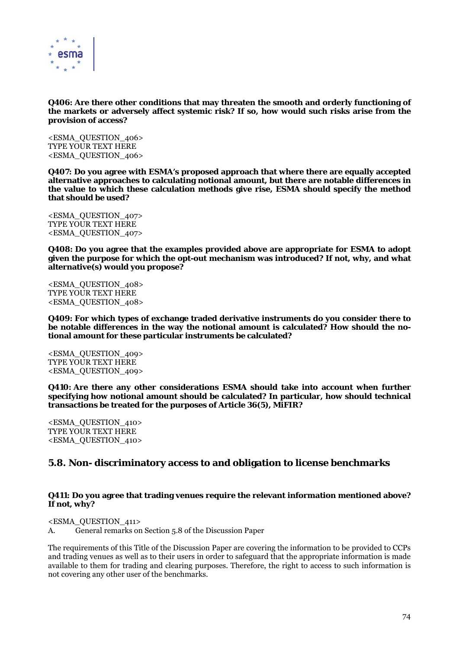

**Q406: Are there other conditions that may threaten the smooth and orderly functioning of the markets or adversely affect systemic risk? If so, how would such risks arise from the provision of access?** 

<ESMA\_QUESTION\_406> TYPE YOUR TEXT HERE <ESMA\_QUESTION\_406>

**Q407: Do you agree with ESMA's proposed approach that where there are equally accepted alternative approaches to calculating notional amount, but there are notable differences in the value to which these calculation methods give rise, ESMA should specify the method that should be used?** 

<ESMA\_QUESTION\_407> TYPE YOUR TEXT HERE <ESMA\_QUESTION\_407>

**Q408: Do you agree that the examples provided above are appropriate for ESMA to adopt given the purpose for which the opt-out mechanism was introduced? If not, why, and what alternative(s) would you propose?** 

<ESMA\_QUESTION\_408> TYPE YOUR TEXT HERE <ESMA\_QUESTION\_408>

**Q409: For which types of exchange traded derivative instruments do you consider there to be notable differences in the way the notional amount is calculated? How should the notional amount for these particular instruments be calculated?** 

<ESMA\_QUESTION\_409> TYPE YOUR TEXT HERE <ESMA\_QUESTION\_409>

**Q410: Are there any other considerations ESMA should take into account when further specifying how notional amount should be calculated? In particular, how should technical transactions be treated for the purposes of Article 36(5), MiFIR?** 

<ESMA\_QUESTION\_410> TYPE YOUR TEXT HERE <ESMA\_QUESTION\_410>

# **5.8. Non- discriminatory access to and obligation to license benchmarks**

### **Q411: Do you agree that trading venues require the relevant information mentioned above? If not, why?**

<ESMA\_QUESTION\_411>

A. General remarks on Section 5.8 of the Discussion Paper

The requirements of this Title of the Discussion Paper are covering the information to be provided to CCPs and trading venues as well as to their users in order to safeguard that the appropriate information is made available to them for trading and clearing purposes. Therefore, the right to access to such information is not covering any other user of the benchmarks.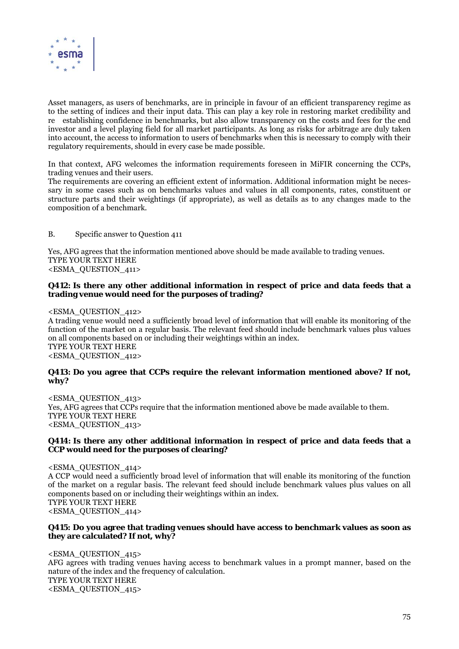

Asset managers, as users of benchmarks, are in principle in favour of an efficient transparency regime as to the setting of indices and their input data. This can play a key role in restoring market credibility and ree establishing confidence in benchmarks, but also allow transparency on the costs and fees for the end investor and a level playing field for all market participants. As long as risks for arbitrage are duly taken into account, the access to information to users of benchmarks when this is necessary to comply with their regulatory requirements, should in every case be made possible.

In that context, AFG welcomes the information requirements foreseen in MiFIR concerning the CCPs, trading venues and their users.

The requirements are covering an efficient extent of information. Additional information might be necessary in some cases such as on benchmarks values and values in all components, rates, constituent or structure parts and their weightings (if appropriate), as well as details as to any changes made to the composition of a benchmark.

B. Specific answer to Question 411

Yes, AFG agrees that the information mentioned above should be made available to trading venues. TYPE YOUR TEXT HERE <ESMA\_QUESTION\_411>

### **Q412: Is there any other additional information in respect of price and data feeds that a trading venue would need for the purposes of trading?**

<ESMA\_QUESTION\_412>

A trading venue would need a sufficiently broad level of information that will enable its monitoring of the function of the market on a regular basis. The relevant feed should include benchmark values plus values on all components based on or including their weightings within an index. TYPE YOUR TEXT HERE <ESMA\_QUESTION\_412>

# **Q413: Do you agree that CCPs require the relevant information mentioned above? If not, why?**

<ESMA\_QUESTION\_413> Yes, AFG agrees that CCPs require that the information mentioned above be made available to them. TYPE YOUR TEXT HERE <ESMA\_QUESTION\_413>

# **Q414: Is there any other additional information in respect of price and data feeds that a CCP would need for the purposes of clearing?**

<ESMA\_QUESTION\_414> A CCP would need a sufficiently broad level of information that will enable its monitoring of the function of the market on a regular basis. The relevant feed should include benchmark values plus values on all components based on or including their weightings within an index. TYPE YOUR TEXT HERE <ESMA\_QUESTION\_414>

### **Q415: Do you agree that trading venues should have access to benchmark values as soon as they are calculated? If not, why?**

<ESMA\_QUESTION\_415> AFG agrees with trading venues having access to benchmark values in a prompt manner, based on the nature of the index and the frequency of calculation. TYPE YOUR TEXT HERE <ESMA\_QUESTION\_415>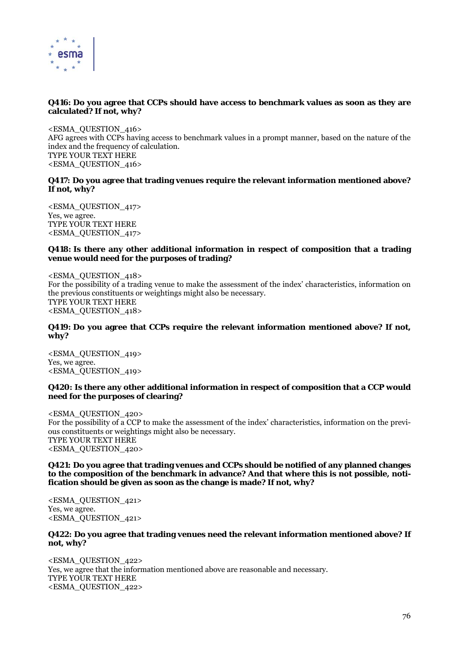

# **Q416: Do you agree that CCPs should have access to benchmark values as soon as they are calculated? If not, why?**

<ESMA\_QUESTION\_416> AFG agrees with CCPs having access to benchmark values in a prompt manner, based on the nature of the index and the frequency of calculation. TYPE YOUR TEXT HERE <ESMA\_QUESTION\_416>

### **Q417: Do you agree that trading venues require the relevant information mentioned above? If not, why?**

<ESMA\_QUESTION\_417> Yes, we agree. TYPE YOUR TEXT HERE <ESMA\_QUESTION\_417>

# **Q418: Is there any other additional information in respect of composition that a trading venue would need for the purposes of trading?**

<ESMA\_QUESTION\_418> For the possibility of a trading venue to make the assessment of the index' characteristics, information on the previous constituents or weightings might also be necessary. TYPE YOUR TEXT HERE <ESMA\_QUESTION\_418>

# **Q419: Do you agree that CCPs require the relevant information mentioned above? If not, why?**

<ESMA\_QUESTION\_419> Yes, we agree. <ESMA\_QUESTION\_419>

# **Q420: Is there any other additional information in respect of composition that a CCP would need for the purposes of clearing?**

<ESMA\_QUESTION\_420> For the possibility of a CCP to make the assessment of the index' characteristics, information on the previous constituents or weightings might also be necessary. TYPE YOUR TEXT HERE <ESMA\_QUESTION\_420>

### **Q421: Do you agree that trading venues and CCPs should be notified of any planned changes to the composition of the benchmark in advance? And that where this is not possible, notification should be given as soon as the change is made? If not, why?**

<ESMA\_QUESTION\_421> Yes, we agree. <ESMA\_QUESTION\_421>

# **Q422: Do you agree that trading venues need the relevant information mentioned above? If not, why?**

<ESMA\_QUESTION\_422> Yes, we agree that the information mentioned above are reasonable and necessary. TYPE YOUR TEXT HERE <ESMA\_QUESTION\_422>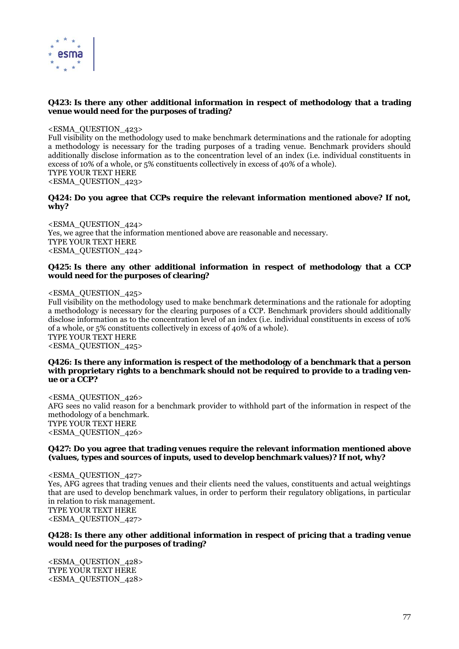

# **Q423: Is there any other additional information in respect of methodology that a trading venue would need for the purposes of trading?**

<ESMA\_QUESTION\_423>

Full visibility on the methodology used to make benchmark determinations and the rationale for adopting a methodology is necessary for the trading purposes of a trading venue. Benchmark providers should additionally disclose information as to the concentration level of an index (i.e. individual constituents in excess of 10% of a whole, or 5% constituents collectively in excess of 40% of a whole). TYPE YOUR TEXT HERE <ESMA\_QUESTION\_423>

### **Q424: Do you agree that CCPs require the relevant information mentioned above? If not, why?**

<ESMA\_QUESTION\_424> Yes, we agree that the information mentioned above are reasonable and necessary. TYPE YOUR TEXT HERE <ESMA\_QUESTION\_424>

# **Q425: Is there any other additional information in respect of methodology that a CCP would need for the purposes of clearing?**

<ESMA\_QUESTION\_425>

Full visibility on the methodology used to make benchmark determinations and the rationale for adopting a methodology is necessary for the clearing purposes of a CCP. Benchmark providers should additionally disclose information as to the concentration level of an index (i.e. individual constituents in excess of 10% of a whole, or 5% constituents collectively in excess of 40% of a whole). TYPE YOUR TEXT HERE

<ESMA\_QUESTION\_425>

### **Q426: Is there any information is respect of the methodology of a benchmark that a person with proprietary rights to a benchmark should not be required to provide to a trading venue or a CCP?**

<ESMA\_QUESTION\_426> AFG sees no valid reason for a benchmark provider to withhold part of the information in respect of the methodology of a benchmark. TYPE YOUR TEXT HERE <ESMA\_QUESTION\_426>

# **Q427: Do you agree that trading venues require the relevant information mentioned above (values, types and sources of inputs, used to develop benchmark values)? If not, why?**

<ESMA\_QUESTION\_427> Yes, AFG agrees that trading venues and their clients need the values, constituents and actual weightings that are used to develop benchmark values, in order to perform their regulatory obligations, in particular in relation to risk management. TYPE YOUR TEXT HERE <ESMA\_QUESTION\_427>

# **Q428: Is there any other additional information in respect of pricing that a trading venue would need for the purposes of trading?**

<ESMA\_QUESTION\_428> TYPE YOUR TEXT HERE <ESMA\_QUESTION\_428>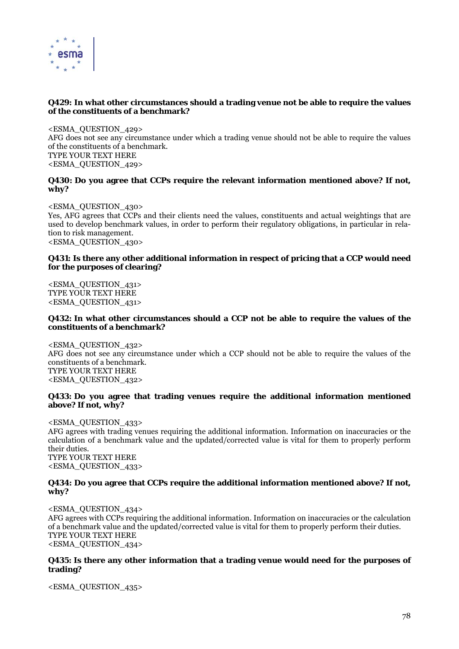

# **Q429: In what other circumstances should a trading venue not be able to require the values of the constituents of a benchmark?**

<ESMA\_QUESTION\_429> AFG does not see any circumstance under which a trading venue should not be able to require the values of the constituents of a benchmark. TYPE YOUR TEXT HERE <ESMA\_QUESTION\_429>

# **Q430: Do you agree that CCPs require the relevant information mentioned above? If not, why?**

<ESMA\_QUESTION\_430> Yes, AFG agrees that CCPs and their clients need the values, constituents and actual weightings that are used to develop benchmark values, in order to perform their regulatory obligations, in particular in relation to risk management. <ESMA\_QUESTION\_430>

# **Q431: Is there any other additional information in respect of pricing that a CCP would need for the purposes of clearing?**

<ESMA\_QUESTION\_431> TYPE YOUR TEXT HERE <ESMA\_QUESTION\_431>

# **Q432: In what other circumstances should a CCP not be able to require the values of the constituents of a benchmark?**

<ESMA\_QUESTION\_432> AFG does not see any circumstance under which a CCP should not be able to require the values of the constituents of a benchmark. TYPE YOUR TEXT HERE <ESMA\_QUESTION\_432>

# **Q433: Do you agree that trading venues require the additional information mentioned above? If not, why?**

<ESMA\_QUESTION\_433> AFG agrees with trading venues requiring the additional information. Information on inaccuracies or the calculation of a benchmark value and the updated/corrected value is vital for them to properly perform their duties. TYPE YOUR TEXT HERE <ESMA\_QUESTION\_433>

# **Q434: Do you agree that CCPs require the additional information mentioned above? If not, why?**

<ESMA\_QUESTION\_434> AFG agrees with CCPs requiring the additional information. Information on inaccuracies or the calculation of a benchmark value and the updated/corrected value is vital for them to properly perform their duties. TYPE YOUR TEXT HERE <ESMA\_QUESTION\_434>

# **Q435: Is there any other information that a trading venue would need for the purposes of trading?**

<ESMA\_QUESTION\_435>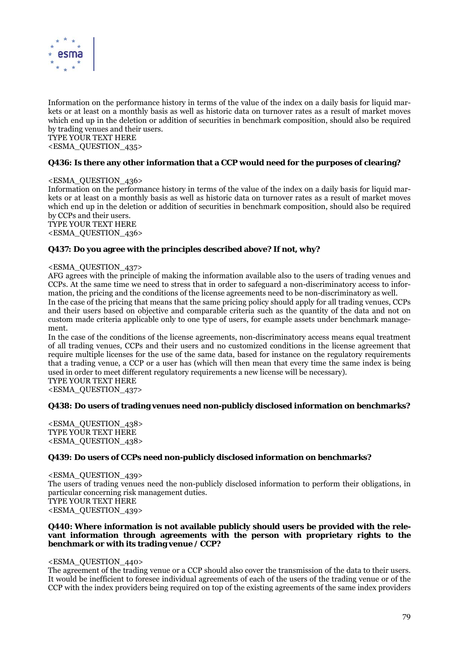

Information on the performance history in terms of the value of the index on a daily basis for liquid markets or at least on a monthly basis as well as historic data on turnover rates as a result of market moves which end up in the deletion or addition of securities in benchmark composition, should also be required by trading venues and their users.

# TYPE YOUR TEXT HERE

<ESMA\_QUESTION\_435>

# **Q436: Is there any other information that a CCP would need for the purposes of clearing?**

### <ESMA\_QUESTION\_436>

Information on the performance history in terms of the value of the index on a daily basis for liquid markets or at least on a monthly basis as well as historic data on turnover rates as a result of market moves which end up in the deletion or addition of securities in benchmark composition, should also be required by CCPs and their users. TYPE YOUR TEXT HERE

<ESMA\_QUESTION\_436>

# **Q437: Do you agree with the principles described above? If not, why?**

### <ESMA\_QUESTION\_437>

AFG agrees with the principle of making the information available also to the users of trading venues and CCPs. At the same time we need to stress that in order to safeguard a non-discriminatory access to information, the pricing and the conditions of the license agreements need to be non-discriminatory as well.

In the case of the pricing that means that the same pricing policy should apply for all trading venues, CCPs and their users based on objective and comparable criteria such as the quantity of the data and not on custom made criteria applicable only to one type of users, for example assets under benchmark management.

In the case of the conditions of the license agreements, non-discriminatory access means equal treatment of all trading venues, CCPs and their users and no customized conditions in the license agreement that require multiple licenses for the use of the same data, based for instance on the regulatory requirements that a trading venue, a CCP or a user has (which will then mean that every time the same index is being used in order to meet different regulatory requirements a new license will be necessary).

TYPE YOUR TEXT HERE

<ESMA\_QUESTION\_437>

### **Q438: Do users of trading venues need non-publicly disclosed information on benchmarks?**

<ESMA\_QUESTION\_438> TYPE YOUR TEXT HERE <ESMA\_QUESTION\_438>

### **Q439: Do users of CCPs need non-publicly disclosed information on benchmarks?**

<ESMA\_QUESTION\_439> The users of trading venues need the non-publicly disclosed information to perform their obligations, in particular concerning risk management duties. TYPE YOUR TEXT HERE <ESMA\_QUESTION\_439>

### **Q440: Where information is not available publicly should users be provided with the relevant information through agreements with the person with proprietary rights to the benchmark or with its trading venue / CCP?**

### <ESMA\_QUESTION\_440>

The agreement of the trading venue or a CCP should also cover the transmission of the data to their users. It would be inefficient to foresee individual agreements of each of the users of the trading venue or of the CCP with the index providers being required on top of the existing agreements of the same index providers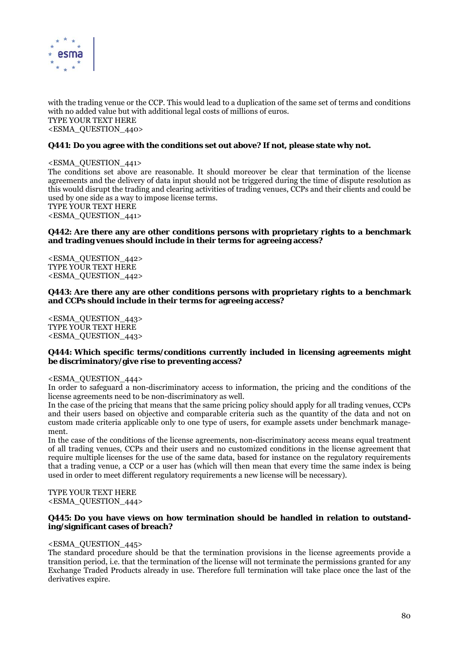

with the trading venue or the CCP. This would lead to a duplication of the same set of terms and conditions with no added value but with additional legal costs of millions of euros. TYPE YOUR TEXT HERE <ESMA\_QUESTION\_440>

# **Q441: Do you agree with the conditions set out above? If not, please state why not.**

<ESMA\_QUESTION\_441> The conditions set above are reasonable. It should moreover be clear that termination of the license agreements and the delivery of data input should not be triggered during the time of dispute resolution as this would disrupt the trading and clearing activities of trading venues, CCPs and their clients and could be used by one side as a way to impose license terms. TYPE YOUR TEXT HERE <ESMA\_QUESTION\_441>

### **Q442: Are there any are other conditions persons with proprietary rights to a benchmark and trading venues should include in their terms for agreeing access?**

<ESMA\_QUESTION\_442> TYPE YOUR TEXT HERE <ESMA\_QUESTION\_442>

**Q443: Are there any are other conditions persons with proprietary rights to a benchmark and CCPs should include in their terms for agreeing access?** 

<ESMA\_QUESTION\_443> TYPE YOUR TEXT HERE <ESMA\_QUESTION\_443>

### **Q444: Which specific terms/conditions currently included in licensing agreements might be discriminatory/give rise to preventing access?**

# <ESMA\_QUESTION\_444>

In order to safeguard a non-discriminatory access to information, the pricing and the conditions of the license agreements need to be non-discriminatory as well.

In the case of the pricing that means that the same pricing policy should apply for all trading venues, CCPs and their users based on objective and comparable criteria such as the quantity of the data and not on custom made criteria applicable only to one type of users, for example assets under benchmark management.

In the case of the conditions of the license agreements, non-discriminatory access means equal treatment of all trading venues, CCPs and their users and no customized conditions in the license agreement that require multiple licenses for the use of the same data, based for instance on the regulatory requirements that a trading venue, a CCP or a user has (which will then mean that every time the same index is being used in order to meet different regulatory requirements a new license will be necessary).

TYPE YOUR TEXT HERE

<ESMA\_QUESTION\_444>

### **Q445: Do you have views on how termination should be handled in relation to outstanding/significant cases of breach?**

### <ESMA\_QUESTION\_445>

The standard procedure should be that the termination provisions in the license agreements provide a transition period, i.e. that the termination of the license will not terminate the permissions granted for any Exchange Traded Products already in use. Therefore full termination will take place once the last of the derivatives expire.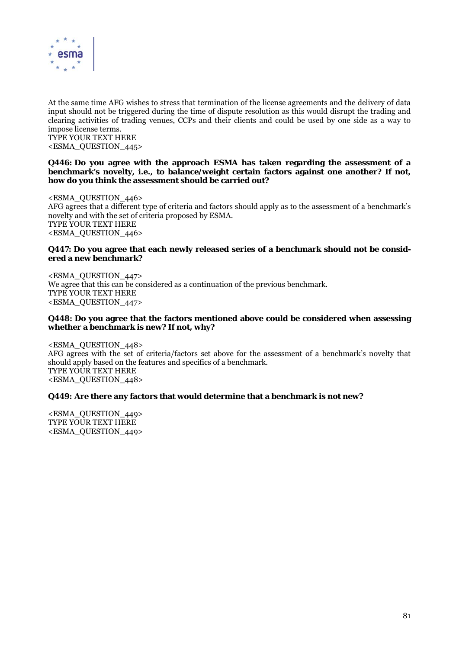

At the same time AFG wishes to stress that termination of the license agreements and the delivery of data input should not be triggered during the time of dispute resolution as this would disrupt the trading and clearing activities of trading venues, CCPs and their clients and could be used by one side as a way to impose license terms.

TYPE YOUR TEXT HERE <ESMA\_QUESTION\_445>

# **Q446: Do you agree with the approach ESMA has taken regarding the assessment of a benchmark's novelty, i.e., to balance/weight certain factors against one another? If not, how do you think the assessment should be carried out?**

<ESMA\_QUESTION\_446> AFG agrees that a different type of criteria and factors should apply as to the assessment of a benchmark's novelty and with the set of criteria proposed by ESMA. TYPE YOUR TEXT HERE <ESMA\_QUESTION\_446>

# **Q447: Do you agree that each newly released series of a benchmark should not be considered a new benchmark?**

<ESMA\_QUESTION\_447> We agree that this can be considered as a continuation of the previous benchmark. TYPE YOUR TEXT HERE <ESMA\_QUESTION\_447>

# **Q448: Do you agree that the factors mentioned above could be considered when assessing whether a benchmark is new? If not, why?**

<ESMA\_QUESTION\_448> AFG agrees with the set of criteria/factors set above for the assessment of a benchmark's novelty that should apply based on the features and specifics of a benchmark. TYPE YOUR TEXT HERE <ESMA\_QUESTION\_448>

# **Q449: Are there any factors that would determine that a benchmark is not new?**

<ESMA\_QUESTION\_449> TYPE YOUR TEXT HERE <ESMA\_QUESTION\_449>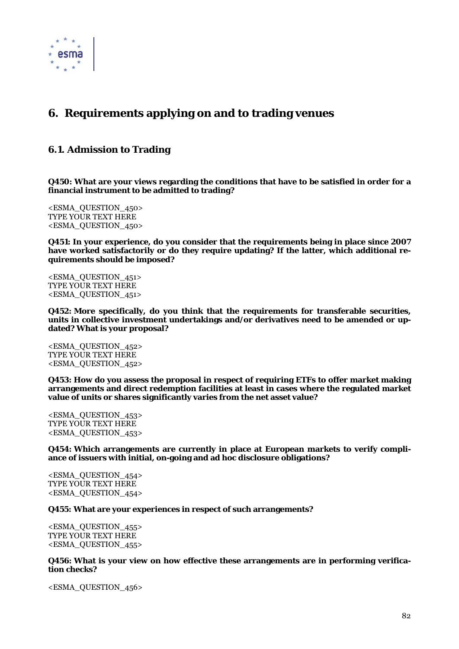

# **6. Requirements applying on and to trading venues**

# **6.1. Admission to Trading**

**Q450: What are your views regarding the conditions that have to be satisfied in order for a financial instrument to be admitted to trading?** 

<ESMA\_QUESTION\_450> TYPE YOUR TEXT HERE <ESMA\_QUESTION\_450>

**Q451: In your experience, do you consider that the requirements being in place since 2007 have worked satisfactorily or do they require updating? If the latter, which additional requirements should be imposed?** 

<ESMA\_QUESTION\_451> TYPE YOUR TEXT HERE <ESMA\_QUESTION\_451>

**Q452: More specifically, do you think that the requirements for transferable securities, units in collective investment undertakings and/or derivatives need to be amended or updated? What is your proposal?** 

<ESMA\_QUESTION\_452> TYPE YOUR TEXT HERE <ESMA\_QUESTION\_452>

**Q453: How do you assess the proposal in respect of requiring ETFs to offer market making arrangements and direct redemption facilities at least in cases where the regulated market value of units or shares significantly varies from the net asset value?** 

<ESMA\_QUESTION\_453> TYPE YOUR TEXT HERE <ESMA\_QUESTION\_453>

**Q454: Which arrangements are currently in place at European markets to verify compliance of issuers with initial, on-going and ad hoc disclosure obligations?** 

<ESMA\_QUESTION\_454> TYPE YOUR TEXT HERE <ESMA\_QUESTION\_454>

### **Q455: What are your experiences in respect of such arrangements?**

<ESMA\_QUESTION\_455> TYPE YOUR TEXT HERE <ESMA\_QUESTION\_455>

**Q456: What is your view on how effective these arrangements are in performing verification checks?** 

<ESMA\_QUESTION\_456>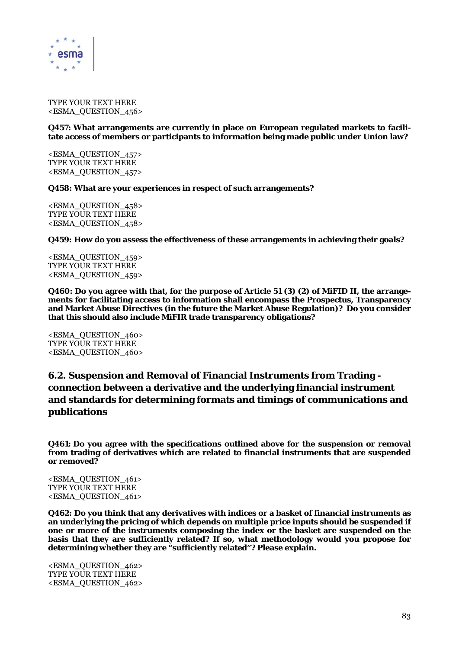

TYPE YOUR TEXT HERE <ESMA\_QUESTION\_456>

### **Q457: What arrangements are currently in place on European regulated markets to facilitate access of members or participants to information being made public under Union law?**

<ESMA\_QUESTION\_457> TYPE YOUR TEXT HERE <ESMA\_QUESTION\_457>

### **Q458: What are your experiences in respect of such arrangements?**

<ESMA\_QUESTION\_458> TYPE YOUR TEXT HERE <ESMA\_QUESTION\_458>

# **Q459: How do you assess the effectiveness of these arrangements in achieving their goals?**

<ESMA\_QUESTION\_459> TYPE YOUR TEXT HERE <ESMA\_QUESTION\_459>

**Q460: Do you agree with that, for the purpose of Article 51 (3) (2) of MiFID II, the arrangements for facilitating access to information shall encompass the Prospectus, Transparency and Market Abuse Directives (in the future the Market Abuse Regulation)? Do you consider that this should also include MiFIR trade transparency obligations?** 

<ESMA\_QUESTION\_460> TYPE YOUR TEXT HERE <ESMA\_QUESTION\_460>

# **6.2. Suspension and Removal of Financial Instruments from Trading connection between a derivative and the underlying financial instrument and standards for determining formats and timings of communications and publications**

**Q461: Do you agree with the specifications outlined above for the suspension or removal from trading of derivatives which are related to financial instruments that are suspended or removed?** 

<ESMA\_QUESTION\_461> TYPE YOUR TEXT HERE <ESMA\_QUESTION\_461>

**Q462: Do you think that any derivatives with indices or a basket of financial instruments as an underlying the pricing of which depends on multiple price inputs should be suspended if one or more of the instruments composing the index or the basket are suspended on the basis that they are sufficiently related? If so, what methodology would you propose for determining whether they are "sufficiently related"? Please explain.** 

<ESMA\_QUESTION\_462> TYPE YOUR TEXT HERE <ESMA\_QUESTION\_462>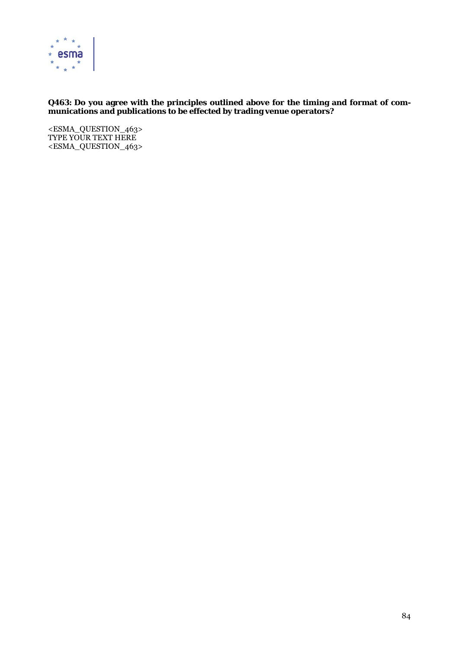

# **Q463: Do you agree with the principles outlined above for the timing and format of communications and publications to be effected by trading venue operators?**

<ESMA\_QUESTION\_463> TYPE YOUR TEXT HERE <ESMA\_QUESTION\_463>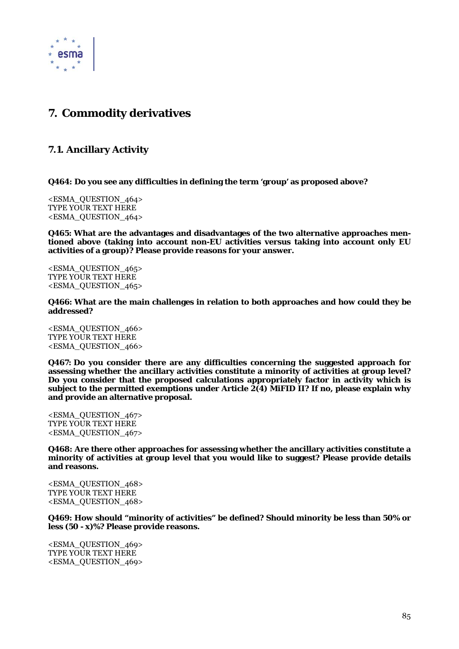

# **7. Commodity derivatives**

# **7.1. Ancillary Activity**

**Q464: Do you see any difficulties in defining the term 'group' as proposed above?** 

<ESMA\_QUESTION\_464> TYPE YOUR TEXT HERE <ESMA\_QUESTION\_464>

**Q465: What are the advantages and disadvantages of the two alternative approaches mentioned above (taking into account non-EU activities versus taking into account only EU activities of a group)? Please provide reasons for your answer.** 

<ESMA\_QUESTION\_465> TYPE YOUR TEXT HERE <ESMA\_QUESTION\_465>

**Q466: What are the main challenges in relation to both approaches and how could they be addressed?** 

<ESMA\_QUESTION\_466> TYPE YOUR TEXT HERE <ESMA\_QUESTION\_466>

**Q467: Do you consider there are any difficulties concerning the suggested approach for assessing whether the ancillary activities constitute a minority of activities at group level? Do you consider that the proposed calculations appropriately factor in activity which is subject to the permitted exemptions under Article 2(4) MiFID II? If no, please explain why and provide an alternative proposal.** 

<ESMA\_QUESTION\_467> TYPE YOUR TEXT HERE <ESMA\_QUESTION\_467>

**Q468: Are there other approaches for assessing whether the ancillary activities constitute a minority of activities at group level that you would like to suggest? Please provide details and reasons.** 

<ESMA\_QUESTION\_468> TYPE YOUR TEXT HERE <ESMA\_QUESTION\_468>

**Q469: How should "minority of activities" be defined? Should minority be less than 50% or less (50 - x)%? Please provide reasons.** 

<ESMA\_QUESTION\_469> TYPE YOUR TEXT HERE <ESMA\_QUESTION\_469>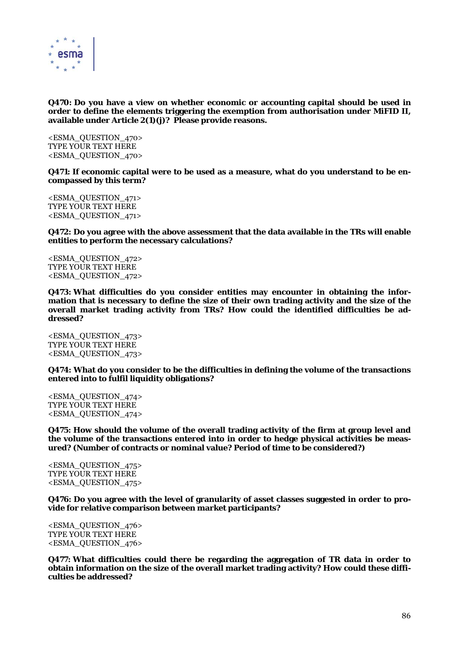

# **Q470: Do you have a view on whether economic or accounting capital should be used in order to define the elements triggering the exemption from authorisation under MiFID II, available under Article 2(1)(j)? Please provide reasons.**

<ESMA\_QUESTION\_470> TYPE YOUR TEXT HERE <ESMA\_QUESTION\_470>

**Q471: If economic capital were to be used as a measure, what do you understand to be encompassed by this term?** 

<ESMA\_QUESTION\_471> TYPE YOUR TEXT HERE <ESMA\_QUESTION\_471>

**Q472: Do you agree with the above assessment that the data available in the TRs will enable entities to perform the necessary calculations?** 

<ESMA\_QUESTION\_472> TYPE YOUR TEXT HERE <ESMA\_QUESTION\_472>

**Q473: What difficulties do you consider entities may encounter in obtaining the information that is necessary to define the size of their own trading activity and the size of the overall market trading activity from TRs? How could the identified difficulties be addressed?** 

<ESMA\_QUESTION\_473> TYPE YOUR TEXT HERE <ESMA\_QUESTION\_473>

**Q474: What do you consider to be the difficulties in defining the volume of the transactions entered into to fulfil liquidity obligations?** 

<ESMA\_QUESTION\_474> TYPE YOUR TEXT HERE <ESMA\_QUESTION\_474>

**Q475: How should the volume of the overall trading activity of the firm at group level and the volume of the transactions entered into in order to hedge physical activities be measured? (Number of contracts or nominal value? Period of time to be considered?)** 

<ESMA\_QUESTION\_475> TYPE YOUR TEXT HERE <ESMA\_QUESTION\_475>

**Q476: Do you agree with the level of granularity of asset classes suggested in order to provide for relative comparison between market participants?** 

<ESMA\_QUESTION\_476> TYPE YOUR TEXT HERE <ESMA\_QUESTION\_476>

**Q477: What difficulties could there be regarding the aggregation of TR data in order to obtain information on the size of the overall market trading activity? How could these difficulties be addressed?**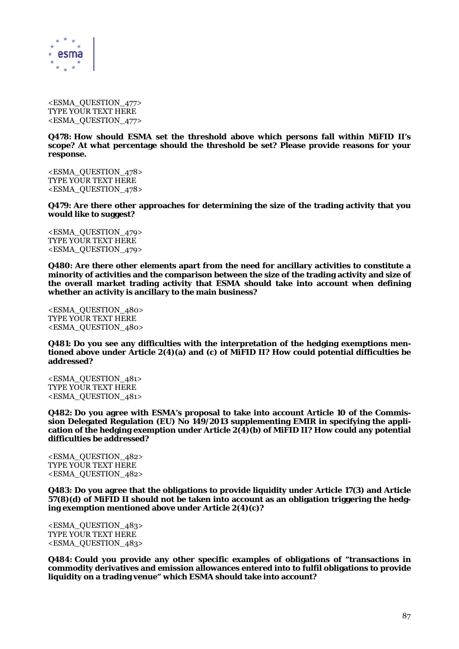

<ESMA\_QUESTION\_477> TYPE YOUR TEXT HERE <ESMA\_QUESTION\_477>

**Q478: How should ESMA set the threshold above which persons fall within MiFID II's scope? At what percentage should the threshold be set? Please provide reasons for your response.** 

<ESMA\_QUESTION\_478> TYPE YOUR TEXT HERE <ESMA\_QUESTION\_478>

**Q479: Are there other approaches for determining the size of the trading activity that you would like to suggest?** 

<ESMA\_QUESTION\_479> TYPE YOUR TEXT HERE <ESMA\_QUESTION\_479>

**Q480: Are there other elements apart from the need for ancillary activities to constitute a minority of activities and the comparison between the size of the trading activity and size of the overall market trading activity that ESMA should take into account when defining whether an activity is ancillary to the main business?** 

<ESMA\_QUESTION\_480> TYPE YOUR TEXT HERE <ESMA\_QUESTION\_480>

**Q481: Do you see any difficulties with the interpretation of the hedging exemptions mentioned above under Article 2(4)(a) and (c) of MiFID II? How could potential difficulties be addressed?** 

<ESMA\_QUESTION\_481> TYPE YOUR TEXT HERE <ESMA\_QUESTION\_481>

**Q482: Do you agree with ESMA's proposal to take into account Article 10 of the Commission Delegated Regulation (EU) No 149/2013 supplementing EMIR in specifying the application of the hedging exemption under Article 2(4)(b) of MiFID II? How could any potential difficulties be addressed?** 

<ESMA\_QUESTION\_482> TYPE YOUR TEXT HERE <ESMA\_QUESTION\_482>

**Q483: Do you agree that the obligations to provide liquidity under Article 17(3) and Article 57(8)(d) of MiFID II should not be taken into account as an obligation triggering the hedging exemption mentioned above under Article 2(4)(c)?** 

```
<ESMA_QUESTION_483> 
TYPE YOUR TEXT HERE 
<ESMA_QUESTION_483>
```
**Q484: Could you provide any other specific examples of obligations of "transactions in commodity derivatives and emission allowances entered into to fulfil obligations to provide liquidity on a trading venue" which ESMA should take into account?**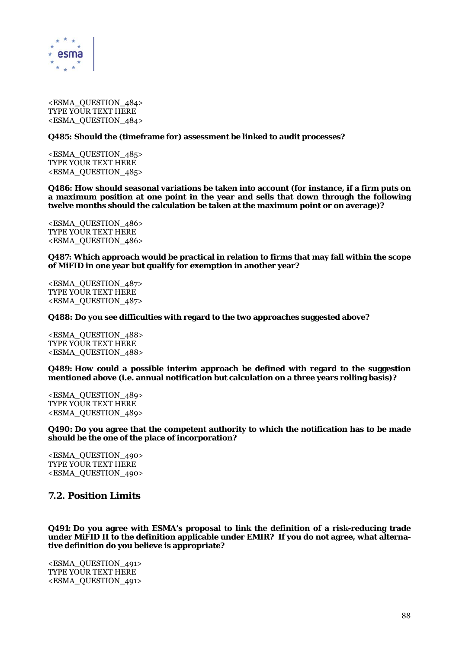

<ESMA\_QUESTION\_484> TYPE YOUR TEXT HERE <ESMA\_QUESTION\_484>

### **Q485: Should the (timeframe for) assessment be linked to audit processes?**

<ESMA\_QUESTION\_485> TYPE YOUR TEXT HERE <ESMA\_QUESTION\_485>

**Q486: How should seasonal variations be taken into account (for instance, if a firm puts on a maximum position at one point in the year and sells that down through the following twelve months should the calculation be taken at the maximum point or on average)?** 

<ESMA\_QUESTION\_486> TYPE YOUR TEXT HERE <ESMA\_QUESTION\_486>

**Q487: Which approach would be practical in relation to firms that may fall within the scope of MiFID in one year but qualify for exemption in another year?** 

<ESMA\_QUESTION\_487> TYPE YOUR TEXT HERE <ESMA\_QUESTION\_487>

**Q488: Do you see difficulties with regard to the two approaches suggested above?** 

<ESMA\_QUESTION\_488> TYPE YOUR TEXT HERE <ESMA\_QUESTION\_488>

**Q489: How could a possible interim approach be defined with regard to the suggestion mentioned above (i.e. annual notification but calculation on a three years rolling basis)?** 

<ESMA\_QUESTION\_489> TYPE YOUR TEXT HERE <ESMA\_QUESTION\_489>

**Q490: Do you agree that the competent authority to which the notification has to be made should be the one of the place of incorporation?** 

<ESMA\_QUESTION\_490> TYPE YOUR TEXT HERE <ESMA\_QUESTION\_490>

# **7.2. Position Limits**

**Q491: Do you agree with ESMA's proposal to link the definition of a risk-reducing trade under MiFID II to the definition applicable under EMIR? If you do not agree, what alternative definition do you believe is appropriate?** 

<ESMA\_QUESTION\_491> TYPE YOUR TEXT HERE <ESMA\_QUESTION\_491>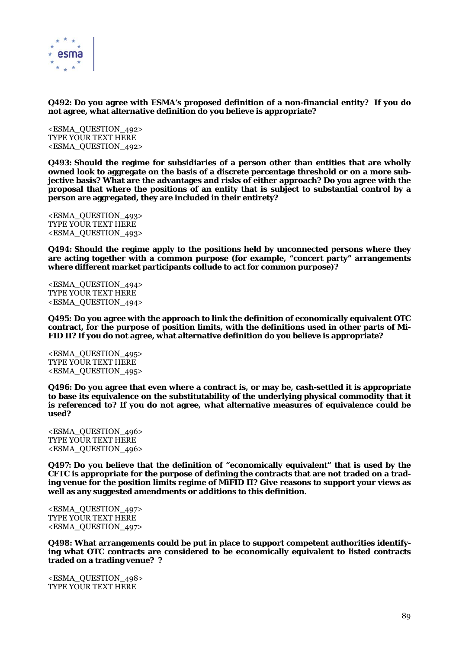

**Q492: Do you agree with ESMA's proposed definition of a non-financial entity? If you do not agree, what alternative definition do you believe is appropriate?** 

<ESMA\_QUESTION\_492> TYPE YOUR TEXT HERE <ESMA\_QUESTION\_492>

**Q493: Should the regime for subsidiaries of a person other than entities that are wholly owned look to aggregate on the basis of a discrete percentage threshold or on a more subjective basis? What are the advantages and risks of either approach? Do you agree with the proposal that where the positions of an entity that is subject to substantial control by a person are aggregated, they are included in their entirety?** 

<ESMA\_QUESTION\_493> TYPE YOUR TEXT HERE <ESMA\_QUESTION\_493>

**Q494: Should the regime apply to the positions held by unconnected persons where they are acting together with a common purpose (for example, "concert party" arrangements where different market participants collude to act for common purpose)?** 

<ESMA\_QUESTION\_494> TYPE YOUR TEXT HERE <ESMA\_QUESTION\_494>

**Q495: Do you agree with the approach to link the definition of economically equivalent OTC contract, for the purpose of position limits, with the definitions used in other parts of Mi-FID II? If you do not agree, what alternative definition do you believe is appropriate?** 

<ESMA\_QUESTION\_495> TYPE YOUR TEXT HERE <ESMA\_QUESTION\_495>

**Q496: Do you agree that even where a contract is, or may be, cash-settled it is appropriate to base its equivalence on the substitutability of the underlying physical commodity that it is referenced to? If you do not agree, what alternative measures of equivalence could be used?** 

<ESMA\_QUESTION\_496> TYPE YOUR TEXT HERE <ESMA\_QUESTION\_496>

**Q497: Do you believe that the definition of "economically equivalent" that is used by the CFTC is appropriate for the purpose of defining the contracts that are not traded on a trading venue for the position limits regime of MiFID II? Give reasons to support your views as well as any suggested amendments or additions to this definition.** 

<ESMA\_QUESTION\_497> TYPE YOUR TEXT HERE <ESMA\_QUESTION\_497>

**Q498: What arrangements could be put in place to support competent authorities identifying what OTC contracts are considered to be economically equivalent to listed contracts traded on a trading venue? ?** 

<ESMA\_QUESTION\_498> TYPE YOUR TEXT HERE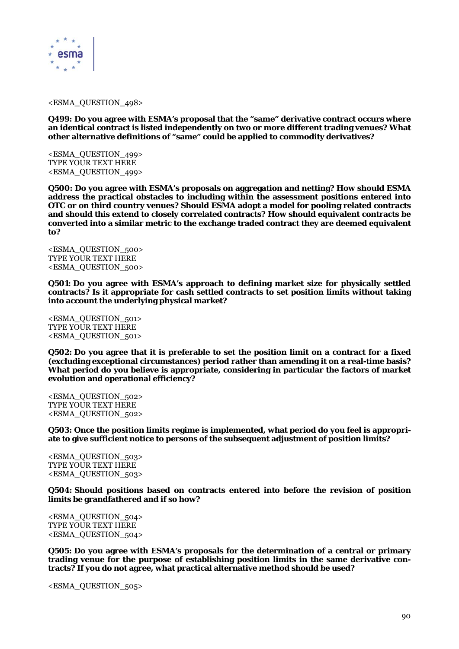

#### <ESMA\_QUESTION\_498>

**Q499: Do you agree with ESMA's proposal that the "same" derivative contract occurs where an identical contract is listed independently on two or more different trading venues? What other alternative definitions of "same" could be applied to commodity derivatives?** 

<ESMA\_QUESTION\_499> TYPE YOUR TEXT HERE <ESMA\_QUESTION\_499>

**Q500: Do you agree with ESMA's proposals on aggregation and netting? How should ESMA address the practical obstacles to including within the assessment positions entered into OTC or on third country venues? Should ESMA adopt a model for pooling related contracts and should this extend to closely correlated contracts? How should equivalent contracts be converted into a similar metric to the exchange traded contract they are deemed equivalent to?** 

<ESMA\_QUESTION\_500> TYPE YOUR TEXT HERE <ESMA\_QUESTION\_500>

**Q501: Do you agree with ESMA's approach to defining market size for physically settled contracts? Is it appropriate for cash settled contracts to set position limits without taking into account the underlying physical market?** 

<ESMA\_QUESTION\_501> TYPE YOUR TEXT HERE <ESMA\_QUESTION\_501>

**Q502: Do you agree that it is preferable to set the position limit on a contract for a fixed (excluding exceptional circumstances) period rather than amending it on a real-time basis? What period do you believe is appropriate, considering in particular the factors of market evolution and operational efficiency?** 

<ESMA\_QUESTION\_502> TYPE YOUR TEXT HERE <ESMA\_QUESTION\_502>

**Q503: Once the position limits regime is implemented, what period do you feel is appropriate to give sufficient notice to persons of the subsequent adjustment of position limits?** 

<ESMA\_QUESTION\_503> TYPE YOUR TEXT HERE <ESMA\_QUESTION\_503>

**Q504: Should positions based on contracts entered into before the revision of position limits be grandfathered and if so how?** 

<ESMA\_QUESTION\_504> TYPE YOUR TEXT HERE <ESMA\_QUESTION\_504>

**Q505: Do you agree with ESMA's proposals for the determination of a central or primary trading venue for the purpose of establishing position limits in the same derivative contracts? If you do not agree, what practical alternative method should be used?** 

<ESMA\_QUESTION\_505>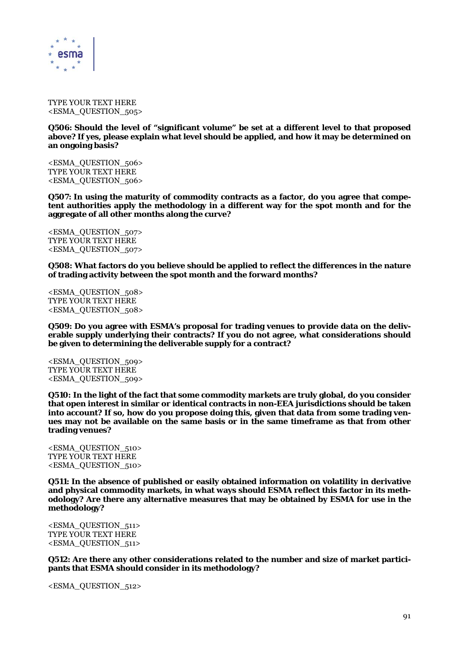

TYPE YOUR TEXT HERE <ESMA\_QUESTION\_505>

**Q506: Should the level of "significant volume" be set at a different level to that proposed above? If yes, please explain what level should be applied, and how it may be determined on an ongoing basis?** 

<ESMA\_QUESTION\_506> TYPE YOUR TEXT HERE <ESMA\_QUESTION\_506>

**Q507: In using the maturity of commodity contracts as a factor, do you agree that competent authorities apply the methodology in a different way for the spot month and for the aggregate of all other months along the curve?** 

<ESMA\_QUESTION\_507> TYPE YOUR TEXT HERE <ESMA\_QUESTION\_507>

**Q508: What factors do you believe should be applied to reflect the differences in the nature of trading activity between the spot month and the forward months?** 

<ESMA\_QUESTION\_508> TYPE YOUR TEXT HERE <ESMA\_QUESTION\_508>

**Q509: Do you agree with ESMA's proposal for trading venues to provide data on the deliverable supply underlying their contracts? If you do not agree, what considerations should be given to determining the deliverable supply for a contract?** 

<ESMA\_QUESTION\_509> TYPE YOUR TEXT HERE <ESMA\_QUESTION\_509>

**Q510: In the light of the fact that some commodity markets are truly global, do you consider that open interest in similar or identical contracts in non-EEA jurisdictions should be taken into account? If so, how do you propose doing this, given that data from some trading venues may not be available on the same basis or in the same timeframe as that from other trading venues?** 

<ESMA\_QUESTION\_510> TYPE YOUR TEXT HERE <ESMA\_QUESTION\_510>

**Q511: In the absence of published or easily obtained information on volatility in derivative and physical commodity markets, in what ways should ESMA reflect this factor in its methodology? Are there any alternative measures that may be obtained by ESMA for use in the methodology?** 

<ESMA\_QUESTION\_511> TYPE YOUR TEXT HERE <ESMA\_QUESTION\_511>

**Q512: Are there any other considerations related to the number and size of market participants that ESMA should consider in its methodology?** 

<ESMA\_QUESTION\_512>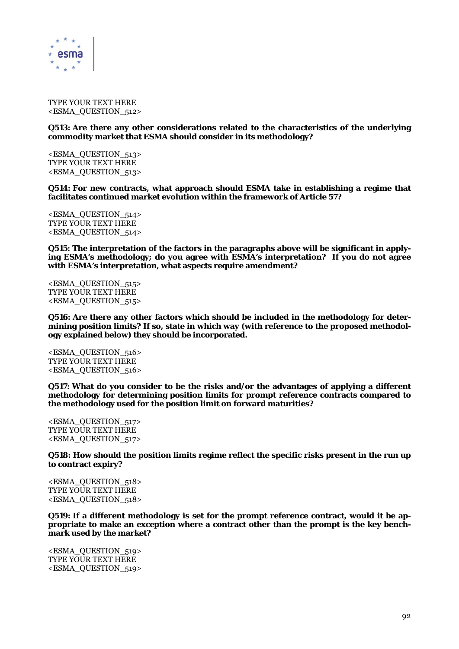

TYPE YOUR TEXT HERE <ESMA\_QUESTION\_512>

**Q513: Are there any other considerations related to the characteristics of the underlying commodity market that ESMA should consider in its methodology?** 

<ESMA\_QUESTION\_513> TYPE YOUR TEXT HERE <ESMA\_QUESTION\_513>

**Q514: For new contracts, what approach should ESMA take in establishing a regime that facilitates continued market evolution within the framework of Article 57?** 

<ESMA\_QUESTION\_514> TYPE YOUR TEXT HERE <ESMA\_QUESTION\_514>

**Q515: The interpretation of the factors in the paragraphs above will be significant in applying ESMA's methodology; do you agree with ESMA's interpretation? If you do not agree with ESMA's interpretation, what aspects require amendment?** 

<ESMA\_QUESTION\_515> TYPE YOUR TEXT HERE <ESMA\_QUESTION\_515>

**Q516: Are there any other factors which should be included in the methodology for determining position limits? If so, state in which way (with reference to the proposed methodology explained below) they should be incorporated.** 

<ESMA\_QUESTION\_516> TYPE YOUR TEXT HERE <ESMA\_QUESTION\_516>

**Q517: What do you consider to be the risks and/or the advantages of applying a different methodology for determining position limits for prompt reference contracts compared to the methodology used for the position limit on forward maturities?** 

<ESMA\_QUESTION\_517> TYPE YOUR TEXT HERE <ESMA\_QUESTION\_517>

**Q518: How should the position limits regime reflect the specific risks present in the run up to contract expiry?** 

<ESMA\_QUESTION\_518> TYPE YOUR TEXT HERE <ESMA\_QUESTION\_518>

**Q519: If a different methodology is set for the prompt reference contract, would it be appropriate to make an exception where a contract other than the prompt is the key benchmark used by the market?** 

<ESMA\_QUESTION\_519> TYPE YOUR TEXT HERE <ESMA\_QUESTION\_519>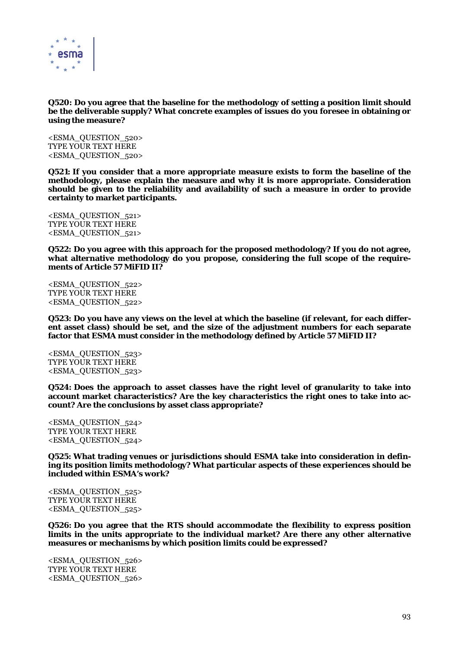

### **Q520: Do you agree that the baseline for the methodology of setting a position limit should be the deliverable supply? What concrete examples of issues do you foresee in obtaining or using the measure?**

<ESMA\_QUESTION\_520> TYPE YOUR TEXT HERE <ESMA\_QUESTION\_520>

**Q521: If you consider that a more appropriate measure exists to form the baseline of the methodology, please explain the measure and why it is more appropriate. Consideration should be given to the reliability and availability of such a measure in order to provide certainty to market participants.** 

<ESMA\_QUESTION\_521> TYPE YOUR TEXT HERE <ESMA\_QUESTION\_521>

**Q522: Do you agree with this approach for the proposed methodology? If you do not agree, what alternative methodology do you propose, considering the full scope of the requirements of Article 57 MiFID II?** 

<ESMA\_QUESTION\_522> TYPE YOUR TEXT HERE <ESMA\_QUESTION\_522>

**Q523: Do you have any views on the level at which the baseline (if relevant, for each different asset class) should be set, and the size of the adjustment numbers for each separate factor that ESMA must consider in the methodology defined by Article 57 MiFID II?** 

<ESMA\_QUESTION\_523> TYPE YOUR TEXT HERE <ESMA\_QUESTION\_523>

**Q524: Does the approach to asset classes have the right level of granularity to take into account market characteristics? Are the key characteristics the right ones to take into account? Are the conclusions by asset class appropriate?** 

<ESMA\_QUESTION\_524> TYPE YOUR TEXT HERE <ESMA\_QUESTION\_524>

**Q525: What trading venues or jurisdictions should ESMA take into consideration in defining its position limits methodology? What particular aspects of these experiences should be included within ESMA's work?** 

<ESMA\_QUESTION\_525> TYPE YOUR TEXT HERE <ESMA\_QUESTION\_525>

**Q526: Do you agree that the RTS should accommodate the flexibility to express position limits in the units appropriate to the individual market? Are there any other alternative measures or mechanisms by which position limits could be expressed?** 

<ESMA\_QUESTION\_526> TYPE YOUR TEXT HERE <ESMA\_QUESTION\_526>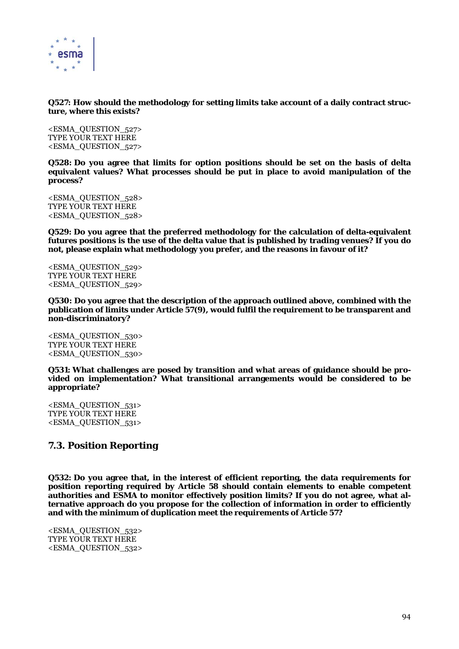

**Q527: How should the methodology for setting limits take account of a daily contract structure, where this exists?** 

<ESMA\_QUESTION\_527> TYPE YOUR TEXT HERE <ESMA\_QUESTION\_527>

**Q528: Do you agree that limits for option positions should be set on the basis of delta equivalent values? What processes should be put in place to avoid manipulation of the process?** 

<ESMA\_QUESTION\_528> TYPE YOUR TEXT HERE <ESMA\_QUESTION\_528>

**Q529: Do you agree that the preferred methodology for the calculation of delta-equivalent futures positions is the use of the delta value that is published by trading venues? If you do not, please explain what methodology you prefer, and the reasons in favour of it?** 

<ESMA\_QUESTION\_529> TYPE YOUR TEXT HERE <ESMA\_QUESTION\_529>

**Q530: Do you agree that the description of the approach outlined above, combined with the publication of limits under Article 57(9), would fulfil the requirement to be transparent and non-discriminatory?** 

<ESMA\_QUESTION\_530> TYPE YOUR TEXT HERE <ESMA\_QUESTION\_530>

**Q531: What challenges are posed by transition and what areas of guidance should be provided on implementation? What transitional arrangements would be considered to be appropriate?** 

<ESMA\_QUESTION\_531> TYPE YOUR TEXT HERE <ESMA\_QUESTION\_531>

# **7.3. Position Reporting**

**Q532: Do you agree that, in the interest of efficient reporting, the data requirements for position reporting required by Article 58 should contain elements to enable competent authorities and ESMA to monitor effectively position limits? If you do not agree, what alternative approach do you propose for the collection of information in order to efficiently and with the minimum of duplication meet the requirements of Article 57?** 

<sup>&</sup>lt;ESMA\_QUESTION\_532> TYPE YOUR TEXT HERE <ESMA\_QUESTION\_532>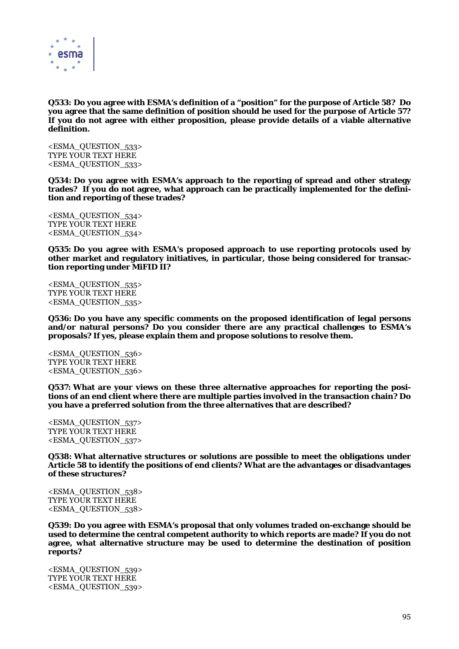

**Q533: Do you agree with ESMA's definition of a "position" for the purpose of Article 58? Do you agree that the same definition of position should be used for the purpose of Article 57? If you do not agree with either proposition, please provide details of a viable alternative definition.** 

<ESMA\_QUESTION\_533> TYPE YOUR TEXT HERE <ESMA\_QUESTION\_533>

**Q534: Do you agree with ESMA's approach to the reporting of spread and other strategy trades? If you do not agree, what approach can be practically implemented for the definition and reporting of these trades?** 

<ESMA\_QUESTION\_534> TYPE YOUR TEXT HERE <ESMA\_QUESTION\_534>

**Q535: Do you agree with ESMA's proposed approach to use reporting protocols used by other market and regulatory initiatives, in particular, those being considered for transaction reporting under MiFID II?** 

<ESMA\_QUESTION\_535> TYPE YOUR TEXT HERE <ESMA\_QUESTION\_535>

**Q536: Do you have any specific comments on the proposed identification of legal persons and/or natural persons? Do you consider there are any practical challenges to ESMA's proposals? If yes, please explain them and propose solutions to resolve them.** 

<ESMA\_QUESTION\_536> TYPE YOUR TEXT HERE <ESMA\_QUESTION\_536>

**Q537: What are your views on these three alternative approaches for reporting the positions of an end client where there are multiple parties involved in the transaction chain? Do you have a preferred solution from the three alternatives that are described?** 

<ESMA\_QUESTION\_537> TYPE YOUR TEXT HERE <ESMA\_QUESTION\_537>

**Q538: What alternative structures or solutions are possible to meet the obligations under Article 58 to identify the positions of end clients? What are the advantages or disadvantages of these structures?** 

<ESMA\_QUESTION\_538> TYPE YOUR TEXT HERE <ESMA\_QUESTION\_538>

**Q539: Do you agree with ESMA's proposal that only volumes traded on-exchange should be used to determine the central competent authority to which reports are made? If you do not agree, what alternative structure may be used to determine the destination of position reports?** 

<ESMA\_QUESTION\_539> TYPE YOUR TEXT HERE <ESMA\_QUESTION\_539>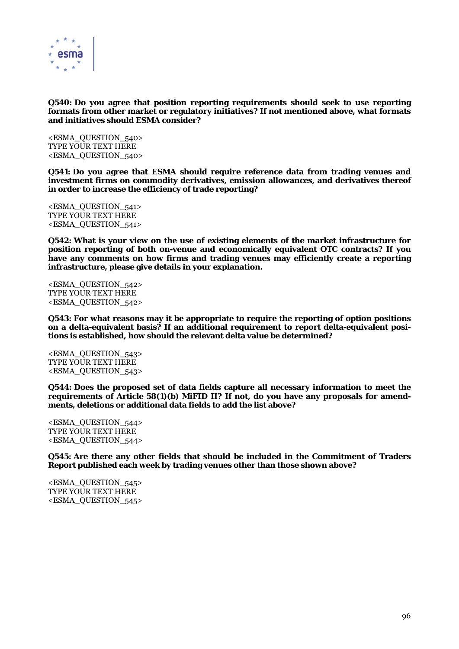

### **Q540: Do you agree that position reporting requirements should seek to use reporting formats from other market or regulatory initiatives? If not mentioned above, what formats and initiatives should ESMA consider?**

<ESMA\_QUESTION\_540> TYPE YOUR TEXT HERE <ESMA\_QUESTION\_540>

**Q541: Do you agree that ESMA should require reference data from trading venues and investment firms on commodity derivatives, emission allowances, and derivatives thereof in order to increase the efficiency of trade reporting?** 

<ESMA\_QUESTION\_541> TYPE YOUR TEXT HERE <ESMA\_QUESTION\_541>

**Q542: What is your view on the use of existing elements of the market infrastructure for position reporting of both on-venue and economically equivalent OTC contracts? If you have any comments on how firms and trading venues may efficiently create a reporting infrastructure, please give details in your explanation.** 

<ESMA\_QUESTION\_542> TYPE YOUR TEXT HERE <ESMA\_QUESTION\_542>

**Q543: For what reasons may it be appropriate to require the reporting of option positions on a delta-equivalent basis? If an additional requirement to report delta-equivalent positions is established, how should the relevant delta value be determined?** 

<ESMA\_QUESTION\_543> TYPE YOUR TEXT HERE <ESMA\_QUESTION\_543>

**Q544: Does the proposed set of data fields capture all necessary information to meet the requirements of Article 58(1)(b) MiFID II? If not, do you have any proposals for amendments, deletions or additional data fields to add the list above?** 

<ESMA\_QUESTION\_544> TYPE YOUR TEXT HERE <ESMA\_QUESTION\_544>

**Q545: Are there any other fields that should be included in the Commitment of Traders Report published each week by trading venues other than those shown above?** 

<ESMA\_QUESTION\_545> TYPE YOUR TEXT HERE <ESMA\_QUESTION\_545>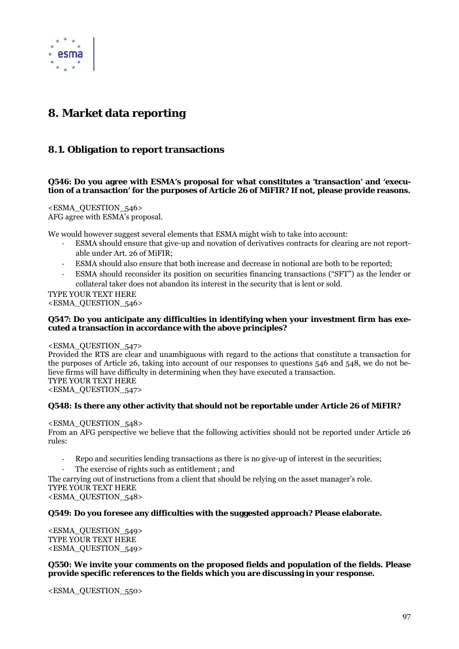

# **8. Market data reporting**

# **8.1. Obligation to report transactions**

# **Q546: Do you agree with ESMA's proposal for what constitutes a 'transaction' and 'execution of a transaction' for the purposes of Article 26 of MiFIR? If not, please provide reasons.**

<ESMA\_QUESTION\_546> AFG agree with ESMA's proposal.

We would however suggest several elements that ESMA might wish to take into account:

- ‐ ESMA should ensure that give-up and novation of derivatives contracts for clearing are not reportable under Art. 26 of MiFIR;
- ‐ ESMA should also ensure that both increase and decrease in notional are both to be reported;
- ‐ ESMA should reconsider its position on securities financing transactions ("SFT") as the lender or collateral taker does not abandon its interest in the security that is lent or sold.

TYPE YOUR TEXT HERE <ESMA\_QUESTION\_546>

# **Q547: Do you anticipate any difficulties in identifying when your investment firm has executed a transaction in accordance with the above principles?**

<ESMA\_QUESTION\_547>

Provided the RTS are clear and unambiguous with regard to the actions that constitute a transaction for the purposes of Article 26, taking into account of our responses to questions 546 and 548, we do not believe firms will have difficulty in determining when they have executed a transaction. TYPE YOUR TEXT HERE <ESMA\_QUESTION\_547>

# **Q548: Is there any other activity that should not be reportable under Article 26 of MiFIR?**

<ESMA\_QUESTION\_548>

From an AFG perspective we believe that the following activities should not be reported under Article 26 rules:

- ‐ Repo and securities lending transactions as there is no give-up of interest in the securities;
- The exercise of rights such as entitlement ; and

The carrying out of instructions from a client that should be relying on the asset manager's role. TYPE YOUR TEXT HERE

<ESMA\_QUESTION\_548>

# **Q549: Do you foresee any difficulties with the suggested approach? Please elaborate.**

<ESMA\_QUESTION\_549> TYPE YOUR TEXT HERE <ESMA\_QUESTION\_549>

# **Q550: We invite your comments on the proposed fields and population of the fields. Please provide specific references to the fields which you are discussing in your response.**

<ESMA\_QUESTION\_550>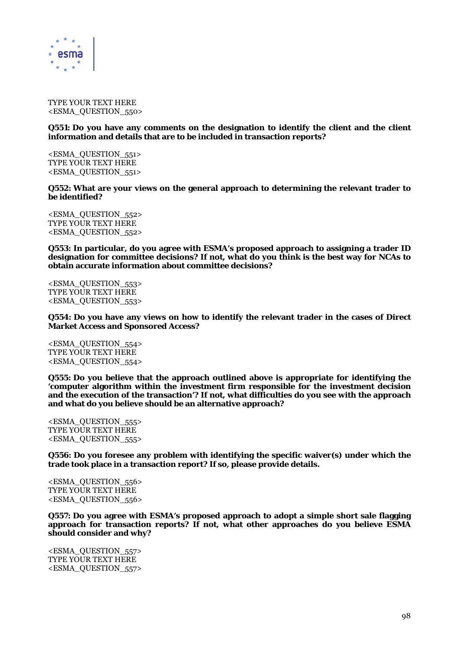

TYPE YOUR TEXT HERE <ESMA\_QUESTION\_550>

### **Q551: Do you have any comments on the designation to identify the client and the client information and details that are to be included in transaction reports?**

<ESMA\_QUESTION\_551> TYPE YOUR TEXT HERE <ESMA\_QUESTION\_551>

**Q552: What are your views on the general approach to determining the relevant trader to be identified?** 

<ESMA\_QUESTION\_552> TYPE YOUR TEXT HERE <ESMA\_QUESTION\_552>

**Q553: In particular, do you agree with ESMA's proposed approach to assigning a trader ID designation for committee decisions? If not, what do you think is the best way for NCAs to obtain accurate information about committee decisions?** 

<ESMA\_QUESTION\_553> TYPE YOUR TEXT HERE <ESMA\_QUESTION\_553>

**Q554: Do you have any views on how to identify the relevant trader in the cases of Direct Market Access and Sponsored Access?** 

<ESMA\_QUESTION\_554> TYPE YOUR TEXT HERE <ESMA\_QUESTION\_554>

**Q555: Do you believe that the approach outlined above is appropriate for identifying the 'computer algorithm within the investment firm responsible for the investment decision and the execution of the transaction'? If not, what difficulties do you see with the approach and what do you believe should be an alternative approach?** 

<ESMA\_QUESTION\_555> TYPE YOUR TEXT HERE <ESMA\_QUESTION\_555>

**Q556: Do you foresee any problem with identifying the specific waiver(s) under which the trade took place in a transaction report? If so, please provide details.** 

<ESMA\_QUESTION\_556> TYPE YOUR TEXT HERE <ESMA\_QUESTION\_556>

**Q557: Do you agree with ESMA's proposed approach to adopt a simple short sale flagging approach for transaction reports? If not, what other approaches do you believe ESMA should consider and why?** 

<ESMA\_QUESTION\_557> TYPE YOUR TEXT HERE <ESMA\_QUESTION\_557>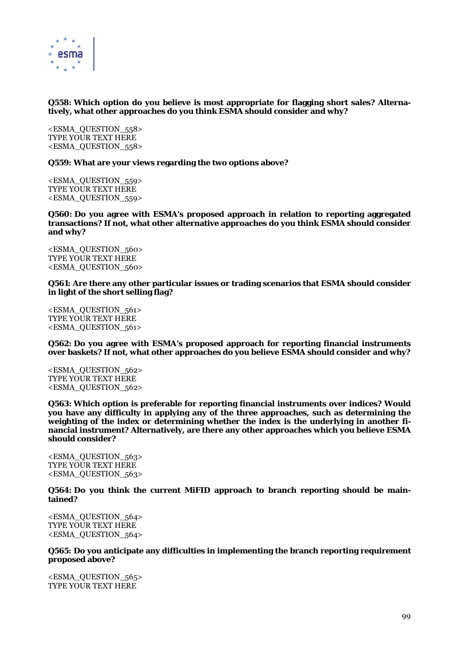

# **Q558: Which option do you believe is most appropriate for flagging short sales? Alternatively, what other approaches do you think ESMA should consider and why?**

<ESMA\_QUESTION\_558> TYPE YOUR TEXT HERE <ESMA\_QUESTION\_558>

**Q559: What are your views regarding the two options above?** 

<ESMA\_QUESTION\_559> TYPE YOUR TEXT HERE <ESMA\_QUESTION\_559>

**Q560: Do you agree with ESMA's proposed approach in relation to reporting aggregated transactions? If not, what other alternative approaches do you think ESMA should consider and why?** 

<ESMA\_QUESTION\_560> TYPE YOUR TEXT HERE <ESMA\_QUESTION\_560>

**Q561: Are there any other particular issues or trading scenarios that ESMA should consider in light of the short selling flag?** 

<ESMA\_QUESTION\_561> TYPE YOUR TEXT HERE <ESMA\_QUESTION\_561>

**Q562: Do you agree with ESMA's proposed approach for reporting financial instruments over baskets? If not, what other approaches do you believe ESMA should consider and why?** 

<ESMA\_QUESTION\_562> TYPE YOUR TEXT HERE <ESMA\_QUESTION\_562>

**Q563: Which option is preferable for reporting financial instruments over indices? Would you have any difficulty in applying any of the three approaches, such as determining the weighting of the index or determining whether the index is the underlying in another financial instrument? Alternatively, are there any other approaches which you believe ESMA should consider?** 

<ESMA\_QUESTION\_563> TYPE YOUR TEXT HERE <ESMA\_QUESTION\_563>

**Q564: Do you think the current MiFID approach to branch reporting should be maintained?** 

<ESMA\_QUESTION\_564> TYPE YOUR TEXT HERE <ESMA\_QUESTION\_564>

**Q565: Do you anticipate any difficulties in implementing the branch reporting requirement proposed above?** 

<ESMA\_QUESTION\_565> TYPE YOUR TEXT HERE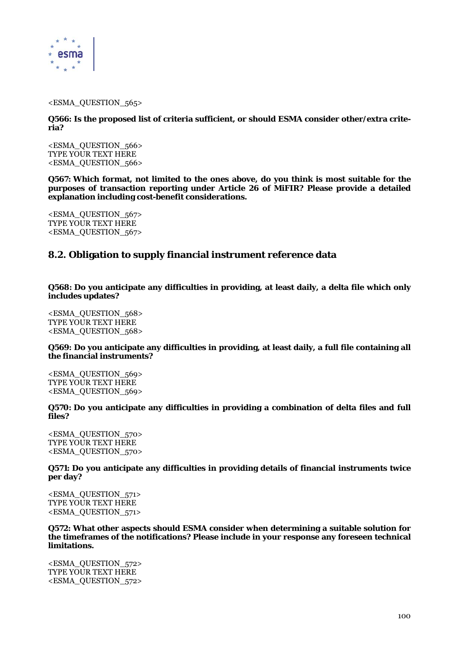

<ESMA\_QUESTION\_565>

**Q566: Is the proposed list of criteria sufficient, or should ESMA consider other/extra criteria?** 

<ESMA\_QUESTION\_566> TYPE YOUR TEXT HERE <ESMA\_QUESTION\_566>

**Q567: Which format, not limited to the ones above, do you think is most suitable for the purposes of transaction reporting under Article 26 of MiFIR? Please provide a detailed explanation including cost-benefit considerations.** 

<ESMA\_QUESTION\_567> TYPE YOUR TEXT HERE <ESMA\_QUESTION\_567>

# **8.2. Obligation to supply financial instrument reference data**

**Q568: Do you anticipate any difficulties in providing, at least daily, a delta file which only includes updates?** 

<ESMA\_QUESTION\_568> TYPE YOUR TEXT HERE <ESMA\_QUESTION\_568>

**Q569: Do you anticipate any difficulties in providing, at least daily, a full file containing all the financial instruments?** 

<ESMA\_QUESTION\_569> TYPE YOUR TEXT HERE <ESMA\_QUESTION\_569>

**Q570: Do you anticipate any difficulties in providing a combination of delta files and full files?** 

<ESMA\_QUESTION\_570> TYPE YOUR TEXT HERE <ESMA\_QUESTION\_570>

**Q571: Do you anticipate any difficulties in providing details of financial instruments twice per day?** 

<ESMA\_QUESTION\_571> TYPE YOUR TEXT HERE <ESMA\_QUESTION\_571>

**Q572: What other aspects should ESMA consider when determining a suitable solution for the timeframes of the notifications? Please include in your response any foreseen technical limitations.** 

<ESMA\_QUESTION\_572> TYPE YOUR TEXT HERE <ESMA\_QUESTION\_572>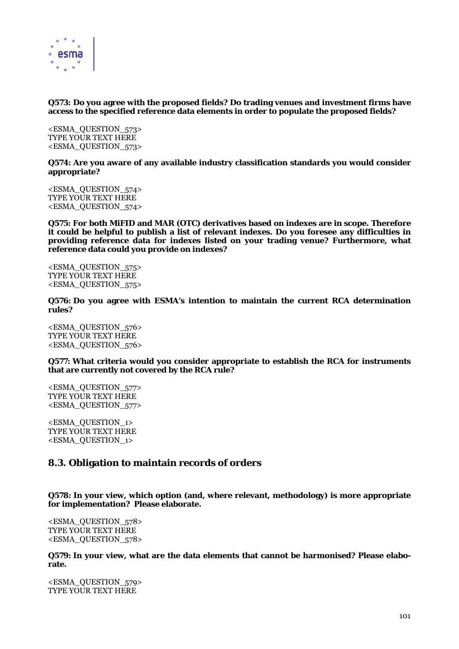

# **Q573: Do you agree with the proposed fields? Do trading venues and investment firms have access to the specified reference data elements in order to populate the proposed fields?**

<ESMA\_QUESTION\_573> TYPE YOUR TEXT HERE <ESMA\_QUESTION\_573>

**Q574: Are you aware of any available industry classification standards you would consider appropriate?** 

<ESMA\_QUESTION\_574> TYPE YOUR TEXT HERE <ESMA\_QUESTION\_574>

**Q575: For both MiFID and MAR (OTC) derivatives based on indexes are in scope. Therefore it could be helpful to publish a list of relevant indexes. Do you foresee any difficulties in providing reference data for indexes listed on your trading venue? Furthermore, what reference data could you provide on indexes?** 

<ESMA\_QUESTION\_575> TYPE YOUR TEXT HERE <ESMA\_QUESTION\_575>

**Q576: Do you agree with ESMA's intention to maintain the current RCA determination rules?** 

<ESMA\_QUESTION\_576> TYPE YOUR TEXT HERE <ESMA\_QUESTION\_576>

**Q577: What criteria would you consider appropriate to establish the RCA for instruments that are currently not covered by the RCA rule?** 

<ESMA\_QUESTION\_577> TYPE YOUR TEXT HERE <ESMA\_QUESTION\_577>

<ESMA\_QUESTION\_1> TYPE YOUR TEXT HERE <ESMA\_QUESTION\_1>

# **8.3. Obligation to maintain records of orders**

**Q578: In your view, which option (and, where relevant, methodology) is more appropriate for implementation? Please elaborate.** 

<ESMA\_QUESTION\_578> TYPE YOUR TEXT HERE <ESMA\_QUESTION\_578>

**Q579: In your view, what are the data elements that cannot be harmonised? Please elaborate.** 

<ESMA\_QUESTION\_579> TYPE YOUR TEXT HERE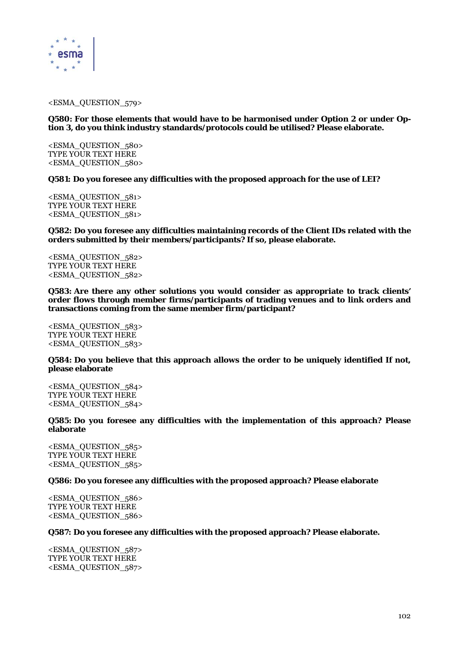

#### <ESMA\_QUESTION\_579>

### **Q580: For those elements that would have to be harmonised under Option 2 or under Option 3, do you think industry standards/protocols could be utilised? Please elaborate.**

<ESMA\_QUESTION\_580> TYPE YOUR TEXT HERE <ESMA\_QUESTION\_580>

**Q581: Do you foresee any difficulties with the proposed approach for the use of LEI?** 

<ESMA\_QUESTION\_581> TYPE YOUR TEXT HERE <ESMA\_QUESTION\_581>

**Q582: Do you foresee any difficulties maintaining records of the Client IDs related with the orders submitted by their members/participants? If so, please elaborate.** 

<ESMA\_QUESTION\_582> TYPE YOUR TEXT HERE <ESMA\_QUESTION\_582>

**Q583: Are there any other solutions you would consider as appropriate to track clients' order flows through member firms/participants of trading venues and to link orders and transactions coming from the same member firm/participant?** 

<ESMA\_QUESTION\_583> TYPE YOUR TEXT HERE <ESMA\_QUESTION\_583>

# **Q584: Do you believe that this approach allows the order to be uniquely identified If not, please elaborate**

<ESMA\_QUESTION\_584> TYPE YOUR TEXT HERE <ESMA\_QUESTION\_584>

**Q585: Do you foresee any difficulties with the implementation of this approach? Please elaborate** 

<ESMA\_QUESTION\_585> TYPE YOUR TEXT HERE <ESMA\_QUESTION\_585>

**Q586: Do you foresee any difficulties with the proposed approach? Please elaborate** 

<ESMA\_QUESTION\_586> TYPE YOUR TEXT HERE <ESMA\_QUESTION\_586>

### **Q587: Do you foresee any difficulties with the proposed approach? Please elaborate.**

<ESMA\_QUESTION\_587> TYPE YOUR TEXT HERE <ESMA\_QUESTION\_587>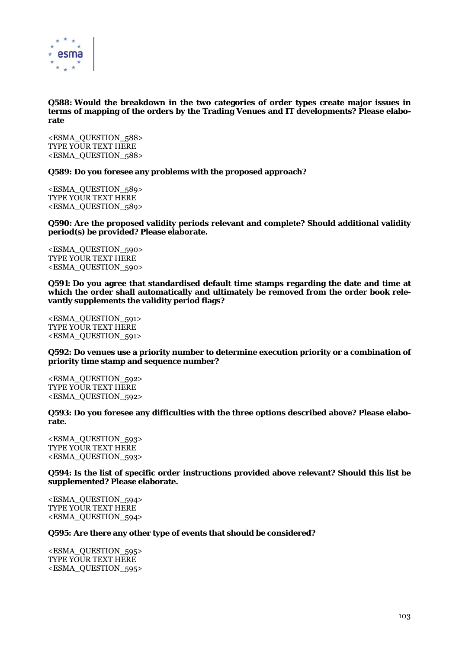

# **Q588: Would the breakdown in the two categories of order types create major issues in terms of mapping of the orders by the Trading Venues and IT developments? Please elaborate**

<ESMA\_QUESTION\_588> TYPE YOUR TEXT HERE <ESMA\_QUESTION\_588>

**Q589: Do you foresee any problems with the proposed approach?** 

<ESMA\_QUESTION\_589> TYPE YOUR TEXT HERE <ESMA\_QUESTION\_589>

**Q590: Are the proposed validity periods relevant and complete? Should additional validity period(s) be provided? Please elaborate.** 

<ESMA\_QUESTION\_590> TYPE YOUR TEXT HERE <ESMA\_QUESTION\_590>

**Q591: Do you agree that standardised default time stamps regarding the date and time at which the order shall automatically and ultimately be removed from the order book relevantly supplements the validity period flags?** 

<ESMA\_QUESTION\_591> TYPE YOUR TEXT HERE <ESMA\_QUESTION\_591>

**Q592: Do venues use a priority number to determine execution priority or a combination of priority time stamp and sequence number?** 

<ESMA\_QUESTION\_592> TYPE YOUR TEXT HERE <ESMA\_QUESTION\_592>

**Q593: Do you foresee any difficulties with the three options described above? Please elaborate.** 

<ESMA\_QUESTION\_593> TYPE YOUR TEXT HERE <ESMA\_QUESTION\_593>

**Q594: Is the list of specific order instructions provided above relevant? Should this list be supplemented? Please elaborate.** 

<ESMA\_QUESTION\_594> TYPE YOUR TEXT HERE <ESMA\_QUESTION\_594>

### **Q595: Are there any other type of events that should be considered?**

<ESMA\_QUESTION\_595> TYPE YOUR TEXT HERE <ESMA\_QUESTION\_595>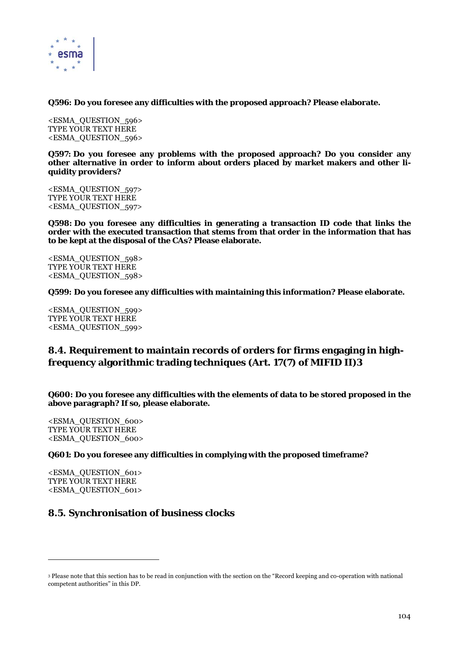

**Q596: Do you foresee any difficulties with the proposed approach? Please elaborate.** 

<ESMA\_QUESTION\_596> TYPE YOUR TEXT HERE <ESMA\_QUESTION\_596>

**Q597: Do you foresee any problems with the proposed approach? Do you consider any other alternative in order to inform about orders placed by market makers and other liquidity providers?** 

<ESMA\_QUESTION\_597> TYPE YOUR TEXT HERE <ESMA\_QUESTION\_597>

**Q598: Do you foresee any difficulties in generating a transaction ID code that links the order with the executed transaction that stems from that order in the information that has to be kept at the disposal of the CAs? Please elaborate.** 

<ESMA\_QUESTION\_598> TYPE YOUR TEXT HERE <ESMA\_QUESTION\_598>

**Q599: Do you foresee any difficulties with maintaining this information? Please elaborate.** 

<ESMA\_QUESTION\_599> TYPE YOUR TEXT HERE <ESMA\_QUESTION\_599>

# **8.4. Requirement to maintain records of orders for firms engaging in highfrequency algorithmic trading techniques (Art. 17(7) of MIFID II)3**

**Q600: Do you foresee any difficulties with the elements of data to be stored proposed in the above paragraph? If so, please elaborate.** 

<ESMA\_QUESTION\_600> TYPE YOUR TEXT HERE <ESMA\_QUESTION\_600>

**Q601: Do you foresee any difficulties in complying with the proposed timeframe?** 

<ESMA\_QUESTION\_601> TYPE YOUR TEXT HERE <ESMA\_QUESTION\_601>

 $\overline{a}$ 

# **8.5. Synchronisation of business clocks**

<sup>3</sup> Please note that this section has to be read in conjunction with the section on the "Record keeping and co-operation with national competent authorities" in this DP.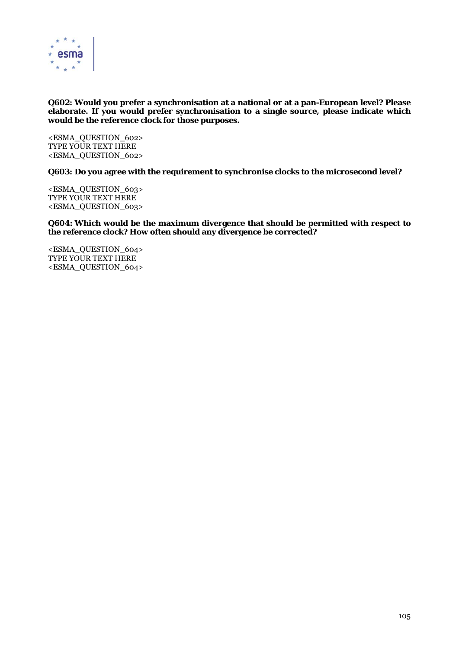

# **Q602: Would you prefer a synchronisation at a national or at a pan-European level? Please elaborate. If you would prefer synchronisation to a single source, please indicate which would be the reference clock for those purposes.**

<ESMA\_QUESTION\_602> TYPE YOUR TEXT HERE <ESMA\_QUESTION\_602>

**Q603: Do you agree with the requirement to synchronise clocks to the microsecond level?** 

<ESMA\_QUESTION\_603> TYPE YOUR TEXT HERE <ESMA\_QUESTION\_603>

**Q604: Which would be the maximum divergence that should be permitted with respect to the reference clock? How often should any divergence be corrected?** 

<ESMA\_QUESTION\_604> TYPE YOUR TEXT HERE <ESMA\_QUESTION\_604>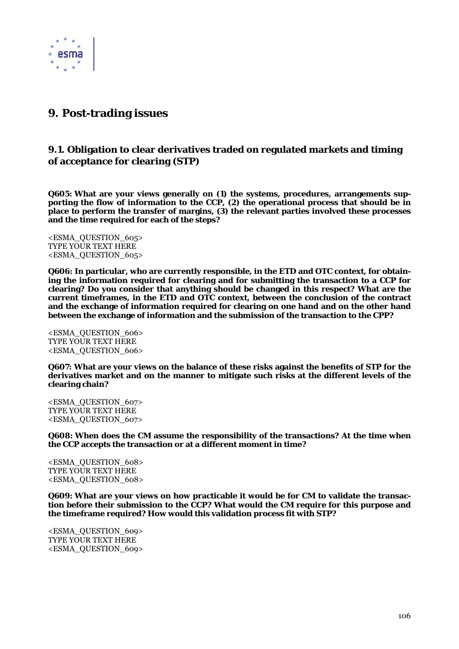

# **9. Post-trading issues**

# **9.1. Obligation to clear derivatives traded on regulated markets and timing of acceptance for clearing (STP)**

**Q605: What are your views generally on (1) the systems, procedures, arrangements supporting the flow of information to the CCP, (2) the operational process that should be in place to perform the transfer of margins, (3) the relevant parties involved these processes and the time required for each of the steps?** 

<ESMA\_QUESTION\_605> TYPE YOUR TEXT HERE <ESMA\_QUESTION\_605>

**Q606: In particular, who are currently responsible, in the ETD and OTC context, for obtaining the information required for clearing and for submitting the transaction to a CCP for clearing? Do you consider that anything should be changed in this respect? What are the current timeframes, in the ETD and OTC context, between the conclusion of the contract and the exchange of information required for clearing on one hand and on the other hand between the exchange of information and the submission of the transaction to the CPP?** 

<ESMA\_QUESTION\_606> TYPE YOUR TEXT HERE <ESMA\_QUESTION\_606>

**Q607: What are your views on the balance of these risks against the benefits of STP for the derivatives market and on the manner to mitigate such risks at the different levels of the clearing chain?** 

<ESMA\_QUESTION\_607> TYPE YOUR TEXT HERE <ESMA\_QUESTION\_607>

**Q608: When does the CM assume the responsibility of the transactions? At the time when the CCP accepts the transaction or at a different moment in time?** 

<ESMA\_QUESTION\_608> TYPE YOUR TEXT HERE <ESMA\_QUESTION\_608>

**Q609: What are your views on how practicable it would be for CM to validate the transaction before their submission to the CCP? What would the CM require for this purpose and the timeframe required? How would this validation process fit with STP?** 

<ESMA\_QUESTION\_609> TYPE YOUR TEXT HERE <ESMA\_QUESTION\_609>